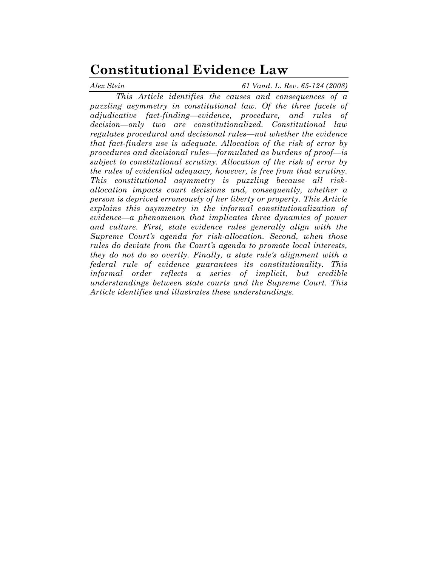# **Constitutional Evidence Law**

*Alex Stein 61 Vand. L. Rev. 65-124 (2008)*

*This Article identifies the causes and consequences of a puzzling asymmetry in constitutional law. Of the three facets of adjudicative fact-finding—evidence, procedure, and rules of decision—only two are constitutionalized. Constitutional law regulates procedural and decisional rules—not whether the evidence that fact-finders use is adequate. Allocation of the risk of error by procedures and decisional rules—formulated as burdens of proof—is subject to constitutional scrutiny. Allocation of the risk of error by the rules of evidential adequacy, however, is free from that scrutiny. This constitutional asymmetry is puzzling because all riskallocation impacts court decisions and, consequently, whether a person is deprived erroneously of her liberty or property. This Article explains this asymmetry in the informal constitutionalization of evidence—a phenomenon that implicates three dynamics of power and culture. First, state evidence rules generally align with the Supreme Court's agenda for risk-allocation. Second, when those rules do deviate from the Court's agenda to promote local interests, they do not do so overtly. Finally, a state rule's alignment with a federal rule of evidence guarantees its constitutionality. This informal order reflects a series of implicit, but credible understandings between state courts and the Supreme Court. This Article identifies and illustrates these understandings.*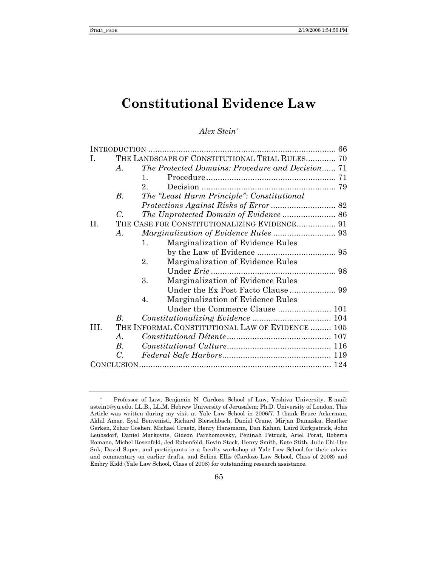## **Constitutional Evidence Law**

## *Alex Stein\**

| L.  |                 | THE LANDSCAPE OF CONSTITUTIONAL TRIAL RULES 70            |  |
|-----|-----------------|-----------------------------------------------------------|--|
|     | $\bm{A}$ .      | The Protected Domains: Procedure and Decision 71          |  |
|     |                 | $\mathbf{1}_{\cdot}$                                      |  |
|     |                 | $2^{\circ}$                                               |  |
|     | В.              | The "Least Harm Principle": Constitutional                |  |
|     |                 |                                                           |  |
|     | $\mathcal{C}$ . |                                                           |  |
| H.  |                 | THE CASE FOR CONSTITUTIONALIZING EVIDENCE 91              |  |
|     | $\bm{A}$ .      |                                                           |  |
|     |                 | Marginalization of Evidence Rules<br>$\mathbf{1}_{\cdot}$ |  |
|     |                 |                                                           |  |
|     |                 | 2.<br>Marginalization of Evidence Rules                   |  |
|     |                 |                                                           |  |
|     |                 | 3.<br>Marginalization of Evidence Rules                   |  |
|     |                 |                                                           |  |
|     |                 | Marginalization of Evidence Rules<br>4.                   |  |
|     |                 |                                                           |  |
|     | B.              |                                                           |  |
| HL. |                 | THE INFORMAL CONSTITUTIONAL LAW OF EVIDENCE  105          |  |
|     | A.              |                                                           |  |
|     | $B_{\cdot}$     |                                                           |  |
|     | С.              |                                                           |  |
|     |                 |                                                           |  |

<sup>\*</sup> Professor of Law, Benjamin N. Cardozo School of Law, Yeshiva University. E-mail: astein1@yu.edu. LL.B., LL.M. Hebrew University of Jerusalem; Ph.D. University of London. This Article was written during my visit at Yale Law School in 2006/7. I thank Bruce Ackerman, Akhil Amar, Eyal Benvenisti, Richard Bierschbach, Daniel Crane, Mirjan Damaška, Heather Gerken, Zohar Goshen, Michael Graetz, Henry Hansmann, Dan Kahan, Laird Kirkpatrick, John Leubsdorf, Daniel Markovits, Gideon Parchomovsky, Peninah Petruck, Ariel Porat, Roberta Romano, Michel Rosenfeld, Jed Rubenfeld, Kevin Stack, Henry Smith, Kate Stith, Julie Chi-Hye Suk, David Super, and participants in a faculty workshop at Yale Law School for their advice and commentary on earlier drafts, and Selina Ellis (Cardozo Law School, Class of 2008) and Embry Kidd (Yale Law School, Class of 2008) for outstanding research assistance.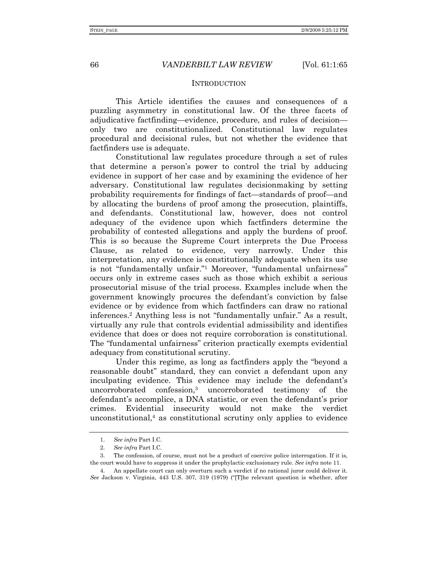#### **INTRODUCTION**

This Article identifies the causes and consequences of a puzzling asymmetry in constitutional law. Of the three facets of adjudicative factfinding—evidence, procedure, and rules of decision only two are constitutionalized. Constitutional law regulates procedural and decisional rules, but not whether the evidence that factfinders use is adequate.

Constitutional law regulates procedure through a set of rules that determine a person's power to control the trial by adducing evidence in support of her case and by examining the evidence of her adversary. Constitutional law regulates decisionmaking by setting probability requirements for findings of fact—standards of proof—and by allocating the burdens of proof among the prosecution, plaintiffs, and defendants. Constitutional law, however, does not control adequacy of the evidence upon which factfinders determine the probability of contested allegations and apply the burdens of proof. This is so because the Supreme Court interprets the Due Process Clause, as related to evidence, very narrowly. Under this interpretation, any evidence is constitutionally adequate when its use is not "fundamentally unfair."1 Moreover, "fundamental unfairness" occurs only in extreme cases such as those which exhibit a serious prosecutorial misuse of the trial process. Examples include when the government knowingly procures the defendant's conviction by false evidence or by evidence from which factfinders can draw no rational inferences.2 Anything less is not "fundamentally unfair." As a result, virtually any rule that controls evidential admissibility and identifies evidence that does or does not require corroboration is constitutional. The "fundamental unfairness" criterion practically exempts evidential adequacy from constitutional scrutiny.

Under this regime, as long as factfinders apply the "beyond a reasonable doubt" standard, they can convict a defendant upon any inculpating evidence. This evidence may include the defendant's uncorroborated confession,3 uncorroborated testimony of the defendant's accomplice, a DNA statistic, or even the defendant's prior crimes. Evidential insecurity would not make the verdict unconstitutional,4 as constitutional scrutiny only applies to evidence

<sup>1.</sup> *See infra* Part I.C.

<sup>2.</sup> *See infra* Part I.C.

 <sup>3.</sup> The confession, of course, must not be a product of coercive police interrogation. If it is, the court would have to suppress it under the prophylactic exclusionary rule. *See infra* note 11.

 <sup>4.</sup> An appellate court can only overturn such a verdict if no rational juror could deliver it. *See* Jackson v. Virginia, 443 U.S. 307, 319 (1979) ("[T]he relevant question is whether, after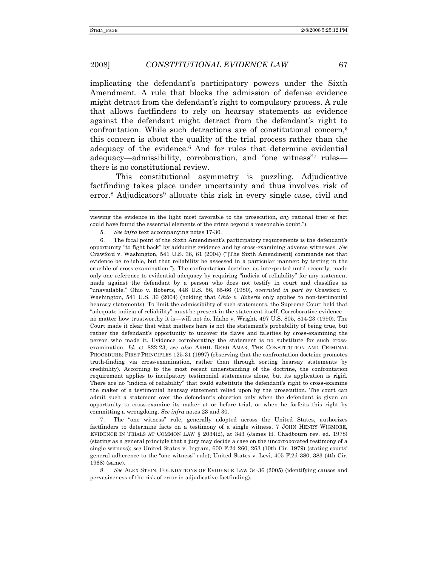implicating the defendant's participatory powers under the Sixth Amendment. A rule that blocks the admission of defense evidence might detract from the defendant's right to compulsory process. A rule that allows factfinders to rely on hearsay statements as evidence against the defendant might detract from the defendant's right to confrontation. While such detractions are of constitutional concern,5 this concern is about the quality of the trial process rather than the adequacy of the evidence.6 And for rules that determine evidential adequacy—admissibility, corroboration, and "one witness"7 rules there is no constitutional review.

This constitutional asymmetry is puzzling. Adjudicative factfinding takes place under uncertainty and thus involves risk of error.<sup>8</sup> Adjudicators<sup>9</sup> allocate this risk in every single case, civil and

 7. The "one witness" rule, generally adopted across the United States, authorizes factfinders to determine facts on a testimony of a single witness. 7 JOHN HENRY WIGMORE, EVIDENCE IN TRIALS AT COMMON LAW § 2034(2), at 343 (James H. Chadbourn rev. ed. 1978) (stating as a general principle that a jury may decide a case on the uncorroborated testimony of a single witness); *see* United States v. Ingram, 600 F.2d 260, 263 (10th Cir. 1979) (stating courts' general adherence to the "one witness" rule); United States v. Levi, 405 F.2d 380, 383 (4th Cir. 1968) (same).

8. *See* ALEX STEIN, FOUNDATIONS OF EVIDENCE LAW 34-36 (2005) (identifying causes and pervasiveness of the risk of error in adjudicative factfinding).

viewing the evidence in the light most favorable to the prosecution, *any* rational trier of fact could have found the essential elements of the crime beyond a reasonable doubt.").

<sup>5.</sup> *See infra* text accompanying notes 17-30.

 <sup>6.</sup> The focal point of the Sixth Amendment's participatory requirements is the defendant's opportunity "to fight back" by adducing evidence and by cross-examining adverse witnesses. *See* Crawford v. Washington, 541 U.S. 36, 61 (2004) ("[The Sixth Amendment] commands not that evidence be reliable, but that reliability be assessed in a particular manner: by testing in the crucible of cross-examination."). The confrontation doctrine, as interpreted until recently, made only one reference to evidential adequacy by requiring "indicia of reliability" for any statement made against the defendant by a person who does not testify in court and classifies as "unavailable." Ohio v. Roberts, 448 U.S. 56, 65-66 (1980), *overruled in part by* Crawford v. Washington, 541 U.S. 36 (2004) (holding that *Ohio v. Roberts* only applies to non-testimonial hearsay statements). To limit the admissibility of such statements, the Supreme Court held that "adequate indicia of reliability" must be present in the statement itself. Corroborative evidence no matter how trustworthy it is—will not do. Idaho v. Wright, 497 U.S. 805, 814-23 (1990). The Court made it clear that what matters here is not the statement's probability of being true, but rather the defendant's opportunity to uncover its flaws and falsities by cross-examining the person who made it. Evidence corroborating the statement is no substitute for such crossexamination. *Id.* at 822-23; *see also* AKHIL REED AMAR, THE CONSTITUTION AND CRIMINAL PROCEDURE: FIRST PRINCIPLES 125-31 (1997) (observing that the confrontation doctrine promotes truth-finding via cross-examination, rather than through sorting hearsay statements by credibility). According to the most recent understanding of the doctrine, the confrontation requirement applies to inculpatory testimonial statements alone, but its application is rigid. There are no "indicia of reliability" that could substitute the defendant's right to cross-examine the maker of a testimonial hearsay statement relied upon by the prosecution. The court can admit such a statement over the defendant's objection only when the defendant is given an opportunity to cross-examine its maker at or before trial, or when he forfeits this right by committing a wrongdoing. *See infra* notes 23 and 30.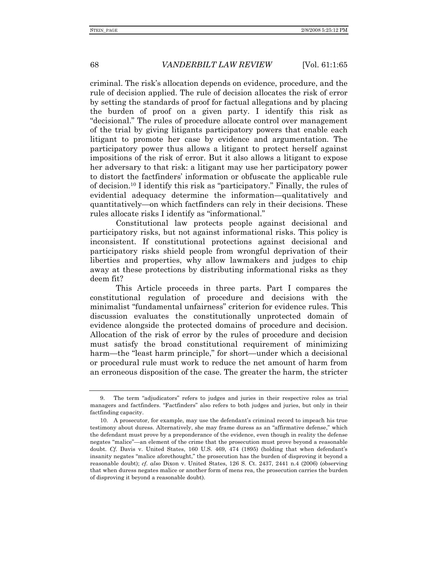criminal. The risk's allocation depends on evidence, procedure, and the rule of decision applied. The rule of decision allocates the risk of error by setting the standards of proof for factual allegations and by placing the burden of proof on a given party. I identify this risk as "decisional." The rules of procedure allocate control over management of the trial by giving litigants participatory powers that enable each litigant to promote her case by evidence and argumentation. The participatory power thus allows a litigant to protect herself against impositions of the risk of error. But it also allows a litigant to expose her adversary to that risk: a litigant may use her participatory power to distort the factfinders' information or obfuscate the applicable rule of decision.<sup>10</sup> I identify this risk as "participatory." Finally, the rules of evidential adequacy determine the information—qualitatively and quantitatively—on which factfinders can rely in their decisions. These rules allocate risks I identify as "informational."

Constitutional law protects people against decisional and participatory risks, but not against informational risks. This policy is inconsistent. If constitutional protections against decisional and participatory risks shield people from wrongful deprivation of their liberties and properties, why allow lawmakers and judges to chip away at these protections by distributing informational risks as they deem fit?

This Article proceeds in three parts. Part I compares the constitutional regulation of procedure and decisions with the minimalist "fundamental unfairness" criterion for evidence rules. This discussion evaluates the constitutionally unprotected domain of evidence alongside the protected domains of procedure and decision. Allocation of the risk of error by the rules of procedure and decision must satisfy the broad constitutional requirement of minimizing harm—the "least harm principle," for short—under which a decisional or procedural rule must work to reduce the net amount of harm from an erroneous disposition of the case. The greater the harm, the stricter

 <sup>9.</sup> The term "adjudicators" refers to judges and juries in their respective roles as trial managers and factfinders. "Factfinders" also refers to both judges and juries, but only in their factfinding capacity.

 <sup>10.</sup> A prosecutor, for example, may use the defendant's criminal record to impeach his true testimony about duress. Alternatively, she may frame duress as an "affirmative defense," which the defendant must prove by a preponderance of the evidence, even though in reality the defense negates "malice"—an element of the crime that the prosecution must prove beyond a reasonable doubt. *Cf.* Davis v. United States, 160 U.S. 469, 474 (1895) (holding that when defendant's insanity negates "malice aforethought," the prosecution has the burden of disproving it beyond a reasonable doubt); *cf. also* Dixon v. United States, 126 S. Ct. 2437, 2441 n.4 (2006) (observing that when duress negates malice or another form of mens rea, the prosecution carries the burden of disproving it beyond a reasonable doubt).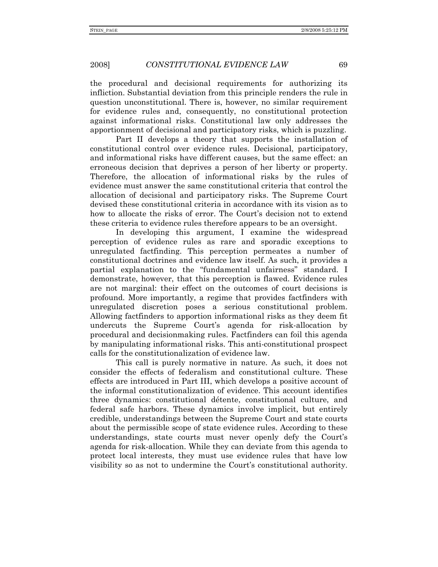the procedural and decisional requirements for authorizing its infliction. Substantial deviation from this principle renders the rule in question unconstitutional. There is, however, no similar requirement for evidence rules and, consequently, no constitutional protection against informational risks. Constitutional law only addresses the apportionment of decisional and participatory risks, which is puzzling.

Part II develops a theory that supports the installation of constitutional control over evidence rules. Decisional, participatory, and informational risks have different causes, but the same effect: an erroneous decision that deprives a person of her liberty or property. Therefore, the allocation of informational risks by the rules of evidence must answer the same constitutional criteria that control the allocation of decisional and participatory risks. The Supreme Court devised these constitutional criteria in accordance with its vision as to how to allocate the risks of error. The Court's decision not to extend these criteria to evidence rules therefore appears to be an oversight.

In developing this argument, I examine the widespread perception of evidence rules as rare and sporadic exceptions to unregulated factfinding. This perception permeates a number of constitutional doctrines and evidence law itself. As such, it provides a partial explanation to the "fundamental unfairness" standard. I demonstrate, however, that this perception is flawed. Evidence rules are not marginal: their effect on the outcomes of court decisions is profound. More importantly, a regime that provides factfinders with unregulated discretion poses a serious constitutional problem. Allowing factfinders to apportion informational risks as they deem fit undercuts the Supreme Court's agenda for risk-allocation by procedural and decisionmaking rules. Factfinders can foil this agenda by manipulating informational risks. This anti-constitutional prospect calls for the constitutionalization of evidence law.

This call is purely normative in nature. As such, it does not consider the effects of federalism and constitutional culture. These effects are introduced in Part III, which develops a positive account of the informal constitutionalization of evidence. This account identifies three dynamics: constitutional détente, constitutional culture, and federal safe harbors. These dynamics involve implicit, but entirely credible, understandings between the Supreme Court and state courts about the permissible scope of state evidence rules. According to these understandings, state courts must never openly defy the Court's agenda for risk-allocation. While they can deviate from this agenda to protect local interests, they must use evidence rules that have low visibility so as not to undermine the Court's constitutional authority.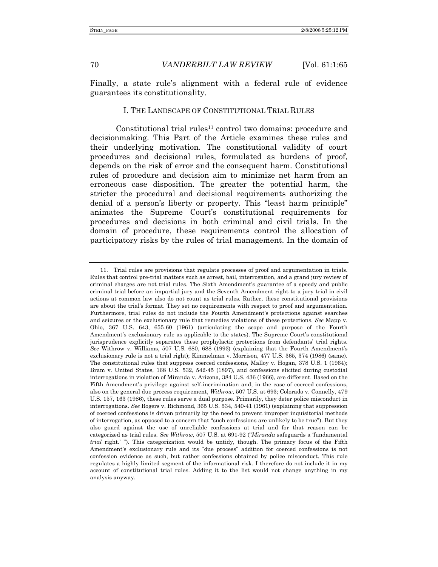Finally, a state rule's alignment with a federal rule of evidence guarantees its constitutionality.

#### I. THE LANDSCAPE OF CONSTITUTIONAL TRIAL RULES

Constitutional trial rules<sup>11</sup> control two domains: procedure and decisionmaking. This Part of the Article examines these rules and their underlying motivation. The constitutional validity of court procedures and decisional rules, formulated as burdens of proof, depends on the risk of error and the consequent harm. Constitutional rules of procedure and decision aim to minimize net harm from an erroneous case disposition. The greater the potential harm, the stricter the procedural and decisional requirements authorizing the denial of a person's liberty or property. This "least harm principle" animates the Supreme Court's constitutional requirements for procedures and decisions in both criminal and civil trials. In the domain of procedure, these requirements control the allocation of participatory risks by the rules of trial management. In the domain of

 <sup>11.</sup> Trial rules are provisions that regulate processes of proof and argumentation in trials. Rules that control pre-trial matters such as arrest, bail, interrogation, and a grand jury review of criminal charges are not trial rules. The Sixth Amendment's guarantee of a speedy and public criminal trial before an impartial jury and the Seventh Amendment right to a jury trial in civil actions at common law also do not count as trial rules. Rather, these constitutional provisions are about the trial's format. They set no requirements with respect to proof and argumentation. Furthermore, trial rules do not include the Fourth Amendment's protections against searches and seizures or the exclusionary rule that remedies violations of these protections. *See* Mapp v. Ohio, 367 U.S. 643, 655-60 (1961) (articulating the scope and purpose of the Fourth Amendment's exclusionary rule as applicable to the states). The Supreme Court's constitutional jurisprudence explicitly separates these prophylactic protections from defendants' trial rights. *See* Withrow v. Williams, 507 U.S. 680, 688 (1993) (explaining that the Fourth Amendment's exclusionary rule is not a trial right); Kimmelman v. Morrison, 477 U.S. 365, 374 (1986) (same). The constitutional rules that suppress coerced confessions, Malloy v. Hogan, 378 U.S. 1 (1964); Bram v. United States, 168 U.S. 532, 542-45 (1897), and confessions elicited during custodial interrogations in violation of Miranda v. Arizona, 384 U.S. 436 (1966), are different. Based on the Fifth Amendment's privilege against self-incrimination and, in the case of coerced confessions, also on the general due process requirement, *Withrow*, 507 U.S. at 693; Colorado v. Connelly, 479 U.S. 157, 163 (1986), these rules serve a dual purpose. Primarily, they deter police misconduct in interrogations. *See* Rogers v. Richmond, 365 U.S. 534, 540-41 (1961) (explaining that suppression of coerced confessions is driven primarily by the need to prevent improper inquisitorial methods of interrogation, as opposed to a concern that "such confessions are unlikely to be true"). But they also guard against the use of unreliable confessions at trial and for that reason can be categorized as trial rules. *See Withrow*, 507 U.S. at 691-92 ("*Miranda* safeguards a 'fundamental *trial* right.' "). This categorization would be untidy, though. The primary focus of the Fifth Amendment's exclusionary rule and its "due process" addition for coerced confessions is not confession evidence as such, but rather confessions obtained by police misconduct. This rule regulates a highly limited segment of the informational risk. I therefore do not include it in my account of constitutional trial rules. Adding it to the list would not change anything in my analysis anyway.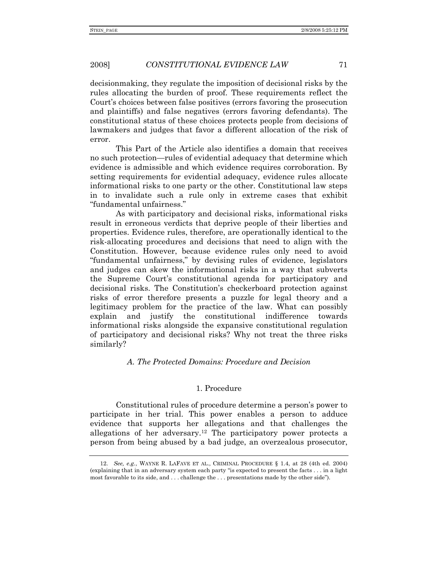decisionmaking, they regulate the imposition of decisional risks by the rules allocating the burden of proof. These requirements reflect the Court's choices between false positives (errors favoring the prosecution and plaintiffs) and false negatives (errors favoring defendants). The constitutional status of these choices protects people from decisions of lawmakers and judges that favor a different allocation of the risk of error.

This Part of the Article also identifies a domain that receives no such protection—rules of evidential adequacy that determine which evidence is admissible and which evidence requires corroboration. By setting requirements for evidential adequacy, evidence rules allocate informational risks to one party or the other. Constitutional law steps in to invalidate such a rule only in extreme cases that exhibit "fundamental unfairness."

As with participatory and decisional risks, informational risks result in erroneous verdicts that deprive people of their liberties and properties. Evidence rules, therefore, are operationally identical to the risk-allocating procedures and decisions that need to align with the Constitution. However, because evidence rules only need to avoid "fundamental unfairness," by devising rules of evidence, legislators and judges can skew the informational risks in a way that subverts the Supreme Court's constitutional agenda for participatory and decisional risks. The Constitution's checkerboard protection against risks of error therefore presents a puzzle for legal theory and a legitimacy problem for the practice of the law. What can possibly explain and justify the constitutional indifference towards informational risks alongside the expansive constitutional regulation of participatory and decisional risks? Why not treat the three risks similarly?

## *A. The Protected Domains: Procedure and Decision*

#### 1. Procedure

Constitutional rules of procedure determine a person's power to participate in her trial. This power enables a person to adduce evidence that supports her allegations and that challenges the allegations of her adversary.12 The participatory power protects a person from being abused by a bad judge, an overzealous prosecutor,

<sup>12.</sup> *See, e.g.*, WAYNE R. LAFAVE ET AL., CRIMINAL PROCEDURE § 1.4, at 28 (4th ed. 2004) (explaining that in an adversary system each party "is expected to present the facts . . . in a light most favorable to its side, and . . . challenge the . . . presentations made by the other side").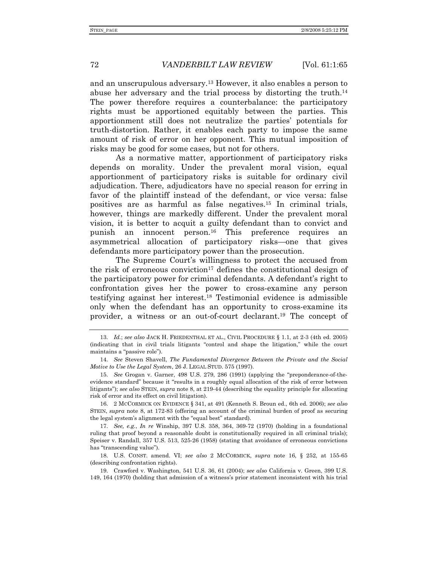and an unscrupulous adversary.13 However, it also enables a person to abuse her adversary and the trial process by distorting the truth.14 The power therefore requires a counterbalance: the participatory rights must be apportioned equitably between the parties. This apportionment still does not neutralize the parties' potentials for truth-distortion. Rather, it enables each party to impose the same amount of risk of error on her opponent. This mutual imposition of risks may be good for some cases, but not for others.

As a normative matter, apportionment of participatory risks depends on morality. Under the prevalent moral vision, equal apportionment of participatory risks is suitable for ordinary civil adjudication. There, adjudicators have no special reason for erring in favor of the plaintiff instead of the defendant, or vice versa: false positives are as harmful as false negatives.15 In criminal trials, however, things are markedly different. Under the prevalent moral vision, it is better to acquit a guilty defendant than to convict and punish an innocent person.16 This preference requires an asymmetrical allocation of participatory risks—one that gives defendants more participatory power than the prosecution.

The Supreme Court's willingness to protect the accused from the risk of erroneous conviction<sup>17</sup> defines the constitutional design of the participatory power for criminal defendants. A defendant's right to confrontation gives her the power to cross-examine any person testifying against her interest.18 Testimonial evidence is admissible only when the defendant has an opportunity to cross-examine its provider, a witness or an out-of-court declarant.19 The concept of

 16. 2 MCCORMICK ON EVIDENCE § 341, at 491 (Kenneth S. Broun ed., 6th ed. 2006); *see also* STEIN, *supra* note 8, at 172-83 (offering an account of the criminal burden of proof as securing the legal system's alignment with the "equal best" standard).

17. *See, e.g.*, *In re* Winship, 397 U.S. 358, 364, 369-72 (1970) (holding in a foundational ruling that proof beyond a reasonable doubt is constitutionally required in all criminal trials); Speiser v. Randall, 357 U.S. 513, 525-26 (1958) (stating that avoidance of erroneous convictions has "transcending value").

 18. U.S. CONST. amend. VI; *see also* 2 MCCORMICK, *supra* note 16, § 252, at 155-65 (describing confrontation rights).

 19. Crawford v. Washington, 541 U.S. 36, 61 (2004); *see also* California v. Green, 399 U.S. 149, 164 (1970) (holding that admission of a witness's prior statement inconsistent with his trial

<sup>13.</sup> *Id.*; *see also* JACK H. FRIEDENTHAL ET AL., CIVIL PROCEDURE § 1.1, at 2-3 (4th ed. 2005) (indicating that in civil trials litigants "control and shape the litigation," while the court maintains a "passive role").

<sup>14.</sup> *See* Steven Shavell, *The Fundamental Divergence Between the Private and the Social Motive to Use the Legal System*, 26 J. LEGAL STUD. 575 (1997).

<sup>15.</sup> *See* Grogan v. Garner, 498 U.S. 279, 286 (1991) (applying the "preponderance-of-theevidence standard" because it "results in a roughly equal allocation of the risk of error between litigants"); *see also* STEIN, *supra* note 8, at 219-44 (describing the equality principle for allocating risk of error and its effect on civil litigation).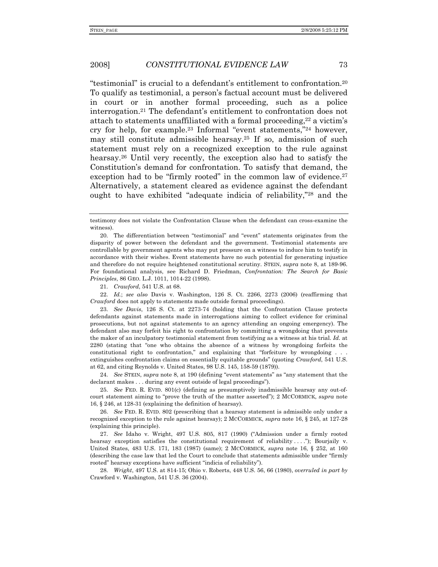"testimonial" is crucial to a defendant's entitlement to confrontation.20 To qualify as testimonial, a person's factual account must be delivered in court or in another formal proceeding, such as a police interrogation.21 The defendant's entitlement to confrontation does not attach to statements unaffiliated with a formal proceeding,  $22$  a victim's cry for help, for example.23 Informal "event statements,"24 however, may still constitute admissible hearsay.25 If so, admission of such statement must rely on a recognized exception to the rule against hearsay.26 Until very recently, the exception also had to satisfy the Constitution's demand for confrontation. To satisfy that demand, the exception had to be "firmly rooted" in the common law of evidence.<sup>27</sup> Alternatively, a statement cleared as evidence against the defendant ought to have exhibited "adequate indicia of reliability,"28 and the

21. *Crawford*, 541 U.S. at 68.

22. *Id.*; *see also* Davis v. Washington, 126 S. Ct. 2266, 2273 (2006) (reaffirming that *Crawford* does not apply to statements made outside formal proceedings).

23. *See Davis*, 126 S. Ct. at 2273-74 (holding that the Confrontation Clause protects defendants against statements made in interrogations aiming to collect evidence for criminal prosecutions, but not against statements to an agency attending an ongoing emergency). The defendant also may forfeit his right to confrontation by committing a wrongdoing that prevents the maker of an inculpatory testimonial statement from testifying as a witness at his trial. *Id.* at 2280 (stating that "one who obtains the absence of a witness by wrongdoing forfeits the constitutional right to confrontation," and explaining that "forfeiture by wrongdoing . . . extinguishes confrontation claims on essentially equitable grounds" (quoting *Crawford*, 541 U.S. at 62, and citing Reynolds v. United States, 98 U.S. 145, 158-59 (1879)).

24. *See* STEIN, *supra* note 8, at 190 (defining "event statements" as "any statement that the declarant makes . . . during any event outside of legal proceedings").

25. *See* FED. R. EVID. 801(c) (defining as presumptively inadmissible hearsay any out-ofcourt statement aiming to "prove the truth of the matter asserted"); 2 MCCORMICK, *supra* note 16, § 246, at 128-31 (explaining the definition of hearsay).

26. *See* FED. R. EVID. 802 (prescribing that a hearsay statement is admissible only under a recognized exception to the rule against hearsay); 2 MCCORMICK, *supra* note 16, § 245, at 127-28 (explaining this principle).

27. *See* Idaho v. Wright, 497 U.S. 805, 817 (1990) ("Admission under a firmly rooted hearsay exception satisfies the constitutional requirement of reliability . . . ."); Bourjaily v. United States, 483 U.S. 171, 183 (1987) (same); 2 MCCORMICK, *supra* note 16, § 252, at 160 (describing the case law that led the Court to conclude that statements admissible under "firmly rooted" hearsay exceptions have sufficient "indicia of reliability").

28. *Wright*, 497 U.S. at 814-15; Ohio v. Roberts, 448 U.S. 56, 66 (1980), *overruled in part by* Crawford v. Washington, 541 U.S. 36 (2004).

testimony does not violate the Confrontation Clause when the defendant can cross-examine the witness).

 <sup>20.</sup> The differentiation between "testimonial" and "event" statements originates from the disparity of power between the defendant and the government. Testimonial statements are controllable by government agents who may put pressure on a witness to induce him to testify in accordance with their wishes. Event statements have no such potential for generating injustice and therefore do not require heightened constitutional scrutiny. STEIN, *supra* note 8, at 189-96. For foundational analysis, see Richard D. Friedman, *Confrontation: The Search for Basic Principles*, 86 GEO. L.J. 1011, 1014-22 (1998).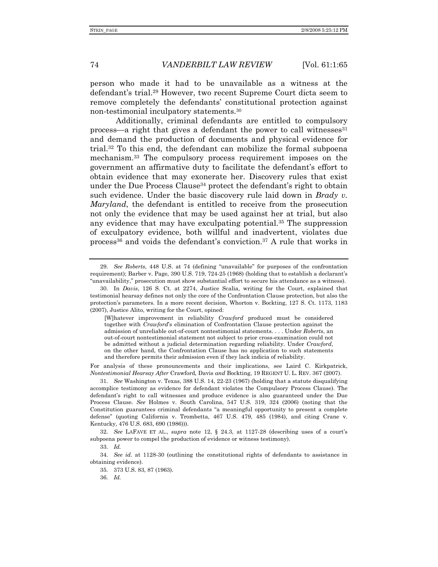person who made it had to be unavailable as a witness at the defendant's trial.29 However, two recent Supreme Court dicta seem to remove completely the defendants' constitutional protection against non-testimonial inculpatory statements.30

Additionally, criminal defendants are entitled to compulsory process—a right that gives a defendant the power to call witnesses $31$ and demand the production of documents and physical evidence for trial.32 To this end, the defendant can mobilize the formal subpoena mechanism.33 The compulsory process requirement imposes on the government an affirmative duty to facilitate the defendant's effort to obtain evidence that may exonerate her. Discovery rules that exist under the Due Process Clause<sup>34</sup> protect the defendant's right to obtain such evidence. Under the basic discovery rule laid down in *Brady v. Maryland*, the defendant is entitled to receive from the prosecution not only the evidence that may be used against her at trial, but also any evidence that may have exculpating potential.35 The suppression of exculpatory evidence, both willful and inadvertent, violates due process<sup>36</sup> and voids the defendant's conviction.<sup>37</sup> A rule that works in

[W]hatever improvement in reliability *Crawford* produced must be considered together with *Crawford*'s elimination of Confrontation Clause protection against the admission of unreliable out-of-court nontestimonial statements. . . . Under *Roberts*, an out-of-court nontestimonial statement not subject to prior cross-examination could not be admitted without a judicial determination regarding reliability. Under *Crawford*, on the other hand, the Confrontation Clause has no application to such statements and therefore permits their admission even if they lack indicia of reliability.

For analysis of these pronouncements and their implications, see Laird C. Kirkpatrick, *Nontestimonial Hearsay After* Crawford*,* Davis *and* Bockting, 19 REGENT U. L. REV. 367 (2007).

31. *See* Washington v. Texas, 388 U.S. 14, 22-23 (1967) (holding that a statute disqualifying accomplice testimony as evidence for defendant violates the Compulsory Process Clause). The defendant's right to call witnesses and produce evidence is also guaranteed under the Due Process Clause. *See* Holmes v. South Carolina, 547 U.S. 319, 324 (2006) (noting that the Constitution guarantees criminal defendants "a meaningful opportunity to present a complete defense" (quoting California v. Trombetta, 467 U.S. 479, 485 (1984), and citing Crane v. Kentucky, 476 U.S. 683, 690 (1986))).

32. *See* LAFAVE ET AL., *supra* note 12, § 24.3, at 1127-28 (describing uses of a court's subpoena power to compel the production of evidence or witness testimony).

33. *Id.*

34. *See id.* at 1128-30 (outlining the constitutional rights of defendants to assistance in obtaining evidence).

35. 373 U.S. 83, 87 (1963).

36. *Id.*

<sup>29.</sup> *See Roberts*, 448 U.S. at 74 (defining "unavailable" for purposes of the confrontation requirement); Barber v. Page, 390 U.S. 719, 724-25 (1968) (holding that to establish a declarant's "unavailability," prosecution must show substantial effort to secure his attendance as a witness).

 <sup>30.</sup> In *Davis*, 126 S. Ct. at 2274, Justice Scalia, writing for the Court, explained that testimonial hearsay defines not only the core of the Confrontation Clause protection, but also the protection's parameters. In a more recent decision, Whorton v. Bockting, 127 S. Ct. 1173, 1183 (2007), Justice Alito, writing for the Court, opined: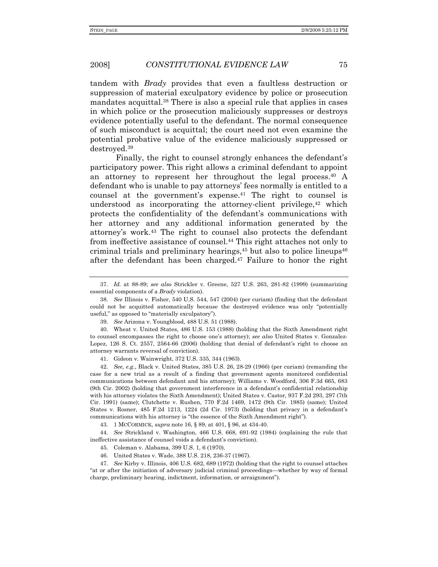tandem with *Brady* provides that even a faultless destruction or suppression of material exculpatory evidence by police or prosecution mandates acquittal.38 There is also a special rule that applies in cases in which police or the prosecution maliciously suppresses or destroys evidence potentially useful to the defendant. The normal consequence of such misconduct is acquittal; the court need not even examine the potential probative value of the evidence maliciously suppressed or destroyed.39

Finally, the right to counsel strongly enhances the defendant's participatory power. This right allows a criminal defendant to appoint an attorney to represent her throughout the legal process.40 A defendant who is unable to pay attorneys' fees normally is entitled to a counsel at the government's expense.41 The right to counsel is understood as incorporating the attorney-client privilege, $42$  which protects the confidentiality of the defendant's communications with her attorney and any additional information generated by the attorney's work.43 The right to counsel also protects the defendant from ineffective assistance of counsel.44 This right attaches not only to criminal trials and preliminary hearings, $45$  but also to police lineups $46$ after the defendant has been charged.47 Failure to honor the right

41. Gideon v. Wainwright, 372 U.S. 335, 344 (1963).

42. *See, e.g.*, Black v. United States, 385 U.S. 26, 28-29 (1966) (per curiam) (remanding the case for a new trial as a result of a finding that government agents monitored confidential communications between defendant and his attorney); Williams v. Woodford, 306 F.3d 665, 683 (9th Cir. 2002) (holding that government interference in a defendant's confidential relationship with his attorney violates the Sixth Amendment); United States v. Castor, 937 F.2d 293, 297 (7th Cir. 1991) (same); Clutchette v. Rushen, 770 F.2d 1469, 1472 (9th Cir. 1985) (same); United States v. Rosner, 485 F.2d 1213, 1224 (2d Cir. 1973) (holding that privacy in a defendant's communications with his attorney is "the essence of the Sixth Amendment right").

43. 1 MCCORMICK, *supra* note 16, § 89, at 401, § 96, at 434-40.

44. *See* Strickland v. Washington, 466 U.S. 668, 691-92 (1984) (explaining the rule that ineffective assistance of counsel voids a defendant's conviction).

45. Coleman v. Alabama, 399 U.S. 1, 6 (1970).

46. United States v. Wade, 388 U.S. 218, 236-37 (1967).

47. *See* Kirby v. Illinois, 406 U.S. 682, 689 (1972) (holding that the right to counsel attaches "at or after the initiation of adversary judicial criminal proceedings—whether by way of formal charge, preliminary hearing, indictment, information, or arraignment").

<sup>37.</sup> *Id.* at 88-89; *see also* Strickler v. Greene, 527 U.S. 263, 281-82 (1999) (summarizing essential components of a *Brady* violation).

<sup>38.</sup> *See* Illinois v. Fisher, 540 U.S. 544, 547 (2004) (per curiam) (finding that the defendant could not be acquitted automatically because the destroyed evidence was only "potentially useful," as opposed to "materially exculpatory").

<sup>39.</sup> *See* Arizona v. Youngblood, 488 U.S. 51 (1988).

 <sup>40.</sup> Wheat v. United States, 486 U.S. 153 (1988) (holding that the Sixth Amendment right to counsel encompasses the right to choose one's attorney); *see also* United States v. Gonzalez-Lopez, 126 S. Ct. 2557, 2564-66 (2006) (holding that denial of defendant's right to choose an attorney warrants reversal of conviction).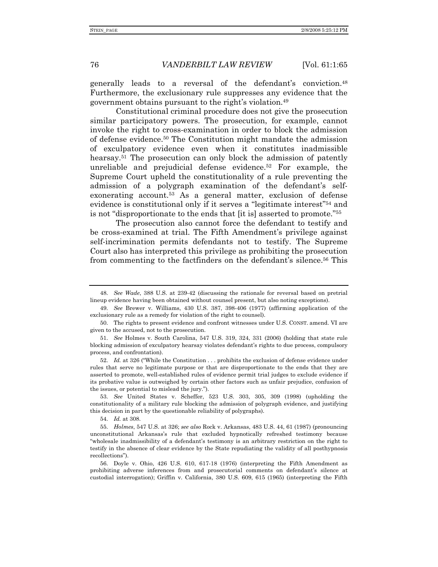generally leads to a reversal of the defendant's conviction.48 Furthermore, the exclusionary rule suppresses any evidence that the government obtains pursuant to the right's violation.49

Constitutional criminal procedure does not give the prosecution similar participatory powers. The prosecution, for example, cannot invoke the right to cross-examination in order to block the admission of defense evidence.50 The Constitution might mandate the admission of exculpatory evidence even when it constitutes inadmissible hearsay.<sup>51</sup> The prosecution can only block the admission of patently unreliable and prejudicial defense evidence.52 For example, the Supreme Court upheld the constitutionality of a rule preventing the admission of a polygraph examination of the defendant's selfexonerating account.<sup>53</sup> As a general matter, exclusion of defense evidence is constitutional only if it serves a "legitimate interest"54 and is not "disproportionate to the ends that [it is] asserted to promote."55

The prosecution also cannot force the defendant to testify and be cross-examined at trial. The Fifth Amendment's privilege against self-incrimination permits defendants not to testify. The Supreme Court also has interpreted this privilege as prohibiting the prosecution from commenting to the factfinders on the defendant's silence.56 This

52. *Id.* at 326 ("While the Constitution . . . prohibits the exclusion of defense evidence under rules that serve no legitimate purpose or that are disproportionate to the ends that they are asserted to promote, well-established rules of evidence permit trial judges to exclude evidence if its probative value is outweighed by certain other factors such as unfair prejudice, confusion of the issues, or potential to mislead the jury.").

53. *See* United States v. Scheffer, 523 U.S. 303, 305, 309 (1998) (upholding the constitutionality of a military rule blocking the admission of polygraph evidence, and justifying this decision in part by the questionable reliability of polygraphs).

54. *Id.* at 308.

<sup>48.</sup> *See Wade*, 388 U.S. at 239-42 (discussing the rationale for reversal based on pretrial lineup evidence having been obtained without counsel present, but also noting exceptions).

<sup>49.</sup> *See* Brewer v. Williams, 430 U.S. 387, 398-406 (1977) (affirming application of the exclusionary rule as a remedy for violation of the right to counsel).

 <sup>50.</sup> The rights to present evidence and confront witnesses under U.S. CONST. amend. VI are given to the accused, not to the prosecution.

<sup>51.</sup> *See* Holmes v. South Carolina, 547 U.S. 319, 324, 331 (2006) (holding that state rule blocking admission of exculpatory hearsay violates defendant's rights to due process, compulsory process, and confrontation).

<sup>55.</sup> *Holmes*, 547 U.S. at 326; *see also* Rock v. Arkansas, 483 U.S. 44, 61 (1987) (pronouncing unconstitutional Arkansas's rule that excluded hypnotically refreshed testimony because "wholesale inadmissibility of a defendant's testimony is an arbitrary restriction on the right to testify in the absence of clear evidence by the State repudiating the validity of all posthypnosis recollections").

 <sup>56.</sup> Doyle v. Ohio, 426 U.S. 610, 617-18 (1976) (interpreting the Fifth Amendment as prohibiting adverse inferences from and prosecutorial comments on defendant's silence at custodial interrogation); Griffin v. California, 380 U.S. 609, 615 (1965) (interpreting the Fifth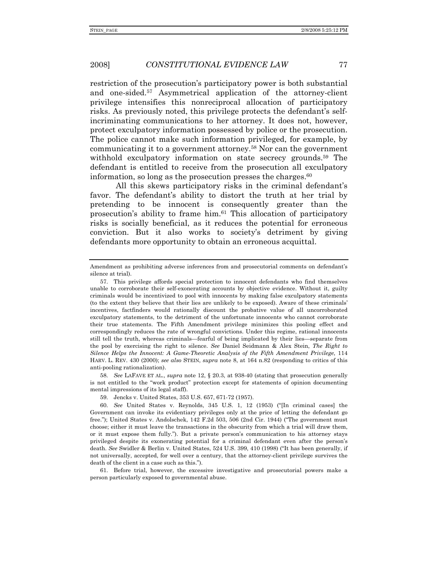restriction of the prosecution's participatory power is both substantial and one-sided.57 Asymmetrical application of the attorney-client privilege intensifies this nonreciprocal allocation of participatory risks. As previously noted, this privilege protects the defendant's selfincriminating communications to her attorney. It does not, however, protect exculpatory information possessed by police or the prosecution. The police cannot make such information privileged, for example, by communicating it to a government attorney.58 Nor can the government withhold exculpatory information on state secrecy grounds.<sup>59</sup> The defendant is entitled to receive from the prosecution all exculpatory information, so long as the prosecution presses the charges. $60$ 

All this skews participatory risks in the criminal defendant's favor. The defendant's ability to distort the truth at her trial by pretending to be innocent is consequently greater than the prosecution's ability to frame him.61 This allocation of participatory risks is socially beneficial, as it reduces the potential for erroneous conviction. But it also works to society's detriment by giving defendants more opportunity to obtain an erroneous acquittal.

58. *See* LAFAVE ET AL., *supra* note 12, § 20.3, at 938-40 (stating that prosecution generally is not entitled to the "work product" protection except for statements of opinion documenting mental impressions of its legal staff).

 61. Before trial, however, the excessive investigative and prosecutorial powers make a person particularly exposed to governmental abuse.

Amendment as prohibiting adverse inferences from and prosecutorial comments on defendant's silence at trial).

 <sup>57.</sup> This privilege affords special protection to innocent defendants who find themselves unable to corroborate their self-exonerating accounts by objective evidence. Without it, guilty criminals would be incentivized to pool with innocents by making false exculpatory statements (to the extent they believe that their lies are unlikely to be exposed). Aware of these criminals' incentives, factfinders would rationally discount the probative value of all uncorroborated exculpatory statements, to the detriment of the unfortunate innocents who cannot corroborate their true statements. The Fifth Amendment privilege minimizes this pooling effect and correspondingly reduces the rate of wrongful convictions. Under this regime, rational innocents still tell the truth, whereas criminals—fearful of being implicated by their lies—separate from the pool by exercising the right to silence. *See* Daniel Seidmann & Alex Stein, *The Right to Silence Helps the Innocent: A Game-Theoretic Analysis of the Fifth Amendment Privilege*, 114 HARV. L. REV. 430 (2000); *see also* STEIN, *supra* note 8, at 164 n.82 (responding to critics of this anti-pooling rationalization).

 <sup>59.</sup> Jencks v. United States, 353 U.S. 657, 671-72 (1957).

<sup>60.</sup> *See* United States v. Reynolds, 345 U.S. 1, 12 (1953) ("[In criminal cases] the Government can invoke its evidentiary privileges only at the price of letting the defendant go free."); United States v. Andolschek, 142 F.2d 503, 506 (2nd Cir. 1944) ("The government must choose; either it must leave the transactions in the obscurity from which a trial will draw them, or it must expose them fully."). But a private person's communication to his attorney stays privileged despite its exonerating potential for a criminal defendant even after the person's death. *See* Swidler & Berlin v. United States, 524 U.S. 399, 410 (1998) ("It has been generally, if not universally, accepted, for well over a century, that the attorney-client privilege survives the death of the client in a case such as this.").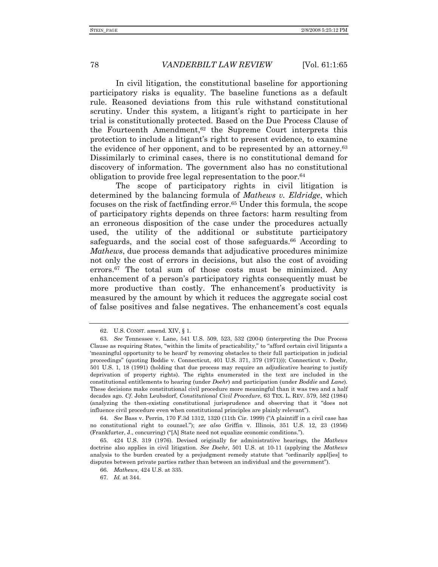In civil litigation, the constitutional baseline for apportioning participatory risks is equality. The baseline functions as a default rule. Reasoned deviations from this rule withstand constitutional scrutiny. Under this system, a litigant's right to participate in her trial is constitutionally protected. Based on the Due Process Clause of the Fourteenth Amendment,62 the Supreme Court interprets this protection to include a litigant's right to present evidence, to examine the evidence of her opponent, and to be represented by an attorney.63 Dissimilarly to criminal cases, there is no constitutional demand for discovery of information. The government also has no constitutional obligation to provide free legal representation to the poor.64

The scope of participatory rights in civil litigation is determined by the balancing formula of *Mathews v. Eldridge*, which focuses on the risk of factfinding error.<sup>65</sup> Under this formula, the scope of participatory rights depends on three factors: harm resulting from an erroneous disposition of the case under the procedures actually used, the utility of the additional or substitute participatory safeguards, and the social cost of those safeguards.<sup>66</sup> According to *Mathews*, due process demands that adjudicative procedures minimize not only the cost of errors in decisions, but also the cost of avoiding errors.67 The total sum of those costs must be minimized. Any enhancement of a person's participatory rights consequently must be more productive than costly. The enhancement's productivity is measured by the amount by which it reduces the aggregate social cost of false positives and false negatives. The enhancement's cost equals

 <sup>62.</sup> U.S. CONST. amend. XIV, § 1.

<sup>63.</sup> *See* Tennessee v. Lane, 541 U.S. 509, 523, 532 (2004) (interpreting the Due Process Clause as requiring States, "within the limits of practicability," to "afford certain civil litigants a 'meaningful opportunity to be heard' by removing obstacles to their full participation in judicial proceedings" (quoting Boddie v. Connecticut, 401 U.S. 371, 379 (1971))); Connecticut v. Doehr, 501 U.S. 1, 18 (1991) (holding that due process may require an adjudicative hearing to justify deprivation of property rights). The rights enumerated in the text are included in the constitutional entitlements to hearing (under *Doehr*) and participation (under *Boddie* and *Lane*). These decisions make constitutional civil procedure more meaningful than it was two and a half decades ago. *Cf*. John Leubsdorf, *Constitutional Civil Procedure*, 63 TEX. L. REV. 579, 582 (1984) (analyzing the then-existing constitutional jurisprudence and observing that it "does not influence civil procedure even when constitutional principles are plainly relevant").

<sup>64.</sup> *See* Bass v. Perrin, 170 F.3d 1312, 1320 (11th Cir. 1999) ("A plaintiff in a civil case has no constitutional right to counsel."); *see also* Griffin v. Illinois, 351 U.S. 12, 23 (1956) (Frankfurter, J., concurring) ("[A] State need not equalize economic conditions.").

 <sup>65. 424</sup> U.S. 319 (1976). Devised originally for administrative hearings, the *Mathews* doctrine also applies in civil litigation. *See Doehr*, 501 U.S. at 10-11 (applying the *Mathews*  analysis to the burden created by a prejudgment remedy statute that "ordinarily appl[ies] to disputes between private parties rather than between an individual and the government").

<sup>66.</sup> *Mathews*, 424 U.S. at 335.

<sup>67.</sup> *Id.* at 344.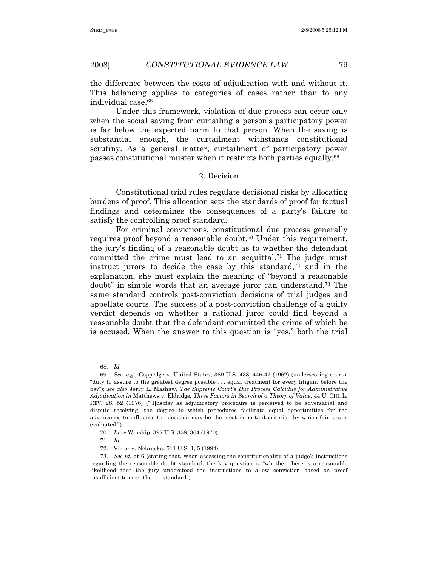the difference between the costs of adjudication with and without it. This balancing applies to categories of cases rather than to any individual case.68

Under this framework, violation of due process can occur only when the social saving from curtailing a person's participatory power is far below the expected harm to that person. When the saving is substantial enough, the curtailment withstands constitutional scrutiny. As a general matter, curtailment of participatory power passes constitutional muster when it restricts both parties equally.69

#### 2. Decision

Constitutional trial rules regulate decisional risks by allocating burdens of proof. This allocation sets the standards of proof for factual findings and determines the consequences of a party's failure to satisfy the controlling proof standard.

For criminal convictions, constitutional due process generally requires proof beyond a reasonable doubt.70 Under this requirement, the jury's finding of a reasonable doubt as to whether the defendant committed the crime must lead to an acquittal.<sup>71</sup> The judge must instruct jurors to decide the case by this standard, $72$  and in the explanation, she must explain the meaning of "beyond a reasonable doubt" in simple words that an average juror can understand.73 The same standard controls post-conviction decisions of trial judges and appellate courts. The success of a post-conviction challenge of a guilty verdict depends on whether a rational juror could find beyond a reasonable doubt that the defendant committed the crime of which he is accused. When the answer to this question is "yes," both the trial

<sup>68.</sup> *Id.*

<sup>69.</sup> *See, e.g.*, Coppedge v. United States, 369 U.S. 438, 446-47 (1962) (underscoring courts' "duty to assure to the greatest degree possible . . . equal treatment for every litigant before the bar"); *see also* Jerry L. Mashaw, *The Supreme Court's Due Process Calculus for Administrative Adjudication in* Matthews v. Eldridge*: Three Factors in Search of a Theory of Value*, 44 U. CHI. L. REV. 28, 52 (1976) ("[I]nsofar as adjudicatory procedure is perceived to be adversarial and dispute resolving, the degree to which procedures facilitate equal opportunities for the adversaries to influence the decision may be the most important criterion by which fairness is evaluated.").

<sup>70.</sup> *In re* Winship, 397 U.S. 358, 364 (1970).

<sup>71.</sup> *Id.*

 <sup>72.</sup> Victor v. Nebraska, 511 U.S. 1, 5 (1994).

<sup>73.</sup> *See id.* at 6 (stating that, when assessing the constitutionality of a judge's instructions regarding the reasonable doubt standard, the key question is "whether there is a reasonable likelihood that the jury understood the instructions to allow conviction based on proof insufficient to meet the . . . standard").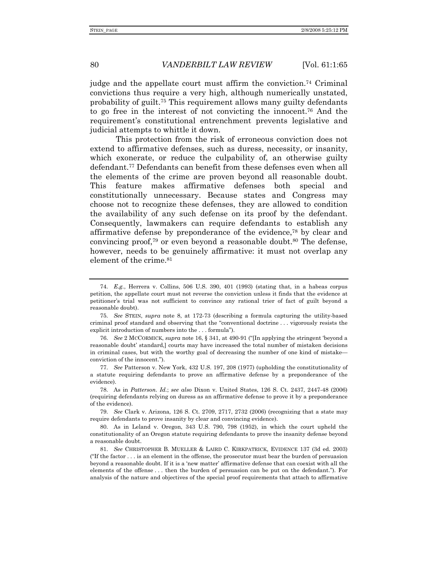judge and the appellate court must affirm the conviction.74 Criminal convictions thus require a very high, although numerically unstated, probability of guilt.75 This requirement allows many guilty defendants to go free in the interest of not convicting the innocent.76 And the requirement's constitutional entrenchment prevents legislative and judicial attempts to whittle it down.

This protection from the risk of erroneous conviction does not extend to affirmative defenses, such as duress, necessity, or insanity, which exonerate, or reduce the culpability of, an otherwise guilty defendant.77 Defendants can benefit from these defenses even when all the elements of the crime are proven beyond all reasonable doubt. This feature makes affirmative defenses both special and constitutionally unnecessary. Because states and Congress may choose not to recognize these defenses, they are allowed to condition the availability of any such defense on its proof by the defendant. Consequently, lawmakers can require defendants to establish any affirmative defense by preponderance of the evidence,78 by clear and convincing proof,<sup>79</sup> or even beyond a reasonable doubt.<sup>80</sup> The defense, however, needs to be genuinely affirmative: it must not overlap any element of the crime.<sup>81</sup>

<sup>74.</sup> *E.g.*, Herrera v. Collins, 506 U.S. 390, 401 (1993) (stating that, in a habeas corpus petition, the appellate court must not reverse the conviction unless it finds that the evidence at petitioner's trial was not sufficient to convince any rational trier of fact of guilt beyond a reasonable doubt).

<sup>75.</sup> *See* STEIN, *supra* note 8, at 172-73 (describing a formula capturing the utility-based criminal proof standard and observing that the "conventional doctrine . . . vigorously resists the explicit introduction of numbers into the . . . formula").

<sup>76.</sup> *See* 2 MCCORMICK, *supra* note 16, § 341, at 490-91 ("[In applying the stringent 'beyond a reasonable doubt' standard,] courts may have increased the total number of mistaken decisions in criminal cases, but with the worthy goal of decreasing the number of one kind of mistake conviction of the innocent.").

<sup>77.</sup> *See* Patterson v. New York, 432 U.S. 197, 208 (1977) (upholding the constitutionality of a statute requiring defendants to prove an affirmative defense by a preponderance of the evidence).

 <sup>78.</sup> As in *Patterson. Id.*; *see also* Dixon v. United States, 126 S. Ct. 2437, 2447-48 (2006) (requiring defendants relying on duress as an affirmative defense to prove it by a preponderance of the evidence).

<sup>79.</sup> *See* Clark v. Arizona, 126 S. Ct. 2709, 2717, 2732 (2006) (recognizing that a state may require defendants to prove insanity by clear and convincing evidence).

 <sup>80.</sup> As in Leland v. Oregon, 343 U.S. 790, 798 (1952), in which the court upheld the constitutionality of an Oregon statute requiring defendants to prove the insanity defense beyond a reasonable doubt.

<sup>81.</sup> *See* CHRISTOPHER B. MUELLER & LAIRD C. KIRKPATRICK, EVIDENCE 137 (3d ed. 2003) ("If the factor . . . is an element in the offense, the prosecutor must bear the burden of persuasion beyond a reasonable doubt. If it is a 'new matter' affirmative defense that can coexist with all the elements of the offense . . . then the burden of persuasion can be put on the defendant."). For analysis of the nature and objectives of the special proof requirements that attach to affirmative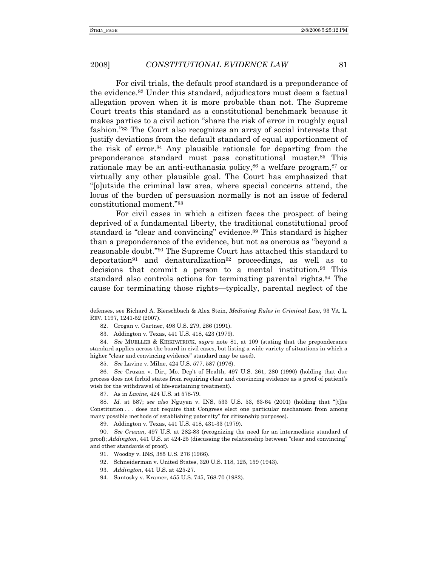For civil trials, the default proof standard is a preponderance of the evidence.82 Under this standard, adjudicators must deem a factual allegation proven when it is more probable than not. The Supreme Court treats this standard as a constitutional benchmark because it makes parties to a civil action "share the risk of error in roughly equal fashion."83 The Court also recognizes an array of social interests that justify deviations from the default standard of equal apportionment of the risk of error.84 Any plausible rationale for departing from the preponderance standard must pass constitutional muster.85 This rationale may be an anti-euthanasia policy,<sup>86</sup> a welfare program,<sup>87</sup> or virtually any other plausible goal. The Court has emphasized that "[o]utside the criminal law area, where special concerns attend, the locus of the burden of persuasion normally is not an issue of federal constitutional moment."88

For civil cases in which a citizen faces the prospect of being deprived of a fundamental liberty, the traditional constitutional proof standard is "clear and convincing" evidence.89 This standard is higher than a preponderance of the evidence, but not as onerous as "beyond a reasonable doubt."90 The Supreme Court has attached this standard to deportation<sup>91</sup> and denaturalization<sup>92</sup> proceedings, as well as to decisions that commit a person to a mental institution.93 This standard also controls actions for terminating parental rights.94 The cause for terminating those rights—typically, parental neglect of the

85. *See* Lavine v. Milne, 424 U.S. 577, 587 (1976).

86. *See* Cruzan v. Dir., Mo. Dep't of Health, 497 U.S. 261, 280 (1990) (holding that due process does not forbid states from requiring clear and convincing evidence as a proof of patient's wish for the withdrawal of life-sustaining treatment).

88. *Id.* at 587; *see also* Nguyen v. INS, 533 U.S. 53, 63-64 (2001) (holding that "[t]he Constitution . . . does not require that Congress elect one particular mechanism from among many possible methods of establishing paternity" for citizenship purposes).

89. Addington v. Texas, 441 U.S. 418, 431-33 (1979).

90. *See Cruzan*, 497 U.S. at 282-83 (recognizing the need for an intermediate standard of proof); *Addington*, 441 U.S. at 424-25 (discussing the relationship between "clear and convincing" and other standards of proof).

92. Schneiderman v. United States, 320 U.S. 118, 125, 159 (1943).

93. *Addington*, 441 U.S. at 425-27.

94. Santosky v. Kramer, 455 U.S. 745, 768-70 (1982).

defenses, see Richard A. Bierschbach & Alex Stein, *Mediating Rules in Criminal Law*, 93 VA. L. REV. 1197, 1241-52 (2007).

 <sup>82.</sup> Grogan v. Gartner, 498 U.S. 279, 286 (1991).

 <sup>83.</sup> Addington v. Texas, 441 U.S. 418, 423 (1979).

<sup>84.</sup> *See* MUELLER & KIRKPATRICK, *supra* note 81, at 109 (stating that the preponderance standard applies across the board in civil cases, but listing a wide variety of situations in which a higher "clear and convincing evidence" standard may be used).

 <sup>87.</sup> As in *Lavine*, 424 U.S. at 578-79.

 <sup>91.</sup> Woodby v. INS, 385 U.S. 276 (1966).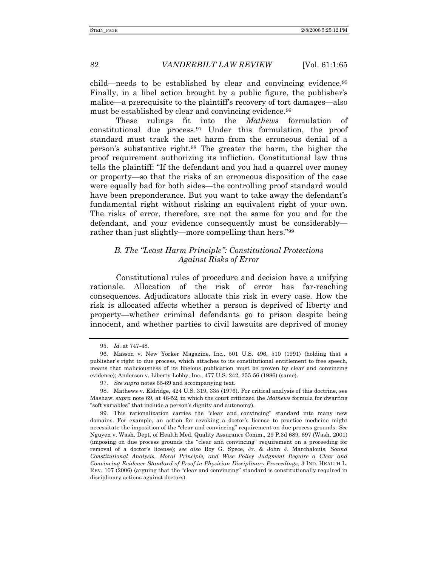child—needs to be established by clear and convincing evidence.95 Finally, in a libel action brought by a public figure, the publisher's malice—a prerequisite to the plaintiff's recovery of tort damages—also must be established by clear and convincing evidence.<sup>96</sup>

These rulings fit into the *Mathews* formulation of constitutional due process.97 Under this formulation, the proof standard must track the net harm from the erroneous denial of a person's substantive right.98 The greater the harm, the higher the proof requirement authorizing its infliction. Constitutional law thus tells the plaintiff: "If the defendant and you had a quarrel over money or property—so that the risks of an erroneous disposition of the case were equally bad for both sides—the controlling proof standard would have been preponderance. But you want to take away the defendant's fundamental right without risking an equivalent right of your own. The risks of error, therefore, are not the same for you and for the defendant, and your evidence consequently must be considerably rather than just slightly—more compelling than hers."99

## *B. The "Least Harm Principle": Constitutional Protections Against Risks of Error*

Constitutional rules of procedure and decision have a unifying rationale. Allocation of the risk of error has far-reaching consequences. Adjudicators allocate this risk in every case. How the risk is allocated affects whether a person is deprived of liberty and property—whether criminal defendants go to prison despite being innocent, and whether parties to civil lawsuits are deprived of money

<sup>95.</sup> *Id.* at 747-48.

 <sup>96.</sup> Masson v. New Yorker Magazine, Inc., 501 U.S. 496, 510 (1991) (holding that a publisher's right to due process, which attaches to its constitutional entitlement to free speech, means that maliciousness of its libelous publication must be proven by clear and convincing evidence); Anderson v. Liberty Lobby, Inc., 477 U.S. 242, 255-56 (1986) (same).

<sup>97.</sup> *See supra* notes 65-69 and accompanying text.

 <sup>98.</sup> Mathews v. Eldridge, 424 U.S. 319, 335 (1976). For critical analysis of this doctrine, see Mashaw, *supra* note 69, at 46-52, in which the court criticized the *Mathews* formula for dwarfing "soft variables" that include a person's dignity and autonomy).

 <sup>99.</sup> This rationalization carries the "clear and convincing" standard into many new domains. For example, an action for revoking a doctor's license to practice medicine might necessitate the imposition of the "clear and convincing" requirement on due process grounds. *See* Nguyen v. Wash. Dept. of Health Med. Quality Assurance Comm., 29 P.3d 689, 697 (Wash. 2001) (imposing on due process grounds the "clear and convincing" requirement on a proceeding for removal of a doctor's license); *see also* Roy G. Spece, Jr. & John J. Marchalonis, *Sound Constitutional Analysis, Moral Principle, and Wise Policy Judgment Require a Clear and Convincing Evidence Standard of Proof in Physician Disciplinary Proceedings*, 3 IND. HEALTH L. REV. 107 (2006) (arguing that the "clear and convincing" standard is constitutionally required in disciplinary actions against doctors).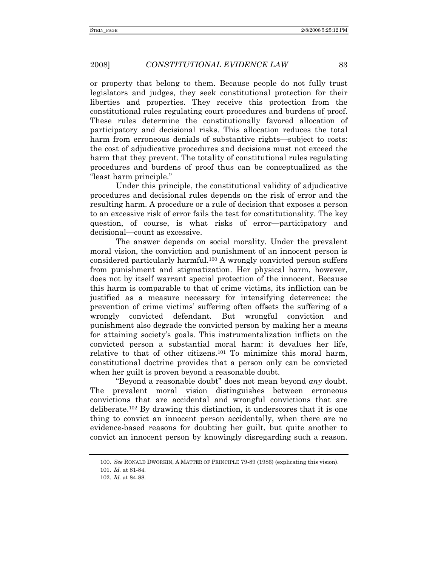or property that belong to them. Because people do not fully trust legislators and judges, they seek constitutional protection for their liberties and properties. They receive this protection from the constitutional rules regulating court procedures and burdens of proof. These rules determine the constitutionally favored allocation of participatory and decisional risks. This allocation reduces the total harm from erroneous denials of substantive rights—subject to costs: the cost of adjudicative procedures and decisions must not exceed the harm that they prevent. The totality of constitutional rules regulating procedures and burdens of proof thus can be conceptualized as the "least harm principle."

Under this principle, the constitutional validity of adjudicative procedures and decisional rules depends on the risk of error and the resulting harm. A procedure or a rule of decision that exposes a person to an excessive risk of error fails the test for constitutionality. The key question, of course, is what risks of error—participatory and decisional—count as excessive.

The answer depends on social morality. Under the prevalent moral vision, the conviction and punishment of an innocent person is considered particularly harmful.100 A wrongly convicted person suffers from punishment and stigmatization. Her physical harm, however, does not by itself warrant special protection of the innocent. Because this harm is comparable to that of crime victims, its infliction can be justified as a measure necessary for intensifying deterrence: the prevention of crime victims' suffering often offsets the suffering of a wrongly convicted defendant. But wrongful conviction and punishment also degrade the convicted person by making her a means for attaining society's goals. This instrumentalization inflicts on the convicted person a substantial moral harm: it devalues her life, relative to that of other citizens.101 To minimize this moral harm, constitutional doctrine provides that a person only can be convicted when her guilt is proven beyond a reasonable doubt.

"Beyond a reasonable doubt" does not mean beyond *any* doubt. The prevalent moral vision distinguishes between erroneous convictions that are accidental and wrongful convictions that are deliberate.<sup>102</sup> By drawing this distinction, it underscores that it is one thing to convict an innocent person accidentally, when there are no evidence-based reasons for doubting her guilt, but quite another to convict an innocent person by knowingly disregarding such a reason.

<sup>100.</sup> *See* RONALD DWORKIN, A MATTER OF PRINCIPLE 79-89 (1986) (explicating this vision).

<sup>101.</sup> *Id.* at 81-84.

<sup>102.</sup> *Id.* at 84-88.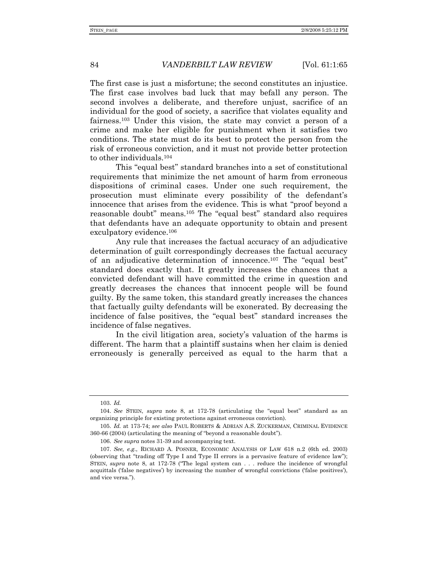The first case is just a misfortune; the second constitutes an injustice. The first case involves bad luck that may befall any person. The second involves a deliberate, and therefore unjust, sacrifice of an individual for the good of society, a sacrifice that violates equality and fairness.103 Under this vision, the state may convict a person of a crime and make her eligible for punishment when it satisfies two conditions. The state must do its best to protect the person from the risk of erroneous conviction, and it must not provide better protection to other individuals.104

This "equal best" standard branches into a set of constitutional requirements that minimize the net amount of harm from erroneous dispositions of criminal cases. Under one such requirement, the prosecution must eliminate every possibility of the defendant's innocence that arises from the evidence. This is what "proof beyond a reasonable doubt" means.105 The "equal best" standard also requires that defendants have an adequate opportunity to obtain and present exculpatory evidence.106

Any rule that increases the factual accuracy of an adjudicative determination of guilt correspondingly decreases the factual accuracy of an adjudicative determination of innocence.107 The "equal best" standard does exactly that. It greatly increases the chances that a convicted defendant will have committed the crime in question and greatly decreases the chances that innocent people will be found guilty. By the same token, this standard greatly increases the chances that factually guilty defendants will be exonerated. By decreasing the incidence of false positives, the "equal best" standard increases the incidence of false negatives.

In the civil litigation area, society's valuation of the harms is different. The harm that a plaintiff sustains when her claim is denied erroneously is generally perceived as equal to the harm that a

<sup>103.</sup> *Id.*

<sup>104.</sup> *See* STEIN, *supra* note 8, at 172-78 (articulating the "equal best" standard as an organizing principle for existing protections against erroneous conviction).

<sup>105.</sup> *Id.* at 173-74; *see also* PAUL ROBERTS & ADRIAN A.S. ZUCKERMAN, CRIMINAL EVIDENCE 360-66 (2004) (articulating the meaning of "beyond a reasonable doubt").

<sup>106.</sup> *See supra* notes 31-39 and accompanying text.

<sup>107.</sup> *See, e.g.*, RICHARD A. POSNER, ECONOMIC ANALYSIS OF LAW 618 n.2 (6th ed. 2003) (observing that "trading off Type I and Type II errors is a pervasive feature of evidence law"); STEIN, *supra* note 8, at 172-78 ("The legal system can . . . reduce the incidence of wrongful acquittals ('false negatives') by increasing the number of wrongful convictions ('false positives'), and vice versa.").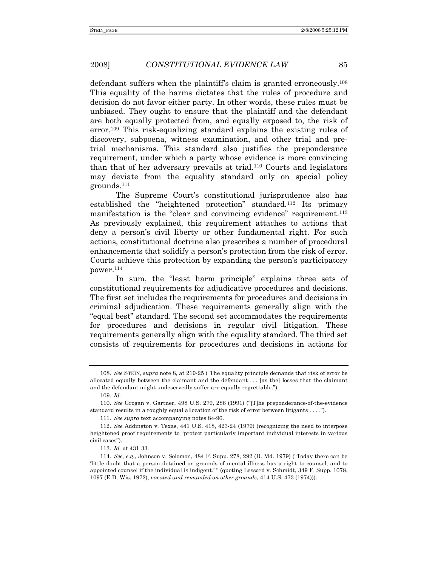defendant suffers when the plaintiff's claim is granted erroneously.108 This equality of the harms dictates that the rules of procedure and decision do not favor either party. In other words, these rules must be unbiased. They ought to ensure that the plaintiff and the defendant are both equally protected from, and equally exposed to, the risk of error.109 This risk-equalizing standard explains the existing rules of discovery, subpoena, witness examination, and other trial and pretrial mechanisms. This standard also justifies the preponderance requirement, under which a party whose evidence is more convincing than that of her adversary prevails at trial.110 Courts and legislators may deviate from the equality standard only on special policy grounds.111

The Supreme Court's constitutional jurisprudence also has established the "heightened protection" standard.112 Its primary manifestation is the "clear and convincing evidence" requirement.<sup>113</sup> As previously explained, this requirement attaches to actions that deny a person's civil liberty or other fundamental right. For such actions, constitutional doctrine also prescribes a number of procedural enhancements that solidify a person's protection from the risk of error. Courts achieve this protection by expanding the person's participatory power.114

In sum, the "least harm principle" explains three sets of constitutional requirements for adjudicative procedures and decisions. The first set includes the requirements for procedures and decisions in criminal adjudication. These requirements generally align with the "equal best" standard. The second set accommodates the requirements for procedures and decisions in regular civil litigation. These requirements generally align with the equality standard. The third set consists of requirements for procedures and decisions in actions for

109. *Id.*

111. *See supra* text accompanying notes 84-96.

<sup>108.</sup> *See* STEIN, *supra* note 8, at 219-25 ("The equality principle demands that risk of error be allocated equally between the claimant and the defendant . . . [as the] losses that the claimant and the defendant might undeservedly suffer are equally regrettable.").

<sup>110.</sup> *See* Grogan v. Gartner, 498 U.S. 279, 286 (1991) ("[T]he preponderance-of-the-evidence standard results in a roughly equal allocation of the risk of error between litigants . . . .").

<sup>112.</sup> *See* Addington v. Texas, 441 U.S. 418, 423-24 (1979) (recognizing the need to interpose heightened proof requirements to "protect particularly important individual interests in various civil cases").

<sup>113.</sup> *Id.* at 431-33.

<sup>114.</sup> *See, e.g.*, Johnson v. Solomon, 484 F. Supp. 278, 292 (D. Md. 1979) ("Today there can be 'little doubt that a person detained on grounds of mental illness has a right to counsel, and to appointed counsel if the individual is indigent.' " (quoting Lessard v. Schmidt, 349 F. Supp. 1078, 1097 (E.D. Wis. 1972), *vacated and remanded on other grounds*, 414 U.S. 473 (1974))).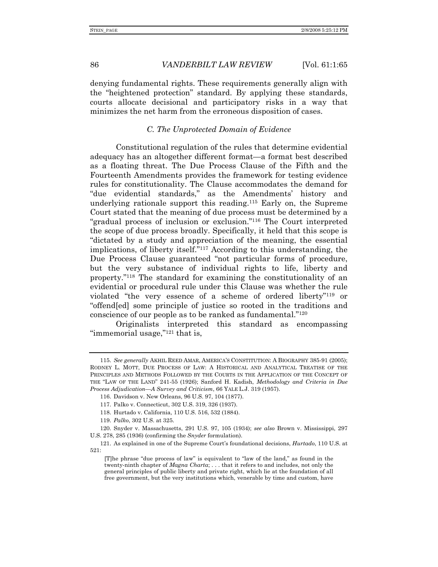denying fundamental rights. These requirements generally align with the "heightened protection" standard. By applying these standards, courts allocate decisional and participatory risks in a way that minimizes the net harm from the erroneous disposition of cases.

#### *C. The Unprotected Domain of Evidence*

Constitutional regulation of the rules that determine evidential adequacy has an altogether different format—a format best described as a floating threat. The Due Process Clause of the Fifth and the Fourteenth Amendments provides the framework for testing evidence rules for constitutionality. The Clause accommodates the demand for "due evidential standards," as the Amendments' history and underlying rationale support this reading.115 Early on, the Supreme Court stated that the meaning of due process must be determined by a "gradual process of inclusion or exclusion."116 The Court interpreted the scope of due process broadly. Specifically, it held that this scope is "dictated by a study and appreciation of the meaning, the essential implications, of liberty itself."117 According to this understanding, the Due Process Clause guaranteed "not particular forms of procedure, but the very substance of individual rights to life, liberty and property."118 The standard for examining the constitutionality of an evidential or procedural rule under this Clause was whether the rule violated "the very essence of a scheme of ordered liberty"119 or "offend[ed] some principle of justice so rooted in the traditions and conscience of our people as to be ranked as fundamental."120

Originalists interpreted this standard as encompassing "immemorial usage,"<sup>121</sup> that is,

<sup>115.</sup> *See generally* AKHIL REED AMAR, AMERICA'S CONSTITUTION: A BIOGRAPHY 385-91 (2005); RODNEY L. MOTT, DUE PROCESS OF LAW: A HISTORICAL AND ANALYTICAL TREATISE OF THE PRINCIPLES AND METHODS FOLLOWED BY THE COURTS IN THE APPLICATION OF THE CONCEPT OF THE "LAW OF THE LAND" 241-55 (1926); Sanford H. Kadish, *Methodology and Criteria in Due Process Adjudication—A Survey and Criticism*, 66 YALE L.J. 319 (1957).

 <sup>116.</sup> Davidson v. New Orleans, 96 U.S. 97, 104 (1877).

 <sup>117.</sup> Palko v. Connecticut, 302 U.S. 319, 326 (1937).

 <sup>118.</sup> Hurtado v. California, 110 U.S. 516, 532 (1884).

<sup>119.</sup> *Palko*, 302 U.S. at 325.

 <sup>120.</sup> Snyder v. Massachusetts, 291 U.S. 97, 105 (1934); *see also* Brown v. Mississippi, 297 U.S. 278, 285 (1936) (confirming the *Snyder* formulation).

 <sup>121.</sup> As explained in one of the Supreme Court's foundational decisions, *Hurtado*, 110 U.S. at 521:

<sup>[</sup>T]he phrase "due process of law" is equivalent to "law of the land," as found in the twenty-ninth chapter of *Magna Charta*; . . . that it refers to and includes, not only the general principles of public liberty and private right, which lie at the foundation of all free government, but the very institutions which, venerable by time and custom, have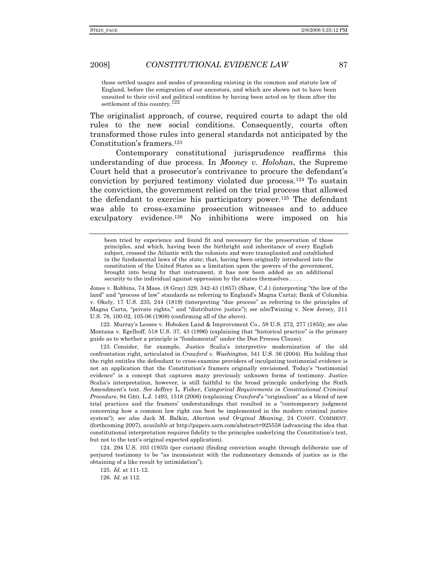those settled usages and modes of proceeding existing in the common and statute law of England, before the emigration of our ancestors, and which are shown not to have been unsuited to their civil and political condition by having been acted on by them after the settlement of this country.<sup>122</sup>

The originalist approach, of course, required courts to adapt the old rules to the new social conditions. Consequently, courts often transformed those rules into general standards not anticipated by the Constitution's framers.123

Contemporary constitutional jurisprudence reaffirms this understanding of due process. In *Mooney v. Holohan*, the Supreme Court held that a prosecutor's contrivance to procure the defendant's conviction by perjured testimony violated due process.124 To sustain the conviction, the government relied on the trial process that allowed the defendant to exercise his participatory power.125 The defendant was able to cross-examine prosecution witnesses and to adduce exculpatory evidence.126 No inhibitions were imposed on his

Jones v. Robbins, 74 Mass. (8 Gray) 329, 342-43 (1857) (Shaw, C.J.) (interpreting "the law of the land" and "process of law" standards as referring to England's Magna Carta); Bank of Columbia v. Okely, 17 U.S. 235, 244 (1819) (interpreting "due process" as referring to the principles of Magna Carta, "private rights," and "distributive justice"); *see also*Twining v. New Jersey, 211 U.S. 78, 100-02, 105-06 (1908) (confirming all of the above).

122. Murray's Lessee v. Hoboken Land & Improvement Co., 59 U.S. 272, 277 (1855); *see also* Montana v. Egelhoff, 518 U.S. 37, 43 (1996) (explaining that "historical practice" is the primary guide as to whether a principle is "fundamental" under the Due Process Clause).

 123. Consider, for example, Justice Scalia's interpretive modernization of the old confrontation right, articulated in *Crawford v. Washington*, 541 U.S. 36 (2004). His holding that the right entitles the defendant to cross-examine providers of inculpating testimonial evidence is not an application that the Constitution's framers originally envisioned. Today's "testimonial evidence" is a concept that captures many previously unknown forms of testimony. Justice Scalia's interpretation, however, is still faithful to the broad principle underlying the Sixth Amendment's text. *See* Jeffrey L. Fisher, *Categorical Requirements in Constitutional Criminal Procedure*, 94 GEO. L.J. 1493, 1518 (2006) (explaining *Crawford*'s "originalism" as a blend of new trial practices and the framers' understandings that resulted in a "contemporary judgment concerning how a common law right can best be implemented in the modern criminal justice system"); *see also* Jack M. Balkin, *Abortion and Original Meaning*, 24 CONST. COMMENT. (forthcoming 2007), *available at* http://papers.ssrn.com/abstract=925558 (advancing the idea that constitutional interpretation requires fidelity to the principles underlying the Constitution's text, but not to the text's original expected application).

 124. 294 U.S. 103 (1935) (per curiam) (finding conviction sought through deliberate use of perjured testimony to be "as inconsistent with the rudimentary demands of justice as is the obtaining of a like result by intimidation").

125. *Id.* at 111-12.

126. *Id.* at 112.

been tried by experience and found fit and necessary for the preservation of those principles, and which, having been the birthright and inheritance of every English subject, crossed the Atlantic with the colonists and were transplanted and established in the fundamental laws of the state; that, having been originally introduced into the constitution of the United States as a limitation upon the powers of the government, brought into being by that instrument, it has now been added as an additional security to the individual against oppression by the states themselves . . . .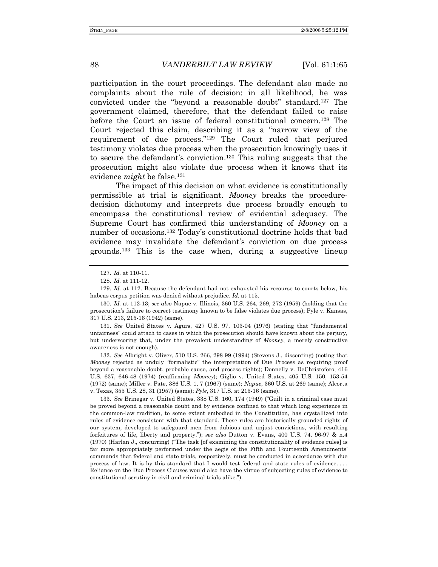participation in the court proceedings. The defendant also made no complaints about the rule of decision: in all likelihood, he was convicted under the "beyond a reasonable doubt" standard.127 The government claimed, therefore, that the defendant failed to raise before the Court an issue of federal constitutional concern.<sup>128</sup> The Court rejected this claim, describing it as a "narrow view of the requirement of due process."129 The Court ruled that perjured testimony violates due process when the prosecution knowingly uses it to secure the defendant's conviction.130 This ruling suggests that the prosecution might also violate due process when it knows that its evidence *might* be false.<sup>131</sup>

The impact of this decision on what evidence is constitutionally permissible at trial is significant. *Mooney* breaks the proceduredecision dichotomy and interprets due process broadly enough to encompass the constitutional review of evidential adequacy. The Supreme Court has confirmed this understanding of *Mooney* on a number of occasions.132 Today's constitutional doctrine holds that bad evidence may invalidate the defendant's conviction on due process grounds.133 This is the case when, during a suggestive lineup

130. *Id.* at 112-13; *see also* Napue v. Illinois, 360 U.S. 264, 269, 272 (1959) (holding that the prosecution's failure to correct testimony known to be false violates due process); Pyle v. Kansas, 317 U.S. 213, 215-16 (1942) (same).

131. *See* United States v. Agurs, 427 U.S. 97, 103-04 (1976) (stating that "fundamental unfairness" could attach to cases in which the prosecution should have known about the perjury, but underscoring that, under the prevalent understanding of *Mooney*, a merely constructive awareness is not enough).

132. *See* Albright v. Oliver, 510 U.S. 266, 298-99 (1994) (Stevens J., dissenting) (noting that *Mooney* rejected as unduly "formalistic" the interpretation of Due Process as requiring proof beyond a reasonable doubt, probable cause, and process rights); Donnelly v. DeChristoforo, 416 U.S. 637, 646-48 (1974) (reaffirming *Mooney*); Giglio v. United States, 405 U.S. 150, 153-54 (1972) (same); Miller v. Pate, 386 U.S. 1, 7 (1967) (same); *Napue*, 360 U.S. at 269 (same); Alcorta v. Texas, 355 U.S. 28, 31 (1957) (same); *Pyle*, 317 U.S. at 215-16 (same).

133. *See* Brinegar v. United States, 338 U.S. 160, 174 (1949) ("Guilt in a criminal case must be proved beyond a reasonable doubt and by evidence confined to that which long experience in the common-law tradition, to some extent embodied in the Constitution, has crystallized into rules of evidence consistent with that standard. These rules are historically grounded rights of our system, developed to safeguard men from dubious and unjust convictions, with resulting forfeitures of life, liberty and property."); *see also* Dutton v. Evans, 400 U.S. 74, 96-97 & n.4 (1970) (Harlan J., concurring) ("The task [of examining the constitutionality of evidence rules] is far more appropriately performed under the aegis of the Fifth and Fourteenth Amendments' commands that federal and state trials, respectively, must be conducted in accordance with due process of law. It is by this standard that I would test federal and state rules of evidence. . . . Reliance on the Due Process Clauses would also have the virtue of subjecting rules of evidence to constitutional scrutiny in civil and criminal trials alike.").

<sup>127.</sup> *Id.* at 110-11.

<sup>128.</sup> *Id.* at 111-12.

<sup>129.</sup> *Id.* at 112. Because the defendant had not exhausted his recourse to courts below, his habeas corpus petition was denied without prejudice. *Id.* at 115.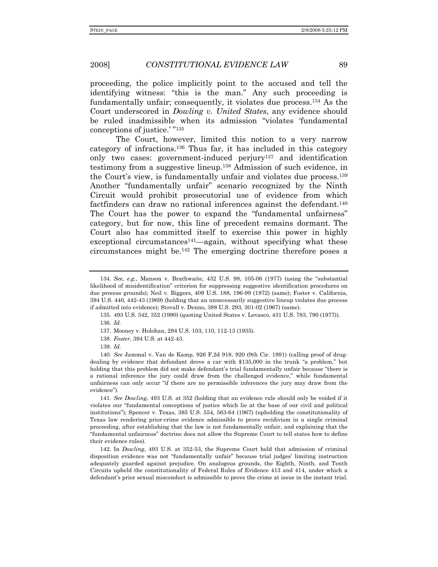proceeding, the police implicitly point to the accused and tell the identifying witness: "this is the man." Any such proceeding is fundamentally unfair; consequently, it violates due process.134 As the Court underscored in *Dowling v. United States*, any evidence should be ruled inadmissible when its admission "violates 'fundamental conceptions of justice.' "135

The Court, however, limited this notion to a very narrow category of infractions.136 Thus far, it has included in this category only two cases: government-induced perjury137 and identification testimony from a suggestive lineup.138 Admission of such evidence, in the Court's view, is fundamentally unfair and violates due process.139 Another "fundamentally unfair" scenario recognized by the Ninth Circuit would prohibit prosecutorial use of evidence from which factfinders can draw no rational inferences against the defendant.140 The Court has the power to expand the "fundamental unfairness" category, but for now, this line of precedent remains dormant. The Court also has committed itself to exercise this power in highly exceptional circumstances<sup>141</sup>—again, without specifying what these circumstances might be.142 The emerging doctrine therefore poses a

138. *Foster*, 394 U.S. at 442-43.

<sup>134.</sup> *See, e.g.*, Manson v. Brathwaite, 432 U.S. 98, 105-06 (1977) (using the "substantial likelihood of misidentification" criterion for suppressing suggestive identification procedures on due process grounds); Neil v. Biggers, 409 U.S. 188, 196-99 (1972) (same); Foster v. California, 394 U.S. 440, 442-43 (1969) (holding that an unnecessarily suggestive lineup violates due process if admitted into evidence); Stovall v. Denno, 388 U.S. 293, 301-02 (1967) (same).

 <sup>135. 493</sup> U.S. 342, 352 (1990) (quoting United States v. Lovasco, 431 U.S. 783, 790 (1977)). 136. *Id.*

 <sup>137.</sup> Mooney v. Holohan, 294 U.S. 103, 110, 112-13 (1935).

<sup>139.</sup> *Id.*

<sup>140.</sup> *See* Jammal v. Van de Kamp, 926 F.2d 918, 920 (9th Cir. 1991) (calling proof of drugdealing by evidence that defendant drove a car with \$135,000 in the trunk "a problem," but holding that this problem did not make defendant's trial fundamentally unfair because "there is a rational inference the jury could draw from the challenged evidence," while fundamental unfairness can only occur "if there are no permissible inferences the jury may draw from the evidence").

<sup>141.</sup> *See Dowling*, 493 U.S. at 352 (holding that an evidence rule should only be voided if it violates our "fundamental conceptions of justice which lie at the base of our civil and political institutions"); Spencer v. Texas, 385 U.S. 554, 563-64 (1967) (upholding the constitutionality of Texas law rendering prior-crime evidence admissible to prove recidivism in a single criminal proceeding, after establishing that the law is not fundamentally unfair, and explaining that the "fundamental unfairness" doctrine does not allow the Supreme Court to tell states how to define their evidence rules).

 <sup>142.</sup> In *Dowling*, 493 U.S. at 352-53, the Supreme Court held that admission of criminal disposition evidence was not "fundamentally unfair" because trial judges' limiting instruction adequately guarded against prejudice. On analogous grounds, the Eighth, Ninth, and Tenth Circuits upheld the constitutionality of Federal Rules of Evidence 413 and 414, under which a defendant's prior sexual misconduct is admissible to prove the crime at issue in the instant trial.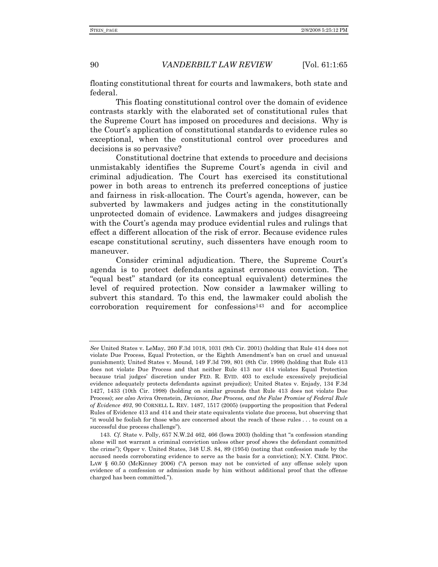floating constitutional threat for courts and lawmakers, both state and federal.

This floating constitutional control over the domain of evidence contrasts starkly with the elaborated set of constitutional rules that the Supreme Court has imposed on procedures and decisions. Why is the Court's application of constitutional standards to evidence rules so exceptional, when the constitutional control over procedures and decisions is so pervasive?

Constitutional doctrine that extends to procedure and decisions unmistakably identifies the Supreme Court's agenda in civil and criminal adjudication. The Court has exercised its constitutional power in both areas to entrench its preferred conceptions of justice and fairness in risk-allocation. The Court's agenda, however, can be subverted by lawmakers and judges acting in the constitutionally unprotected domain of evidence. Lawmakers and judges disagreeing with the Court's agenda may produce evidential rules and rulings that effect a different allocation of the risk of error. Because evidence rules escape constitutional scrutiny, such dissenters have enough room to maneuver.

Consider criminal adjudication. There, the Supreme Court's agenda is to protect defendants against erroneous conviction. The "equal best" standard (or its conceptual equivalent) determines the level of required protection. Now consider a lawmaker willing to subvert this standard. To this end, the lawmaker could abolish the corroboration requirement for confessions143 and for accomplice

*See* United States v. LeMay, 260 F.3d 1018, 1031 (9th Cir. 2001) (holding that Rule 414 does not violate Due Process, Equal Protection, or the Eighth Amendment's ban on cruel and unusual punishment); United States v. Mound, 149 F.3d 799, 801 (8th Cir. 1998) (holding that Rule 413 does not violate Due Process and that neither Rule 413 nor 414 violates Equal Protection because trial judges' discretion under FED. R. EVID. 403 to exclude excessively prejudicial evidence adequately protects defendants against prejudice); United States v. Enjady, 134 F.3d 1427, 1433 (10th Cir. 1998) (holding on similar grounds that Rule 413 does not violate Due Process); *see also* Aviva Orenstein, *Deviance, Due Process, and the False Promise of Federal Rule of Evidence 403*, 90 CORNELL L. REV. 1487, 1517 (2005) (supporting the proposition that Federal Rules of Evidence 413 and 414 and their state equivalents violate due process, but observing that "it would be foolish for those who are concerned about the reach of these rules . . . to count on a successful due process challenge").

<sup>143.</sup> *Cf.* State v. Polly, 657 N.W.2d 462, 466 (Iowa 2003) (holding that "a confession standing alone will not warrant a criminal conviction unless other proof shows the defendant committed the crime"); Opper v. United States, 348 U.S. 84, 89 (1954) (noting that confession made by the accused needs corroborating evidence to serve as the basis for a conviction); N.Y. CRIM. PROC. LAW § 60.50 (McKinney 2006) ("A person may not be convicted of any offense solely upon evidence of a confession or admission made by him without additional proof that the offense charged has been committed.").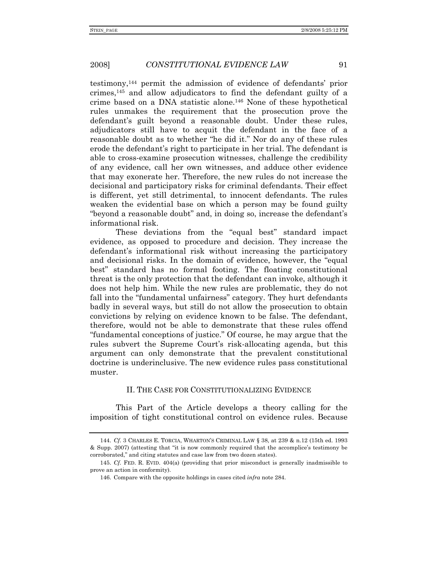testimony,144 permit the admission of evidence of defendants' prior crimes,145 and allow adjudicators to find the defendant guilty of a crime based on a DNA statistic alone.146 None of these hypothetical rules unmakes the requirement that the prosecution prove the defendant's guilt beyond a reasonable doubt. Under these rules, adjudicators still have to acquit the defendant in the face of a reasonable doubt as to whether "he did it." Nor do any of these rules erode the defendant's right to participate in her trial. The defendant is able to cross-examine prosecution witnesses, challenge the credibility of any evidence, call her own witnesses, and adduce other evidence that may exonerate her. Therefore, the new rules do not increase the decisional and participatory risks for criminal defendants. Their effect is different, yet still detrimental, to innocent defendants. The rules weaken the evidential base on which a person may be found guilty "beyond a reasonable doubt" and, in doing so, increase the defendant's informational risk.

These deviations from the "equal best" standard impact evidence, as opposed to procedure and decision. They increase the defendant's informational risk without increasing the participatory and decisional risks. In the domain of evidence, however, the "equal best" standard has no formal footing. The floating constitutional threat is the only protection that the defendant can invoke, although it does not help him. While the new rules are problematic, they do not fall into the "fundamental unfairness" category. They hurt defendants badly in several ways, but still do not allow the prosecution to obtain convictions by relying on evidence known to be false. The defendant, therefore, would not be able to demonstrate that these rules offend "fundamental conceptions of justice." Of course, he may argue that the rules subvert the Supreme Court's risk-allocating agenda, but this argument can only demonstrate that the prevalent constitutional doctrine is underinclusive. The new evidence rules pass constitutional muster.

#### II. THE CASE FOR CONSTITUTIONALIZING EVIDENCE

This Part of the Article develops a theory calling for the imposition of tight constitutional control on evidence rules. Because

<sup>144.</sup> *Cf.* 3 CHARLES E. TORCIA, WHARTON'S CRIMINAL LAW § 38, at 239 & n.12 (15th ed. 1993 & Supp. 2007) (attesting that "it is now commonly required that the accomplice's testimony be corroborated," and citing statutes and case law from two dozen states).

<sup>145.</sup> *Cf.* FED. R. EVID. 404(a) (providing that prior misconduct is generally inadmissible to prove an action in conformity).

 <sup>146.</sup> Compare with the opposite holdings in cases cited *infra* note 284.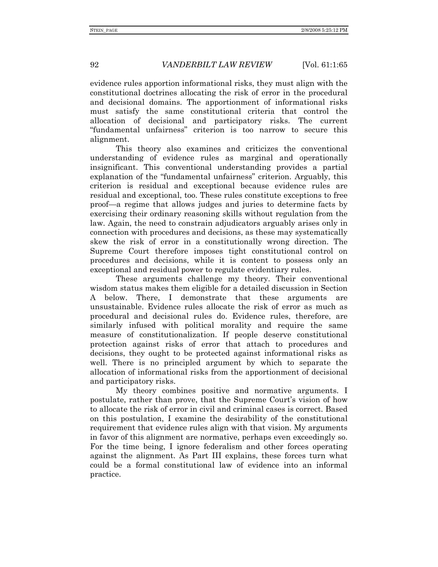evidence rules apportion informational risks, they must align with the constitutional doctrines allocating the risk of error in the procedural and decisional domains. The apportionment of informational risks must satisfy the same constitutional criteria that control the allocation of decisional and participatory risks. The current "fundamental unfairness" criterion is too narrow to secure this alignment.

This theory also examines and criticizes the conventional understanding of evidence rules as marginal and operationally insignificant. This conventional understanding provides a partial explanation of the "fundamental unfairness" criterion. Arguably, this criterion is residual and exceptional because evidence rules are residual and exceptional, too. These rules constitute exceptions to free proof—a regime that allows judges and juries to determine facts by exercising their ordinary reasoning skills without regulation from the law. Again, the need to constrain adjudicators arguably arises only in connection with procedures and decisions, as these may systematically skew the risk of error in a constitutionally wrong direction. The Supreme Court therefore imposes tight constitutional control on procedures and decisions, while it is content to possess only an exceptional and residual power to regulate evidentiary rules.

These arguments challenge my theory. Their conventional wisdom status makes them eligible for a detailed discussion in Section A below. There, I demonstrate that these arguments are unsustainable. Evidence rules allocate the risk of error as much as procedural and decisional rules do. Evidence rules, therefore, are similarly infused with political morality and require the same measure of constitutionalization. If people deserve constitutional protection against risks of error that attach to procedures and decisions, they ought to be protected against informational risks as well. There is no principled argument by which to separate the allocation of informational risks from the apportionment of decisional and participatory risks.

My theory combines positive and normative arguments. I postulate, rather than prove, that the Supreme Court's vision of how to allocate the risk of error in civil and criminal cases is correct. Based on this postulation, I examine the desirability of the constitutional requirement that evidence rules align with that vision. My arguments in favor of this alignment are normative, perhaps even exceedingly so. For the time being, I ignore federalism and other forces operating against the alignment. As Part III explains, these forces turn what could be a formal constitutional law of evidence into an informal practice.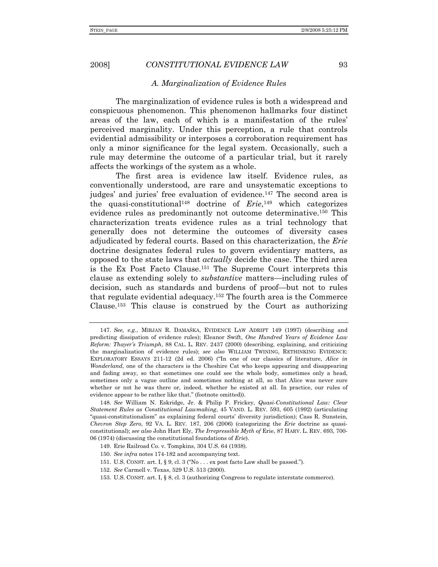#### *A. Marginalization of Evidence Rules*

The marginalization of evidence rules is both a widespread and conspicuous phenomenon. This phenomenon hallmarks four distinct areas of the law, each of which is a manifestation of the rules' perceived marginality. Under this perception, a rule that controls evidential admissibility or interposes a corroboration requirement has only a minor significance for the legal system. Occasionally, such a rule may determine the outcome of a particular trial, but it rarely affects the workings of the system as a whole.

The first area is evidence law itself. Evidence rules, as conventionally understood, are rare and unsystematic exceptions to judges' and juries' free evaluation of evidence.147 The second area is the quasi-constitutional148 doctrine of *Erie*,149 which categorizes evidence rules as predominantly not outcome determinative.150 This characterization treats evidence rules as a trial technology that generally does not determine the outcomes of diversity cases adjudicated by federal courts. Based on this characterization, the *Erie* doctrine designates federal rules to govern evidentiary matters, as opposed to the state laws that *actually* decide the case. The third area is the Ex Post Facto Clause.151 The Supreme Court interprets this clause as extending solely to *substantive* matters—including rules of decision, such as standards and burdens of proof—but not to rules that regulate evidential adequacy.152 The fourth area is the Commerce Clause.153 This clause is construed by the Court as authorizing

<sup>147.</sup> *See, e.g.*, MIRJAN R. DAMAŠKA, EVIDENCE LAW ADRIFT 149 (1997) (describing and predicting dissipation of evidence rules); Eleanor Swift, *One Hundred Years of Evidence Law Reform: Thayer's Triumph*, 88 CAL. L. REV. 2437 (2000) (describing, explaining, and criticizing the marginalization of evidence rules); *see also* WILLIAM TWINING, RETHINKING EVIDENCE: EXPLORATORY ESSAYS 211-12 (2d ed. 2006) ("In one of our classics of literature, *Alice in Wonderland*, one of the characters is the Cheshire Cat who keeps appearing and disappearing and fading away, so that sometimes one could see the whole body, sometimes only a head, sometimes only a vague outline and sometimes nothing at all, so that Alice was never sure whether or not he was there or, indeed, whether he existed at all. In practice, our rules of evidence appear to be rather like that." (footnote omitted)).

<sup>148.</sup> *See* William N. Eskridge, Jr. & Philip P. Frickey, *Quasi-Constitutional Law: Clear Statement Rules as Constitutional Lawmaking*, 45 VAND. L. REV. 593, 605 (1992) (articulating "quasi-constitutionalism" as explaining federal courts' diversity jurisdiction); Cass R. Sunstein, *Chevron Step Zero*, 92 VA. L. REV. 187, 206 (2006) (categorizing the *Erie* doctrine as quasiconstitutional); *see also* John Hart Ely, *The Irrepressible Myth of* Erie, 87 HARV. L. REV. 693, 700- 06 (1974) (discussing the constitutional foundations of *Erie*).

 <sup>149.</sup> Erie Railroad Co. v. Tompkins, 304 U.S. 64 (1938).

<sup>150.</sup> *See infra* notes 174-182 and accompanying text.

 <sup>151.</sup> U.S. CONST. art. I, § 9, cl. 3 ("No . . . ex post facto Law shall be passed.").

<sup>152.</sup> *See* Carmell v. Texas, 529 U.S. 513 (2000).

 <sup>153.</sup> U.S. CONST. art. I, § 8, cl. 3 (authorizing Congress to regulate interstate commerce).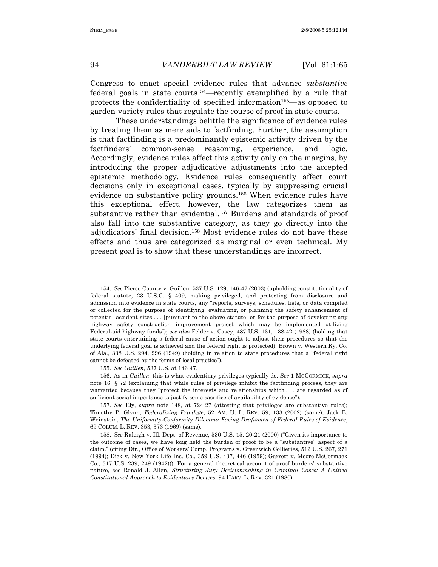Congress to enact special evidence rules that advance *substantive* federal goals in state courts154—recently exemplified by a rule that protects the confidentiality of specified information155—as opposed to garden-variety rules that regulate the course of proof in state courts.

These understandings belittle the significance of evidence rules by treating them as mere aids to factfinding. Further, the assumption is that factfinding is a predominantly epistemic activity driven by the factfinders' common-sense reasoning, experience, and logic. Accordingly, evidence rules affect this activity only on the margins, by introducing the proper adjudicative adjustments into the accepted epistemic methodology. Evidence rules consequently affect court decisions only in exceptional cases, typically by suppressing crucial evidence on substantive policy grounds.156 When evidence rules have this exceptional effect, however, the law categorizes them as substantive rather than evidential.157 Burdens and standards of proof also fall into the substantive category, as they go directly into the adjudicators' final decision.158 Most evidence rules do not have these effects and thus are categorized as marginal or even technical. My present goal is to show that these understandings are incorrect.

155. *See Guillen*, 537 U.S. at 146-47.

 156. As in *Guillen*, this is what evidentiary privileges typically do. *See* 1 MCCORMICK, *supra* note 16, § 72 (explaining that while rules of privilege inhibit the factfinding process, they are warranted because they "protect the interests and relationships which . . . are regarded as of sufficient social importance to justify some sacrifice of availability of evidence").

<sup>154.</sup> *See* Pierce County v. Guillen, 537 U.S. 129, 146-47 (2003) (upholding constitutionality of federal statute, 23 U.S.C. § 409, making privileged, and protecting from disclosure and admission into evidence in state courts, any "reports, surveys, schedules, lists, or data compiled or collected for the purpose of identifying, evaluating, or planning the safety enhancement of potential accident sites . . . [pursuant to the above statute] or for the purpose of developing any highway safety construction improvement project which may be implemented utilizing Federal-aid highway funds"); *see also* Felder v. Casey, 487 U.S. 131, 138-42 (1988) (holding that state courts entertaining a federal cause of action ought to adjust their procedures so that the underlying federal goal is achieved and the federal right is protected); Brown v. Western Ry. Co. of Ala., 338 U.S. 294, 296 (1949) (holding in relation to state procedures that a "federal right cannot be defeated by the forms of local practice").

<sup>157.</sup> *See* Ely, *supra* note 148, at 724-27 (attesting that privileges are substantive rules); Timothy P. Glynn, *Federalizing Privilege*, 52 AM. U. L. REV. 59, 133 (2002) (same); Jack B. Weinstein, *The Uniformity-Conformity Dilemma Facing Draftsmen of Federal Rules of Evidence*, 69 COLUM. L. REV. 353, 373 (1969) (same).

<sup>158.</sup> *See* Raleigh v. Ill. Dept. of Revenue, 530 U.S. 15, 20-21 (2000) ("Given its importance to the outcome of cases, we have long held the burden of proof to be a "substantive" aspect of a claim." (citing Dir., Office of Workers' Comp. Programs v. Greenwich Collieries, 512 U.S. 267, 271 (1994); Dick v. New York Life Ins. Co., 359 U.S. 437, 446 (1959); Garrett v. Moore-McCormack Co., 317 U.S. 239, 249 (1942))). For a general theoretical account of proof burdens' substantive nature, see Ronald J. Allen, *Structuring Jury Decisionmaking in Criminal Cases: A Unified Constitutional Approach to Evidentiary Devices*, 94 HARV. L. REV. 321 (1980).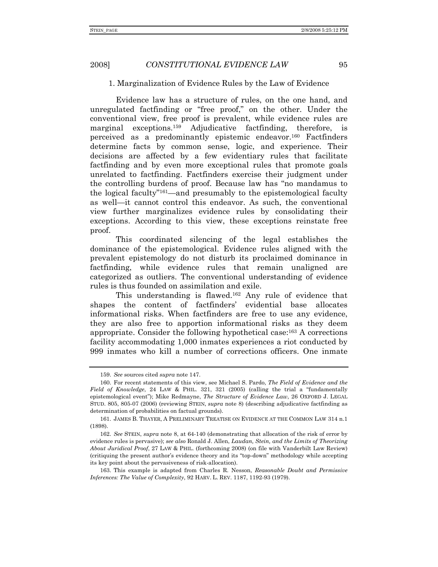#### 1. Marginalization of Evidence Rules by the Law of Evidence

Evidence law has a structure of rules, on the one hand, and unregulated factfinding or "free proof," on the other. Under the conventional view, free proof is prevalent, while evidence rules are marginal exceptions.159 Adjudicative factfinding, therefore, is perceived as a predominantly epistemic endeavor.160 Factfinders determine facts by common sense, logic, and experience. Their decisions are affected by a few evidentiary rules that facilitate factfinding and by even more exceptional rules that promote goals unrelated to factfinding. Factfinders exercise their judgment under the controlling burdens of proof. Because law has "no mandamus to the logical faculty"161—and presumably to the epistemological faculty as well—it cannot control this endeavor. As such, the conventional view further marginalizes evidence rules by consolidating their exceptions. According to this view, these exceptions reinstate free proof.

This coordinated silencing of the legal establishes the dominance of the epistemological. Evidence rules aligned with the prevalent epistemology do not disturb its proclaimed dominance in factfinding, while evidence rules that remain unaligned are categorized as outliers. The conventional understanding of evidence rules is thus founded on assimilation and exile.

This understanding is flawed.162 Any rule of evidence that shapes the content of factfinders' evidential base allocates informational risks. When factfinders are free to use any evidence, they are also free to apportion informational risks as they deem appropriate. Consider the following hypothetical case:<sup>163</sup> A corrections facility accommodating 1,000 inmates experiences a riot conducted by 999 inmates who kill a number of corrections officers. One inmate

 163. This example is adapted from Charles R. Nesson, *Reasonable Doubt and Permissive Inferences: The Value of Complexity*, 92 HARV. L. REV. 1187, 1192-93 (1979).

<sup>159.</sup> *See* sources cited *supra* note 147.

 <sup>160.</sup> For recent statements of this view, see Michael S. Pardo, *The Field of Evidence and the Field of Knowledge*, 24 LAW & PHIL. 321, 321 (2005) (calling the trial a "fundamentally epistemological event"); Mike Redmayne, *The Structure of Evidence Law*, 26 OXFORD J. LEGAL STUD. 805, 805-07 (2006) (reviewing STEIN, *supra* note 8) (describing adjudicative factfinding as determination of probabilities on factual grounds).

 <sup>161.</sup> JAMES B. THAYER, A PRELIMINARY TREATISE ON EVIDENCE AT THE COMMON LAW 314 n.1 (1898).

<sup>162.</sup> *See* STEIN, *supra* note 8, at 64-140 (demonstrating that allocation of the risk of error by evidence rules is pervasive); *see also* Ronald J. Allen, *Laudan, Stein, and the Limits of Theorizing About Juridical Proof*, 27 LAW & PHIL. (forthcoming 2008) (on file with Vanderbilt Law Review) (critiquing the present author's evidence theory and its "top-down" methodology while accepting its key point about the pervasiveness of risk-allocation).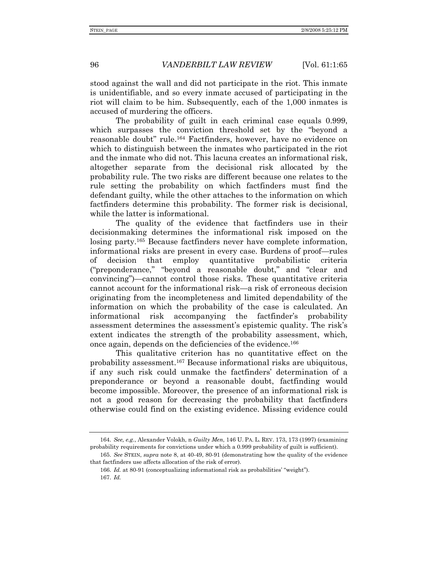stood against the wall and did not participate in the riot. This inmate is unidentifiable, and so every inmate accused of participating in the riot will claim to be him. Subsequently, each of the 1,000 inmates is accused of murdering the officers.

The probability of guilt in each criminal case equals 0.999, which surpasses the conviction threshold set by the "beyond a reasonable doubt" rule.164 Factfinders, however, have no evidence on which to distinguish between the inmates who participated in the riot and the inmate who did not. This lacuna creates an informational risk, altogether separate from the decisional risk allocated by the probability rule. The two risks are different because one relates to the rule setting the probability on which factfinders must find the defendant guilty, while the other attaches to the information on which factfinders determine this probability. The former risk is decisional, while the latter is informational.

The quality of the evidence that factfinders use in their decisionmaking determines the informational risk imposed on the losing party.165 Because factfinders never have complete information, informational risks are present in every case. Burdens of proof—rules of decision that employ quantitative probabilistic criteria ("preponderance," "beyond a reasonable doubt," and "clear and convincing")—cannot control those risks. These quantitative criteria cannot account for the informational risk—a risk of erroneous decision originating from the incompleteness and limited dependability of the information on which the probability of the case is calculated. An informational risk accompanying the factfinder's probability assessment determines the assessment's epistemic quality. The risk's extent indicates the strength of the probability assessment, which, once again, depends on the deficiencies of the evidence.166

This qualitative criterion has no quantitative effect on the probability assessment.167 Because informational risks are ubiquitous, if any such risk could unmake the factfinders' determination of a preponderance or beyond a reasonable doubt, factfinding would become impossible. Moreover, the presence of an informational risk is not a good reason for decreasing the probability that factfinders otherwise could find on the existing evidence. Missing evidence could

<sup>164.</sup> *See, e.g.*, Alexander Volokh, n *Guilty Men*, 146 U. PA. L. REV. 173, 173 (1997) (examining probability requirements for convictions under which a 0.999 probability of guilt is sufficient).

<sup>165.</sup> *See* STEIN, *supra* note 8, at 40-49, 80-91 (demonstrating how the quality of the evidence that factfinders use affects allocation of the risk of error).

<sup>166.</sup> *Id.* at 80-91 (conceptualizing informational risk as probabilities' "weight"). 167. *Id.*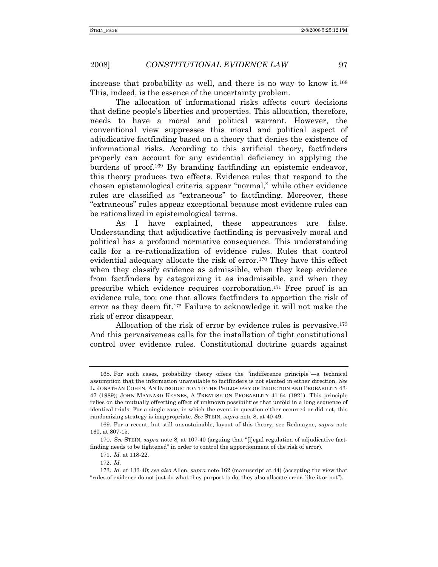increase that probability as well, and there is no way to know it.168 This, indeed, is the essence of the uncertainty problem.

The allocation of informational risks affects court decisions that define people's liberties and properties. This allocation, therefore, needs to have a moral and political warrant. However, the conventional view suppresses this moral and political aspect of adjudicative factfinding based on a theory that denies the existence of informational risks. According to this artificial theory, factfinders properly can account for any evidential deficiency in applying the burdens of proof.169 By branding factfinding an epistemic endeavor, this theory produces two effects. Evidence rules that respond to the chosen epistemological criteria appear "normal," while other evidence rules are classified as "extraneous" to factfinding. Moreover, these "extraneous" rules appear exceptional because most evidence rules can be rationalized in epistemological terms.

As I have explained, these appearances are false. Understanding that adjudicative factfinding is pervasively moral and political has a profound normative consequence. This understanding calls for a re-rationalization of evidence rules. Rules that control evidential adequacy allocate the risk of error.170 They have this effect when they classify evidence as admissible, when they keep evidence from factfinders by categorizing it as inadmissible, and when they prescribe which evidence requires corroboration.171 Free proof is an evidence rule, too: one that allows factfinders to apportion the risk of error as they deem fit.172 Failure to acknowledge it will not make the risk of error disappear.

Allocation of the risk of error by evidence rules is pervasive.<sup>173</sup> And this pervasiveness calls for the installation of tight constitutional control over evidence rules. Constitutional doctrine guards against

 <sup>168.</sup> For such cases, probability theory offers the "indifference principle"—a technical assumption that the information unavailable to factfinders is not slanted in either direction. *See* L. JONATHAN COHEN, AN INTRODUCTION TO THE PHILOSOPHY OF INDUCTION AND PROBABILITY 43- 47 (1989); JOHN MAYNARD KEYNES, A TREATISE ON PROBABILITY 41-64 (1921). This principle relies on the mutually offsetting effect of unknown possibilities that unfold in a long sequence of identical trials. For a single case, in which the event in question either occurred or did not, this randomizing strategy is inappropriate. *See* STEIN, *supra* note 8, at 40-49.

 <sup>169.</sup> For a recent, but still unsustainable, layout of this theory, see Redmayne, *supra* note 160, at 807-15.

<sup>170.</sup> *See* STEIN, *supra* note 8, at 107-40 (arguing that "[l]egal regulation of adjudicative factfinding needs to be tightened" in order to control the apportionment of the risk of error).

 <sup>171.</sup> *Id.* at 118-22.

 <sup>172.</sup> *Id*.

<sup>173.</sup> *Id.* at 133-40; *see also* Allen, *supra* note 162 (manuscript at 44) (accepting the view that "rules of evidence do not just do what they purport to do; they also allocate error, like it or not").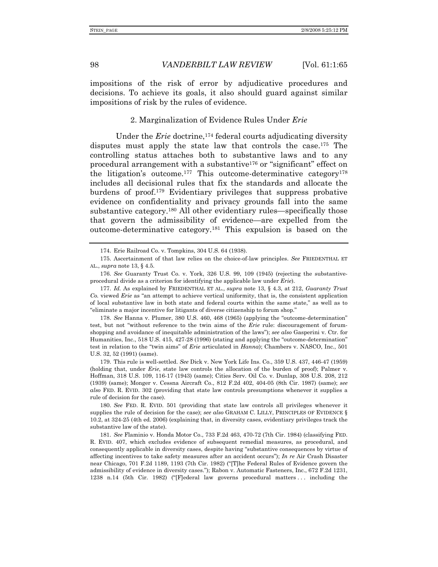impositions of the risk of error by adjudicative procedures and decisions. To achieve its goals, it also should guard against similar impositions of risk by the rules of evidence.

### 2. Marginalization of Evidence Rules Under *Erie*

Under the *Erie* doctrine,<sup>174</sup> federal courts adjudicating diversity disputes must apply the state law that controls the case.<sup>175</sup> The controlling status attaches both to substantive laws and to any procedural arrangement with a substantive176 or "significant" effect on the litigation's outcome.177 This outcome-determinative category178 includes all decisional rules that fix the standards and allocate the burdens of proof.179 Evidentiary privileges that suppress probative evidence on confidentiality and privacy grounds fall into the same substantive category.180 All other evidentiary rules—specifically those that govern the admissibility of evidence—are expelled from the outcome-determinative category.181 This expulsion is based on the

178. *See* Hanna v. Plumer, 380 U.S. 460, 468 (1965) (applying the "outcome-determination" test, but not "without reference to the twin aims of the *Erie* rule: discouragement of forumshopping and avoidance of inequitable administration of the laws"); *see also* Gasperini v. Ctr. for Humanities, Inc., 518 U.S. 415, 427-28 (1996) (stating and applying the "outcome-determination" test in relation to the "twin aims" of *Erie* articulated in *Hanna*); Chambers v. NASCO, Inc., 501 U.S. 32, 52 (1991) (same).

 179. This rule is well-settled. *See* Dick v. New York Life Ins. Co., 359 U.S. 437, 446-47 (1959) (holding that, under *Erie*, state law controls the allocation of the burden of proof); Palmer v. Hoffman, 318 U.S. 109, 116-17 (1943) (same); Cities Serv. Oil Co. v. Dunlap, 308 U.S. 208, 212 (1939) (same); Monger v. Cessna Aircraft Co., 812 F.2d 402, 404-05 (8th Cir. 1987) (same); *see also* FED. R. EVID. 302 (providing that state law controls presumptions whenever it supplies a rule of decision for the case).

180. *See* FED. R. EVID. 501 (providing that state law controls all privileges whenever it supplies the rule of decision for the case); *see also* GRAHAM C. LILLY, PRINCIPLES OF EVIDENCE § 10.2, at 324-25 (4th ed. 2006) (explaining that, in diversity cases, evidentiary privileges track the substantive law of the state).

181. *See* Flaminio v. Honda Motor Co., 733 F.2d 463, 470-72 (7th Cir. 1984) (classifying FED. R. EVID. 407, which excludes evidence of subsequent remedial measures, as procedural, and consequently applicable in diversity cases, despite having "substantive consequences by virtue of affecting incentives to take safety measures after an accident occurs"); *In re* Air Crash Disaster near Chicago, 701 F.2d 1189, 1193 (7th Cir. 1982) ("[T]he Federal Rules of Evidence govern the admissibility of evidence in diversity cases."); Rabon v. Automatic Fasteners, Inc., 672 F.2d 1231, 1238 n.14 (5th Cir. 1982) ("[F]ederal law governs procedural matters . . . including the

 <sup>174.</sup> Erie Railroad Co. v. Tompkins, 304 U.S. 64 (1938).

 <sup>175.</sup> Ascertainment of that law relies on the choice-of-law principles. *See* FRIEDENTHAL ET AL., *supra* note 13, § 4.5.

<sup>176.</sup> *See* Guaranty Trust Co. v. York, 326 U.S. 99, 109 (1945) (rejecting the substantiveprocedural divide as a criterion for identifying the applicable law under *Erie*).

<sup>177.</sup> *Id.* As explained by FRIEDENTHAL ET AL., *supra* note 13, § 4.3, at 212, *Guaranty Trust Co.* viewed *Erie* as "an attempt to achieve vertical uniformity, that is, the consistent application of local substantive law in both state and federal courts within the same state," as well as to "eliminate a major incentive for litigants of diverse citizenship to forum shop."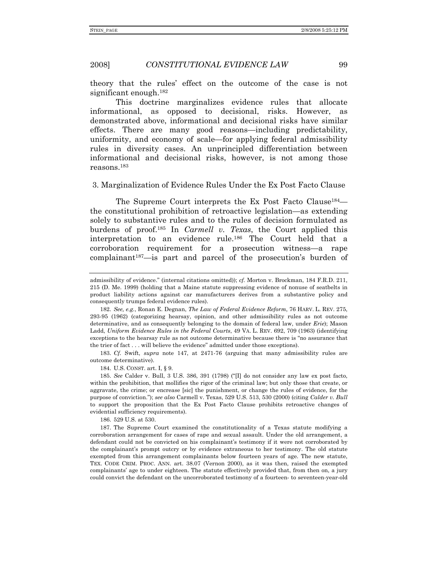theory that the rules' effect on the outcome of the case is not significant enough.182

This doctrine marginalizes evidence rules that allocate informational, as opposed to decisional, risks. However, as demonstrated above, informational and decisional risks have similar effects. There are many good reasons—including predictability, uniformity, and economy of scale—for applying federal admissibility rules in diversity cases. An unprincipled differentiation between informational and decisional risks, however, is not among those reasons.183

#### 3. Marginalization of Evidence Rules Under the Ex Post Facto Clause

The Supreme Court interprets the Ex Post Facto Clause<sup>184</sup> the constitutional prohibition of retroactive legislation—as extending solely to substantive rules and to the rules of decision formulated as burdens of proof.185 In *Carmell v. Texas*, the Court applied this interpretation to an evidence rule.186 The Court held that a corroboration requirement for a prosecution witness—a rape complainant187—is part and parcel of the prosecution's burden of

183. *Cf.* Swift, *supra* note 147, at 2471-76 (arguing that many admissibility rules are outcome determinative).

184. U.S. CONST. art. I, § 9.

185. *See* Calder v. Bull, 3 U.S. 386, 391 (1798) ("[I] do not consider any law ex post facto, within the prohibition, that mollifies the rigor of the criminal law; but only those that create, or aggravate, the crime; or encrease [sic] the punishment, or change the rules of evidence, for the purpose of conviction."); *see also* Carmell v. Texas, 529 U.S. 513, 530 (2000) (citing *Calder v. Bull* to support the proposition that the Ex Post Facto Clause prohibits retroactive changes of evidential sufficiency requirements).

186. 529 U.S. at 530.

 187. The Supreme Court examined the constitutionality of a Texas statute modifying a corroboration arrangement for cases of rape and sexual assault. Under the old arrangement, a defendant could not be convicted on his complainant's testimony if it were not corroborated by the complainant's prompt outcry or by evidence extraneous to her testimony. The old statute exempted from this arrangement complainants below fourteen years of age. The new statute, TEX. CODE CRIM. PROC. ANN. art. 38.07 (Vernon 2000), as it was then, raised the exempted complainants' age to under eighteen. The statute effectively provided that, from then on, a jury could convict the defendant on the uncorroborated testimony of a fourteen- to seventeen-year-old

admissibility of evidence." (internal citations omitted)); *cf.* Morton v. Brockman, 184 F.R.D. 211, 215 (D. Me. 1999) (holding that a Maine statute suppressing evidence of nonuse of seatbelts in product liability actions against car manufacturers derives from a substantive policy and consequently trumps federal evidence rules).

<sup>182.</sup> *See, e.g.*, Ronan E. Degnan, *The Law of Federal Evidence Reform*, 76 HARV. L. REV. 275, 293-95 (1962) (categorizing hearsay, opinion, and other admissibility rules as not outcome determinative, and as consequently belonging to the domain of federal law, under *Erie*); Mason Ladd, *Uniform Evidence Rules in the Federal Courts*, 49 VA. L. REV. 692, 709 (1963) (identifying exceptions to the hearsay rule as not outcome determinative because there is "no assurance that the trier of fact . . . will believe the evidence" admitted under those exceptions).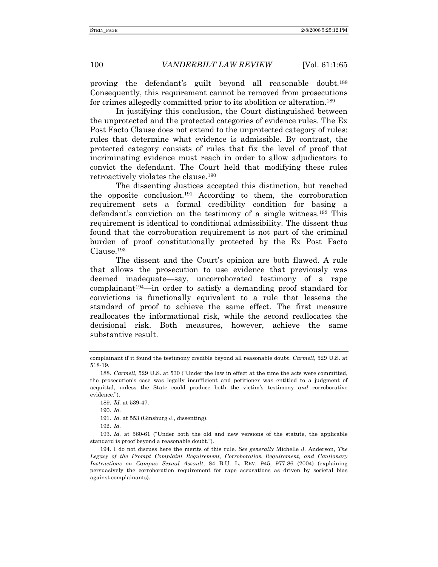proving the defendant's guilt beyond all reasonable doubt.188 Consequently, this requirement cannot be removed from prosecutions for crimes allegedly committed prior to its abolition or alteration.189

In justifying this conclusion, the Court distinguished between the unprotected and the protected categories of evidence rules. The Ex Post Facto Clause does not extend to the unprotected category of rules: rules that determine what evidence is admissible. By contrast, the protected category consists of rules that fix the level of proof that incriminating evidence must reach in order to allow adjudicators to convict the defendant. The Court held that modifying these rules retroactively violates the clause.190

The dissenting Justices accepted this distinction, but reached the opposite conclusion.191 According to them, the corroboration requirement sets a formal credibility condition for basing a defendant's conviction on the testimony of a single witness.192 This requirement is identical to conditional admissibility. The dissent thus found that the corroboration requirement is not part of the criminal burden of proof constitutionally protected by the Ex Post Facto Clause.193

The dissent and the Court's opinion are both flawed. A rule that allows the prosecution to use evidence that previously was deemed inadequate—say, uncorroborated testimony of a rape complainant194—in order to satisfy a demanding proof standard for convictions is functionally equivalent to a rule that lessens the standard of proof to achieve the same effect. The first measure reallocates the informational risk, while the second reallocates the decisional risk. Both measures, however, achieve the same substantive result.

190. *Id.*

191. *Id.* at 553 (Ginsburg J., dissenting).

192. *Id.*

complainant if it found the testimony credible beyond all reasonable doubt. *Carmell*, 529 U.S. at 518-19.

<sup>188.</sup> *Carmell*, 529 U.S. at 530 ("Under the law in effect at the time the acts were committed, the prosecution's case was legally insufficient and petitioner was entitled to a judgment of acquittal, unless the State could produce both the victim's testimony *and* corroborative evidence.").

<sup>189.</sup> *Id.* at 539-47.

<sup>193.</sup> *Id.* at 560-61 ("Under both the old and new versions of the statute, the applicable standard is proof beyond a reasonable doubt.").

 <sup>194.</sup> I do not discuss here the merits of this rule. *See generally* Michelle J. Anderson, *The Legacy of the Prompt Complaint Requirement, Corroboration Requirement, and Cautionary Instructions on Campus Sexual Assault*, 84 B.U. L. REV. 945, 977-86 (2004) (explaining persuasively the corroboration requirement for rape accusations as driven by societal bias against complainants).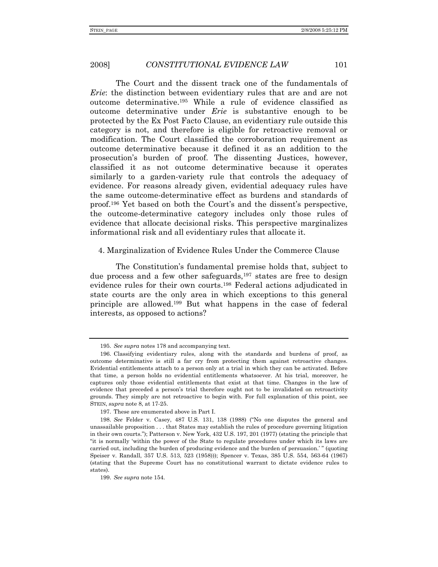The Court and the dissent track one of the fundamentals of *Erie*: the distinction between evidentiary rules that are and are not outcome determinative.195 While a rule of evidence classified as outcome determinative under *Erie* is substantive enough to be protected by the Ex Post Facto Clause, an evidentiary rule outside this category is not, and therefore is eligible for retroactive removal or modification. The Court classified the corroboration requirement as outcome determinative because it defined it as an addition to the prosecution's burden of proof. The dissenting Justices, however, classified it as not outcome determinative because it operates similarly to a garden-variety rule that controls the adequacy of evidence. For reasons already given, evidential adequacy rules have the same outcome-determinative effect as burdens and standards of proof.196 Yet based on both the Court's and the dissent's perspective, the outcome-determinative category includes only those rules of evidence that allocate decisional risks. This perspective marginalizes informational risk and all evidentiary rules that allocate it.

4. Marginalization of Evidence Rules Under the Commerce Clause

The Constitution's fundamental premise holds that, subject to due process and a few other safeguards,<sup>197</sup> states are free to design evidence rules for their own courts.198 Federal actions adjudicated in state courts are the only area in which exceptions to this general principle are allowed.199 But what happens in the case of federal interests, as opposed to actions?

<sup>195.</sup> *See supra* notes 178 and accompanying text.

 <sup>196.</sup> Classifying evidentiary rules, along with the standards and burdens of proof, as outcome determinative is still a far cry from protecting them against retroactive changes. Evidential entitlements attach to a person only at a trial in which they can be activated. Before that time, a person holds no evidential entitlements whatsoever. At his trial, moreover, he captures only those evidential entitlements that exist at that time. Changes in the law of evidence that preceded a person's trial therefore ought not to be invalidated on retroactivity grounds. They simply are not retroactive to begin with. For full explanation of this point, see STEIN, *supra* note 8, at 17-25.

 <sup>197.</sup> These are enumerated above in Part I.

<sup>198.</sup> *See* Felder v. Casey, 487 U.S. 131, 138 (1988) ("No one disputes the general and unassailable proposition . . . that States may establish the rules of procedure governing litigation in their own courts."); Patterson v. New York, 432 U.S. 197, 201 (1977) (stating the principle that "it is normally 'within the power of the State to regulate procedures under which its laws are carried out, including the burden of producing evidence and the burden of persuasion.' " (quoting Speiser v. Randall, 357 U.S. 513, 523 (1958))); Spencer v. Texas, 385 U.S. 554, 563-64 (1967) (stating that the Supreme Court has no constitutional warrant to dictate evidence rules to states).

<sup>199.</sup> *See supra* note 154.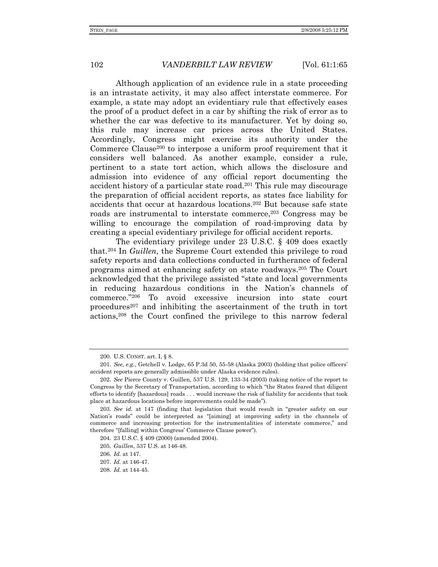Although application of an evidence rule in a state proceeding is an intrastate activity, it may also affect interstate commerce. For example, a state may adopt an evidentiary rule that effectively eases the proof of a product defect in a car by shifting the risk of error as to whether the car was defective to its manufacturer. Yet by doing so, this rule may increase car prices across the United States. Accordingly, Congress might exercise its authority under the Commerce Clause<sup>200</sup> to interpose a uniform proof requirement that it considers well balanced. As another example, consider a rule, pertinent to a state tort action, which allows the disclosure and admission into evidence of any official report documenting the accident history of a particular state road.201 This rule may discourage the preparation of official accident reports, as states face liability for accidents that occur at hazardous locations.202 But because safe state roads are instrumental to interstate commerce,<sup>203</sup> Congress may be willing to encourage the compilation of road-improving data by creating a special evidentiary privilege for official accident reports.

The evidentiary privilege under 23 U.S.C. § 409 does exactly that.204 In *Guillen*, the Supreme Court extended this privilege to road safety reports and data collections conducted in furtherance of federal programs aimed at enhancing safety on state roadways.205 The Court acknowledged that the privilege assisted "state and local governments in reducing hazardous conditions in the Nation's channels of commerce."206 To avoid excessive incursion into state court procedures207 and inhibiting the ascertainment of the truth in tort actions,208 the Court confined the privilege to this narrow federal

 <sup>200.</sup> U.S. CONST. art. I, § 8.

<sup>201.</sup> *See, e.g.*, Getchell v. Lodge, 65 P.3d 50, 55-58 (Alaska 2003) (holding that police officers' accident reports are generally admissible under Alaska evidence rules).

<sup>202.</sup> *See* Pierce County v. Guillen, 537 U.S. 129, 133-34 (2003) (taking notice of the report to Congress by the Secretary of Transportation, according to which "the States feared that diligent efforts to identify [hazardous] roads . . . would increase the risk of liability for accidents that took place at hazardous locations before improvements could be made").

<sup>203.</sup> *See id.* at 147 (finding that legislation that would result in "greater safety on our Nation's roads" could be interpreted as "[aiming] at improving safety in the channels of commerce and increasing protection for the instrumentalities of interstate commerce," and therefore "[falling] within Congress' Commerce Clause power").

 <sup>204. 23</sup> U.S.C. § 409 (2000) (amended 2004).

<sup>205.</sup> *Guillen*, 537 U.S. at 146-48.

<sup>206.</sup> *Id.* at 147.

<sup>207.</sup> *Id.* at 146-47.

<sup>208.</sup> *Id.* at 144-45.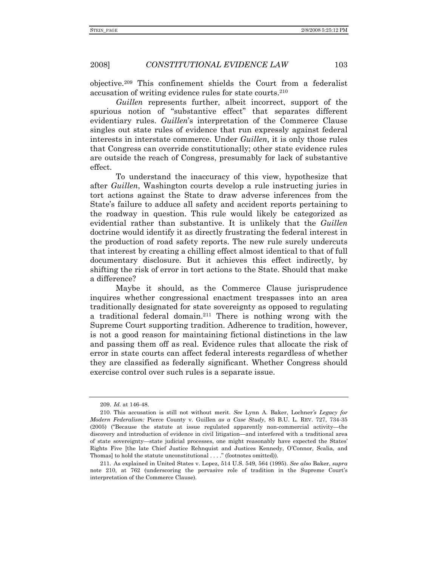objective.209 This confinement shields the Court from a federalist accusation of writing evidence rules for state courts.210

*Guillen* represents further, albeit incorrect, support of the spurious notion of "substantive effect" that separates different evidentiary rules. *Guillen*'s interpretation of the Commerce Clause singles out state rules of evidence that run expressly against federal interests in interstate commerce. Under *Guillen*, it is only those rules that Congress can override constitutionally; other state evidence rules are outside the reach of Congress, presumably for lack of substantive effect.

To understand the inaccuracy of this view, hypothesize that after *Guillen*, Washington courts develop a rule instructing juries in tort actions against the State to draw adverse inferences from the State's failure to adduce all safety and accident reports pertaining to the roadway in question. This rule would likely be categorized as evidential rather than substantive. It is unlikely that the *Guillen* doctrine would identify it as directly frustrating the federal interest in the production of road safety reports. The new rule surely undercuts that interest by creating a chilling effect almost identical to that of full documentary disclosure. But it achieves this effect indirectly, by shifting the risk of error in tort actions to the State. Should that make a difference?

Maybe it should, as the Commerce Clause jurisprudence inquires whether congressional enactment trespasses into an area traditionally designated for state sovereignty as opposed to regulating a traditional federal domain.211 There is nothing wrong with the Supreme Court supporting tradition. Adherence to tradition, however, is not a good reason for maintaining fictional distinctions in the law and passing them off as real. Evidence rules that allocate the risk of error in state courts can affect federal interests regardless of whether they are classified as federally significant. Whether Congress should exercise control over such rules is a separate issue.

<sup>209.</sup> *Id.* at 146-48.

 <sup>210.</sup> This accusation is still not without merit. *See* Lynn A. Baker, Lochner*'s Legacy for Modern Federalism:* Pierce County v. Guillen *as a Case Study*, 85 B.U. L. REV. 727, 734-35 (2005) ("Because the statute at issue regulated apparently non-commercial activity—the discovery and introduction of evidence in civil litigation—and interfered with a traditional area of state sovereignty—state judicial processes, one might reasonably have expected the States' Rights Five [the late Chief Justice Rehnquist and Justices Kennedy, O'Connor, Scalia, and Thomas] to hold the statute unconstitutional . . . ." (footnotes omitted)).

 <sup>211.</sup> As explained in United States v. Lopez, 514 U.S. 549, 564 (1995). *See also* Baker, *supra* note 210, at 762 (underscoring the pervasive role of tradition in the Supreme Court's interpretation of the Commerce Clause).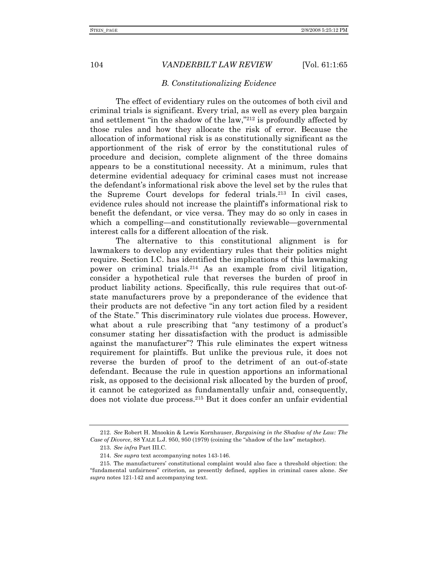#### *B. Constitutionalizing Evidence*

The effect of evidentiary rules on the outcomes of both civil and criminal trials is significant. Every trial, as well as every plea bargain and settlement "in the shadow of the law,"212 is profoundly affected by those rules and how they allocate the risk of error. Because the allocation of informational risk is as constitutionally significant as the apportionment of the risk of error by the constitutional rules of procedure and decision, complete alignment of the three domains appears to be a constitutional necessity. At a minimum, rules that determine evidential adequacy for criminal cases must not increase the defendant's informational risk above the level set by the rules that the Supreme Court develops for federal trials.213 In civil cases, evidence rules should not increase the plaintiff's informational risk to benefit the defendant, or vice versa. They may do so only in cases in which a compelling—and constitutionally reviewable—governmental interest calls for a different allocation of the risk.

The alternative to this constitutional alignment is for lawmakers to develop any evidentiary rules that their politics might require. Section I.C. has identified the implications of this lawmaking power on criminal trials.214 As an example from civil litigation, consider a hypothetical rule that reverses the burden of proof in product liability actions. Specifically, this rule requires that out-ofstate manufacturers prove by a preponderance of the evidence that their products are not defective "in any tort action filed by a resident of the State." This discriminatory rule violates due process. However, what about a rule prescribing that "any testimony of a product's consumer stating her dissatisfaction with the product is admissible against the manufacturer"? This rule eliminates the expert witness requirement for plaintiffs. But unlike the previous rule, it does not reverse the burden of proof to the detriment of an out-of-state defendant. Because the rule in question apportions an informational risk, as opposed to the decisional risk allocated by the burden of proof, it cannot be categorized as fundamentally unfair and, consequently, does not violate due process.215 But it does confer an unfair evidential

<sup>212.</sup> *See* Robert H. Mnookin & Lewis Kornhauser, *Bargaining in the Shadow of the Law: The Case of Divorce*, 88 YALE L.J. 950, 950 (1979) (coining the "shadow of the law" metaphor).

<sup>213.</sup> *See infra* Part III.C.

<sup>214.</sup> *See supra* text accompanying notes 143-146.

 <sup>215.</sup> The manufacturers' constitutional complaint would also face a threshold objection: the "fundamental unfairness" criterion, as presently defined, applies in criminal cases alone. *See supra* notes 121-142 and accompanying text.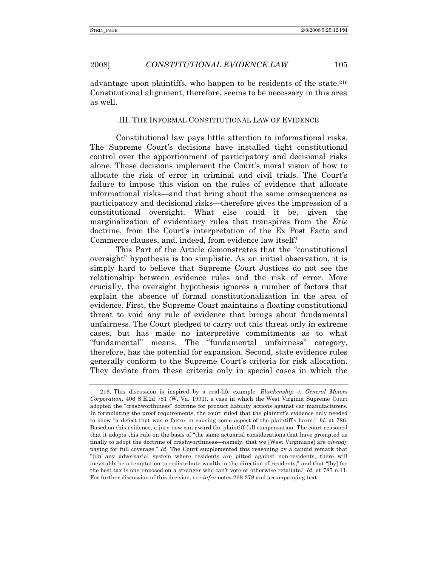advantage upon plaintiffs, who happen to be residents of the state.216 Constitutional alignment, therefore, seems to be necessary in this area as well.

## III. THE INFORMAL CONSTITUTIONAL LAW OF EVIDENCE

Constitutional law pays little attention to informational risks. The Supreme Court's decisions have installed tight constitutional control over the apportionment of participatory and decisional risks alone. These decisions implement the Court's moral vision of how to allocate the risk of error in criminal and civil trials. The Court's failure to impose this vision on the rules of evidence that allocate informational risks—and that bring about the same consequences as participatory and decisional risks—therefore gives the impression of a constitutional oversight. What else could it be, given the marginalization of evidentiary rules that transpires from the *Erie* doctrine, from the Court's interpretation of the Ex Post Facto and Commerce clauses, and, indeed, from evidence law itself?

This Part of the Article demonstrates that the "constitutional oversight" hypothesis is too simplistic. As an initial observation, it is simply hard to believe that Supreme Court Justices do not see the relationship between evidence rules and the risk of error. More crucially, the oversight hypothesis ignores a number of factors that explain the absence of formal constitutionalization in the area of evidence. First, the Supreme Court maintains a floating constitutional threat to void any rule of evidence that brings about fundamental unfairness. The Court pledged to carry out this threat only in extreme cases, but has made no interpretive commitments as to what "fundamental" means. The "fundamental unfairness" category, therefore, has the potential for expansion. Second, state evidence rules generally conform to the Supreme Court's criteria for risk allocation. They deviate from these criteria only in special cases in which the

 <sup>216.</sup> This discussion is inspired by a real-life example: *Blankenship v. General Motors Corporation*, 406 S.E.2d 781 (W. Va. 1991), a case in which the West Virginia Supreme Court adopted the "crashworthiness" doctrine for product liability actions against car manufacturers. In formulating the proof requirements, the court ruled that the plaintiff's evidence only needed to show "a defect that was *a* factor in causing some aspect of the plaintiff's harm." *Id.* at 786. Based on this evidence, a jury now can award the plaintiff full compensation. The court reasoned that it adopts this rule on the basis of "the same actuarial considerations that have prompted us finally to adopt the doctrine of crashworthiness—namely, that we [West Virginians] are *already* paying for full coverage." *Id.* The Court supplemented this reasoning by a candid remark that "[i]n any adversarial system where residents are pitted against non-residents, there will inevitably be a temptation to redistribute wealth in the direction of residents," and that "[by] far the best tax is one imposed on a stranger who can't vote or otherwise retaliate." *Id.* at 787 n.11. For further discussion of this decision, see *infra* notes 268-278 and accompanying text.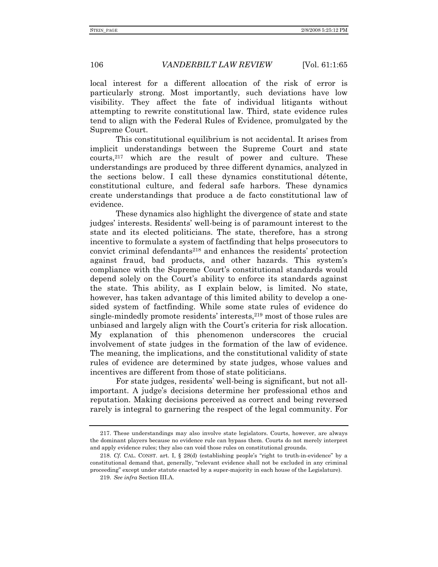local interest for a different allocation of the risk of error is particularly strong. Most importantly, such deviations have low visibility. They affect the fate of individual litigants without attempting to rewrite constitutional law. Third, state evidence rules tend to align with the Federal Rules of Evidence, promulgated by the Supreme Court.

This constitutional equilibrium is not accidental. It arises from implicit understandings between the Supreme Court and state courts,217 which are the result of power and culture. These understandings are produced by three different dynamics, analyzed in the sections below. I call these dynamics constitutional détente, constitutional culture, and federal safe harbors. These dynamics create understandings that produce a de facto constitutional law of evidence.

These dynamics also highlight the divergence of state and state judges' interests. Residents' well-being is of paramount interest to the state and its elected politicians. The state, therefore, has a strong incentive to formulate a system of factfinding that helps prosecutors to convict criminal defendants<sup>218</sup> and enhances the residents' protection against fraud, bad products, and other hazards. This system's compliance with the Supreme Court's constitutional standards would depend solely on the Court's ability to enforce its standards against the state. This ability, as I explain below, is limited. No state, however, has taken advantage of this limited ability to develop a onesided system of factfinding. While some state rules of evidence do single-mindedly promote residents' interests,219 most of those rules are unbiased and largely align with the Court's criteria for risk allocation. My explanation of this phenomenon underscores the crucial involvement of state judges in the formation of the law of evidence. The meaning, the implications, and the constitutional validity of state rules of evidence are determined by state judges, whose values and incentives are different from those of state politicians.

For state judges, residents' well-being is significant, but not allimportant. A judge's decisions determine her professional ethos and reputation. Making decisions perceived as correct and being reversed rarely is integral to garnering the respect of the legal community. For

 <sup>217.</sup> These understandings may also involve state legislators. Courts, however, are always the dominant players because no evidence rule can bypass them. Courts do not merely interpret and apply evidence rules; they also can void those rules on constitutional grounds.

<sup>218.</sup> *Cf.* CAL. CONST. art. I, § 28(d) (establishing people's "right to truth-in-evidence" by a constitutional demand that, generally, "relevant evidence shall not be excluded in any criminal proceeding" except under statute enacted by a super-majority in each house of the Legislature).

<sup>219.</sup> *See infra* Section III.A.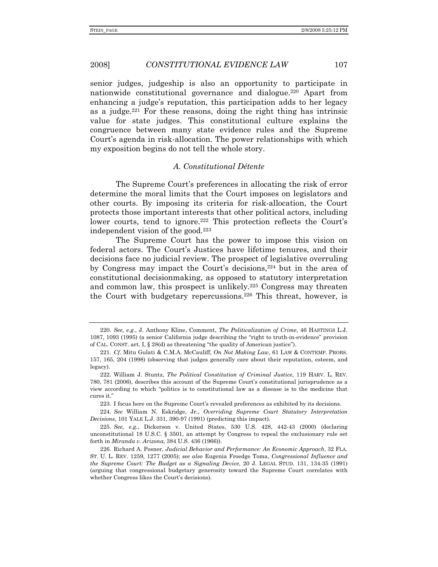senior judges, judgeship is also an opportunity to participate in nationwide constitutional governance and dialogue.220 Apart from enhancing a judge's reputation, this participation adds to her legacy as a judge.<sup>221</sup> For these reasons, doing the right thing has intrinsic value for state judges. This constitutional culture explains the congruence between many state evidence rules and the Supreme Court's agenda in risk-allocation. The power relationships with which my exposition begins do not tell the whole story.

#### *A. Constitutional Détente*

The Supreme Court's preferences in allocating the risk of error determine the moral limits that the Court imposes on legislators and other courts. By imposing its criteria for risk-allocation, the Court protects those important interests that other political actors, including lower courts, tend to ignore.<sup>222</sup> This protection reflects the Court's independent vision of the good.223

The Supreme Court has the power to impose this vision on federal actors. The Court's Justices have lifetime tenures, and their decisions face no judicial review. The prospect of legislative overruling by Congress may impact the Court's decisions,<sup>224</sup> but in the area of constitutional decisionmaking, as opposed to statutory interpretation and common law, this prospect is unlikely.225 Congress may threaten the Court with budgetary repercussions.226 This threat, however, is

223. I focus here on the Supreme Court's revealed preferences as exhibited by its decisions.

224. *See* William N. Eskridge, Jr., *Overriding Supreme Court Statutory Interpretation Decisions*, 101 YALE L.J. 331, 390-97 (1991) (predicting this impact).

225. *See, e.g.*, Dickerson v. United States, 530 U.S. 428, 442-43 (2000) (declaring unconstitutional 18 U.S.C. § 3501, an attempt by Congress to repeal the exclusionary rule set forth in *Miranda v. Arizona*, 384 U.S. 436 (1966)).

 226. Richard A. Posner, *Judicial Behavior and Performance: An Economic Approach*, 32 FLA. ST. U. L. REV. 1259, 1277 (2005); *see also* Eugenia Froedge Toma, *Congressional Influence and the Supreme Court: The Budget as a Signaling Device*, 20 J. LEGAL STUD. 131, 134-35 (1991) (arguing that congressional budgetary generosity toward the Supreme Court correlates with whether Congress likes the Court's decisions).

<sup>220.</sup> *See, e.g.*, J. Anthony Kline, Comment, *The Politicalization of Crime*, 46 HASTINGS L.J. 1087, 1093 (1995) (a senior California judge describing the "right to truth-in-evidence" provision of CAL. CONST. art. I, § 28(d) as threatening "the quality of American justice").

<sup>221.</sup> *Cf.* Mitu Gulati & C.M.A. McCauliff, *On Not Making Law*, 61 LAW & CONTEMP. PROBS. 157, 165, 204 (1998) (observing that judges generally care about their reputation, esteem, and legacy).

 <sup>222.</sup> William J. Stuntz, *The Political Constitution of Criminal Justice*, 119 HARV. L. REV. 780, 781 (2006), describes this account of the Supreme Court's constitutional jurisprudence as a view according to which "politics is to constitutional law as a disease is to the medicine that cures it."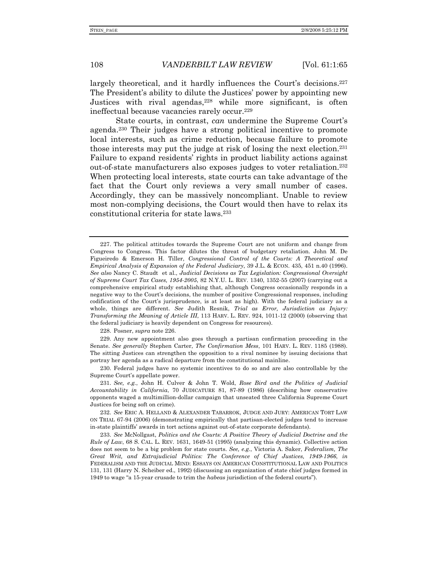largely theoretical, and it hardly influences the Court's decisions.<sup>227</sup> The President's ability to dilute the Justices' power by appointing new Justices with rival agendas, $228$  while more significant, is often ineffectual because vacancies rarely occur.229

State courts, in contrast, *can* undermine the Supreme Court's agenda.230 Their judges have a strong political incentive to promote local interests, such as crime reduction, because failure to promote those interests may put the judge at risk of losing the next election.231 Failure to expand residents' rights in product liability actions against out-of-state manufacturers also exposes judges to voter retaliation.232 When protecting local interests, state courts can take advantage of the fact that the Court only reviews a very small number of cases. Accordingly, they can be massively noncompliant. Unable to review most non-complying decisions, the Court would then have to relax its constitutional criteria for state laws.233

228. Posner, *supra* note 226.

 229. Any new appointment also goes through a partisan confirmation proceeding in the Senate. *See generally* Stephen Carter, *The Confirmation Mess*, 101 HARV. L. REV. 1185 (1988). The sitting Justices can strengthen the opposition to a rival nominee by issuing decisions that portray her agenda as a radical departure from the constitutional mainline.

 230. Federal judges have no systemic incentives to do so and are also controllable by the Supreme Court's appellate power.

231. *See, e.g.*, John H. Culver & John T. Wold, *Rose Bird and the Politics of Judicial Accountability in California*, 70 JUDICATURE 81, 87-89 (1986) (describing how conservative opponents waged a multimillion-dollar campaign that unseated three California Supreme Court Justices for being soft on crime).

232. *See* ERIC A. HELLAND & ALEXANDER TABARROK, JUDGE AND JURY: AMERICAN TORT LAW ON TRIAL 67-94 (2006) (demonstrating empirically that partisan-elected judges tend to increase in-state plaintiffs' awards in tort actions against out-of-state corporate defendants).

233. *See* McNollgast, *Politics and the Courts: A Positive Theory of Judicial Doctrine and the Rule of Law*, 68 S. CAL. L. REV. 1631, 1649-51 (1995) (analyzing this dynamic). Collective action does not seem to be a big problem for state courts. *See, e.g.*, Victoria A. Saker, *Federalism, The Great Writ, and Extrajudicial Politics: The Conference of Chief Justices, 1949-1966*, *in* FEDERALISM AND THE JUDICIAL MIND: ESSAYS ON AMERICAN CONSTITUTIONAL LAW AND POLITICS 131, 131 (Harry N. Scheiber ed., 1992) (discussing an organization of state chief judges formed in 1949 to wage "a 15-year crusade to trim the *habeas* jurisdiction of the federal courts").

 <sup>227.</sup> The political attitudes towards the Supreme Court are not uniform and change from Congress to Congress. This factor dilutes the threat of budgetary retaliation. John M. De Figueiredo & Emerson H. Tiller, *Congressional Control of the Courts: A Theoretical and Empirical Analysis of Expansion of the Federal Judiciary*, 39 J.L. & ECON. 435, 451 n.40 (1996). *See also* Nancy C. Staudt et al., *Judicial Decisions as Tax Legislation: Congressional Oversight of Supreme Court Tax Cases, 1954-2005*, 82 N.Y.U. L. REV. 1340, 1352-55 (2007) (carrying out a comprehensive empirical study establishing that, although Congress occasionally responds in a negative way to the Court's decisions, the number of positive Congressional responses, including codification of the Court's jurisprudence, is at least as high). With the federal judiciary as a whole, things are different. *See* Judith Resnik, *Trial as Error, Jurisdiction as Injury: Transforming the Meaning of Article III*, 113 HARV. L. REV. 924, 1011-12 (2000) (observing that the federal judiciary is heavily dependent on Congress for resources).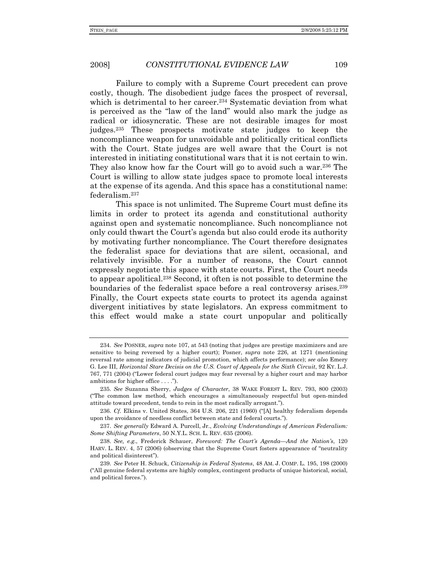Failure to comply with a Supreme Court precedent can prove costly, though. The disobedient judge faces the prospect of reversal, which is detrimental to her career.<sup>234</sup> Systematic deviation from what is perceived as the "law of the land" would also mark the judge as radical or idiosyncratic. These are not desirable images for most judges.235 These prospects motivate state judges to keep the noncompliance weapon for unavoidable and politically critical conflicts with the Court. State judges are well aware that the Court is not interested in initiating constitutional wars that it is not certain to win. They also know how far the Court will go to avoid such a war.236 The Court is willing to allow state judges space to promote local interests at the expense of its agenda. And this space has a constitutional name: federalism.237

This space is not unlimited. The Supreme Court must define its limits in order to protect its agenda and constitutional authority against open and systematic noncompliance. Such noncompliance not only could thwart the Court's agenda but also could erode its authority by motivating further noncompliance. The Court therefore designates the federalist space for deviations that are silent, occasional, and relatively invisible. For a number of reasons, the Court cannot expressly negotiate this space with state courts. First, the Court needs to appear apolitical.238 Second, it often is not possible to determine the boundaries of the federalist space before a real controversy arises.239 Finally, the Court expects state courts to protect its agenda against divergent initiatives by state legislators. An express commitment to this effect would make a state court unpopular and politically

<sup>234.</sup> *See* POSNER, *supra* note 107, at 543 (noting that judges are prestige maximizers and are sensitive to being reversed by a higher court); Posner, *supra* note 226, at 1271 (mentioning reversal rate among indicators of judicial promotion, which affects performance); *see also* Emery G. Lee III, *Horizontal Stare Decisis on the U.S. Court of Appeals for the Sixth Circuit*, 92 KY. L.J. 767, 771 (2004) ("Lower federal court judges may fear reversal by a higher court and may harbor ambitions for higher office . . . .").

<sup>235.</sup> *See* Suzanna Sherry, *Judges of Character*, 38 WAKE FOREST L. REV. 793, 800 (2003) ("The common law method, which encourages a simultaneously respectful but open-minded attitude toward precedent, tends to rein in the most radically arrogant.").

<sup>236.</sup> *Cf.* Elkins v. United States, 364 U.S. 206, 221 (1960) ("[A] healthy federalism depends upon the avoidance of needless conflict between state and federal courts.").

<sup>237.</sup> *See generally* Edward A. Purcell, Jr., *Evolving Understandings of American Federalism: Some Shifting Parameters*, 50 N.Y.L. SCH. L. REV. 635 (2006).

<sup>238.</sup> *See, e.g.*, Frederick Schauer, *Foreword: The Court's Agenda*—*And the Nation's*, 120 HARV. L. REV. 4, 57 (2006) (observing that the Supreme Court fosters appearance of "neutrality and political disinterest").

<sup>239.</sup> *See* Peter H. Schuck, *Citizenship in Federal Systems*, 48 AM. J. COMP. L. 195, 198 (2000) ("All genuine federal systems are highly complex, contingent products of unique historical, social, and political forces.").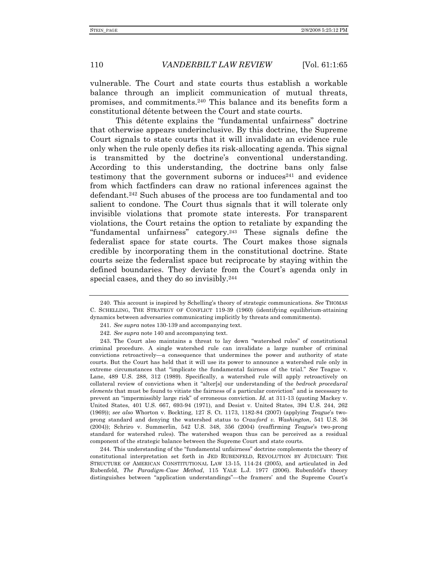vulnerable. The Court and state courts thus establish a workable balance through an implicit communication of mutual threats, promises, and commitments.240 This balance and its benefits form a constitutional détente between the Court and state courts.

This détente explains the "fundamental unfairness" doctrine that otherwise appears underinclusive. By this doctrine, the Supreme Court signals to state courts that it will invalidate an evidence rule only when the rule openly defies its risk-allocating agenda. This signal is transmitted by the doctrine's conventional understanding. According to this understanding, the doctrine bans only false testimony that the government suborns or induces $241$  and evidence from which factfinders can draw no rational inferences against the defendant.242 Such abuses of the process are too fundamental and too salient to condone. The Court thus signals that it will tolerate only invisible violations that promote state interests. For transparent violations, the Court retains the option to retaliate by expanding the "fundamental unfairness" category.243 These signals define the federalist space for state courts. The Court makes those signals credible by incorporating them in the constitutional doctrine. State courts seize the federalist space but reciprocate by staying within the defined boundaries. They deviate from the Court's agenda only in special cases, and they do so invisibly.<sup>244</sup>

 244. This understanding of the "fundamental unfairness" doctrine complements the theory of constitutional interpretation set forth in JED RUBENFELD, REVOLUTION BY JUDICIARY: THE STRUCTURE OF AMERICAN CONSTITUTIONAL LAW 13-15, 114-24 (2005), and articulated in Jed Rubenfeld, *The Paradigm-Case Method*, 115 YALE L.J. 1977 (2006). Rubenfeld's theory distinguishes between "application understandings"—the framers' and the Supreme Court's

 <sup>240.</sup> This account is inspired by Schelling's theory of strategic communications. *See* THOMAS C. SCHELLING, THE STRATEGY OF CONFLICT 119-39 (1960) (identifying equilibrium-attaining dynamics between adversaries communicating implicitly by threats and commitments).

<sup>241.</sup> *See supra* notes 130-139 and accompanying text.

<sup>242.</sup> *See supra* note 140 and accompanying text.

 <sup>243.</sup> The Court also maintains a threat to lay down "watershed rules" of constitutional criminal procedure. A single watershed rule can invalidate a large number of criminal convictions retroactively—a consequence that undermines the power and authority of state courts. But the Court has held that it will use its power to announce a watershed rule only in extreme circumstances that "implicate the fundamental fairness of the trial." *See* Teague v. Lane, 489 U.S. 288, 312 (1989). Specifically, a watershed rule will apply retroactively on collateral review of convictions when it "alter[s] our understanding of the *bedrock procedural elements* that must be found to vitiate the fairness of a particular conviction" and is necessary to prevent an "impermissibly large risk" of erroneous conviction. *Id.* at 311-13 (quoting Mackey v. United States, 401 U.S. 667, 693-94 (1971), and Desist v. United States, 394 U.S. 244, 262 (1969)); *see also* Whorton v. Bockting, 127 S. Ct. 1173, 1182-84 (2007) (applying *Teague*'s twoprong standard and denying the watershed status to *Crawford v. Washington*, 541 U.S. 36 (2004)); Schriro v. Summerlin, 542 U.S. 348, 356 (2004) (reaffirming *Teague*'s two-prong standard for watershed rules). The watershed weapon thus can be perceived as a residual component of the strategic balance between the Supreme Court and state courts.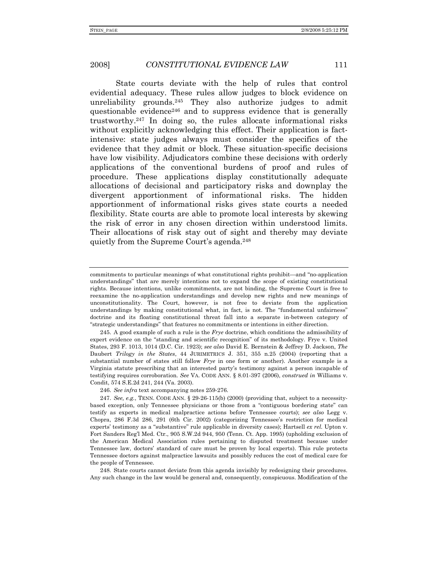State courts deviate with the help of rules that control evidential adequacy. These rules allow judges to block evidence on unreliability grounds.245 They also authorize judges to admit questionable evidence246 and to suppress evidence that is generally trustworthy.247 In doing so, the rules allocate informational risks without explicitly acknowledging this effect. Their application is factintensive: state judges always must consider the specifics of the evidence that they admit or block. These situation-specific decisions have low visibility. Adjudicators combine these decisions with orderly applications of the conventional burdens of proof and rules of procedure. These applications display constitutionally adequate allocations of decisional and participatory risks and downplay the divergent apportionment of informational risks. The hidden apportionment of informational risks gives state courts a needed flexibility. State courts are able to promote local interests by skewing the risk of error in any chosen direction within understood limits. Their allocations of risk stay out of sight and thereby may deviate quietly from the Supreme Court's agenda.248

 245. A good example of such a rule is the *Frye* doctrine, which conditions the admissibility of expert evidence on the "standing and scientific recognition" of its methodology. Frye v. United States, 293 F. 1013, 1014 (D.C. Cir. 1923); *see also* David E. Bernstein & Jeffrey D. Jackson, *The*  Daubert *Trilogy in the States*, 44 JURIMETRICS J. 351, 355 n.25 (2004) (reporting that a substantial number of states still follow *Frye* in one form or another). Another example is a Virginia statute prescribing that an interested party's testimony against a person incapable of testifying requires corroboration. *See* VA. CODE ANN. § 8.01-397 (2006), *construed in* Williams v. Condit, 574 S.E.2d 241, 244 (Va. 2003).

246. *See infra* text accompanying notes 259-276.

247. *See, e.g.*, TENN. CODE ANN. § 29-26-115(b) (2000) (providing that, subject to a necessitybased exception, only Tennessee physicians or those from a "contiguous bordering state" can testify as experts in medical malpractice actions before Tennessee courts); *see also* Legg v. Chopra, 286 F.3d 286, 291 (6th Cir. 2002) (categorizing Tennessee's restriction for medical experts' testimony as a "substantive" rule applicable in diversity cases); Hartsell *ex rel.* Upton v. Fort Sanders Reg'l Med. Ctr., 905 S.W.2d 944, 950 (Tenn. Ct. App. 1995) (upholding exclusion of the American Medical Association rules pertaining to disputed treatment because under Tennessee law, doctors' standard of care must be proven by local experts). This rule protects Tennessee doctors against malpractice lawsuits and possibly reduces the cost of medical care for the people of Tennessee.

 248. State courts cannot deviate from this agenda invisibly by redesigning their procedures. Any such change in the law would be general and, consequently, conspicuous. Modification of the

commitments to particular meanings of what constitutional rights prohibit—and "no-application understandings" that are merely intentions not to expand the scope of existing constitutional rights. Because intentions, unlike commitments, are not binding, the Supreme Court is free to reexamine the no-application understandings and develop new rights and new meanings of unconstitutionality. The Court, however, is not free to deviate from the application understandings by making constitutional what, in fact, is not. The "fundamental unfairness" doctrine and its floating constitutional threat fall into a separate in-between category of "strategic understandings" that features no commitments or intentions in either direction.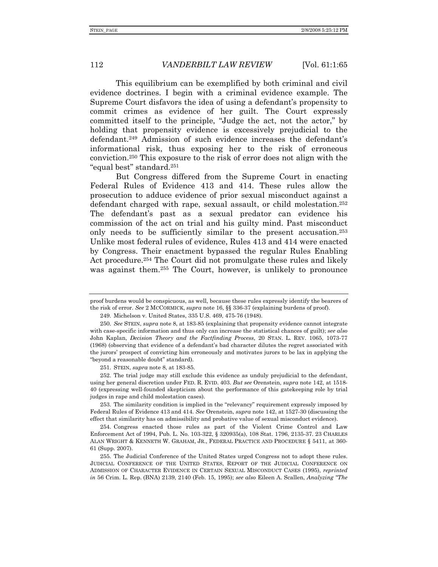This equilibrium can be exemplified by both criminal and civil evidence doctrines. I begin with a criminal evidence example. The Supreme Court disfavors the idea of using a defendant's propensity to commit crimes as evidence of her guilt. The Court expressly committed itself to the principle, "Judge the act, not the actor," by holding that propensity evidence is excessively prejudicial to the defendant.<sup>249</sup> Admission of such evidence increases the defendant's informational risk, thus exposing her to the risk of erroneous conviction.250 This exposure to the risk of error does not align with the "equal best" standard.251

But Congress differed from the Supreme Court in enacting Federal Rules of Evidence 413 and 414. These rules allow the prosecution to adduce evidence of prior sexual misconduct against a defendant charged with rape, sexual assault, or child molestation.252 The defendant's past as a sexual predator can evidence his commission of the act on trial and his guilty mind. Past misconduct only needs to be sufficiently similar to the present accusation.253 Unlike most federal rules of evidence, Rules 413 and 414 were enacted by Congress. Their enactment bypassed the regular Rules Enabling Act procedure.<sup>254</sup> The Court did not promulgate these rules and likely was against them.<sup>255</sup> The Court, however, is unlikely to pronounce

251. STEIN, *supra* note 8, at 183-85.

 252. The trial judge may still exclude this evidence as unduly prejudicial to the defendant, using her general discretion under FED. R. EVID. 403. *But see* Orenstein, *supra* note 142, at 1518- 40 (expressing well-founded skepticism about the performance of this gatekeeping role by trial judges in rape and child molestation cases).

 253. The similarity condition is implied in the "relevancy" requirement expressly imposed by Federal Rules of Evidence 413 and 414. *See* Orenstein, *supra* note 142, at 1527-30 (discussing the effect that similarity has on admissibility and probative value of sexual misconduct evidence).

 254. Congress enacted those rules as part of the Violent Crime Control and Law Enforcement Act of 1994, Pub. L. No. 103-322, § 320935(a), 108 Stat. 1796, 2135-37. 23 CHARLES ALAN WRIGHT & KENNETH W. GRAHAM, JR., FEDERAL PRACTICE AND PROCEDURE § 5411, at 360- 61 (Supp. 2007).

 255. The Judicial Conference of the United States urged Congress not to adopt these rules. JUDICIAL CONFERENCE OF THE UNITED STATES, REPORT OF THE JUDICIAL CONFERENCE ON ADMISSION OF CHARACTER EVIDENCE IN CERTAIN SEXUAL MISCONDUCT CASES (1995), *reprinted in* 56 Crim. L. Rep. (BNA) 2139, 2140 (Feb. 15, 1995); *see also* Eileen A. Scallen, *Analyzing "The* 

proof burdens would be conspicuous, as well, because these rules expressly identify the bearers of the risk of error. *See* 2 MCCORMICK, *supra* note 16, §§ 336-37 (explaining burdens of proof).

 <sup>249.</sup> Michelson v. United States, 335 U.S. 469, 475-76 (1948).

<sup>250.</sup> *See* STEIN, *supra* note 8, at 183-85 (explaining that propensity evidence cannot integrate with case-specific information and thus only can increase the statistical chances of guilt); *see also* John Kaplan, *Decision Theory and the Factfinding Process*, 20 STAN. L. REV. 1065, 1073-77 (1968) (observing that evidence of a defendant's bad character dilutes the regret associated with the jurors' prospect of convicting him erroneously and motivates jurors to be lax in applying the "beyond a reasonable doubt" standard).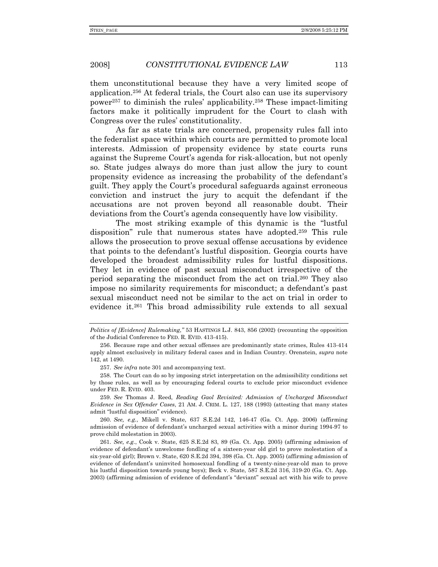them unconstitutional because they have a very limited scope of application.256 At federal trials, the Court also can use its supervisory power257 to diminish the rules' applicability.258 These impact-limiting factors make it politically imprudent for the Court to clash with Congress over the rules' constitutionality.

As far as state trials are concerned, propensity rules fall into the federalist space within which courts are permitted to promote local interests. Admission of propensity evidence by state courts runs against the Supreme Court's agenda for risk-allocation, but not openly so. State judges always do more than just allow the jury to count propensity evidence as increasing the probability of the defendant's guilt. They apply the Court's procedural safeguards against erroneous conviction and instruct the jury to acquit the defendant if the accusations are not proven beyond all reasonable doubt. Their deviations from the Court's agenda consequently have low visibility.

The most striking example of this dynamic is the "lustful disposition" rule that numerous states have adopted.259 This rule allows the prosecution to prove sexual offense accusations by evidence that points to the defendant's lustful disposition. Georgia courts have developed the broadest admissibility rules for lustful dispositions. They let in evidence of past sexual misconduct irrespective of the period separating the misconduct from the act on trial.260 They also impose no similarity requirements for misconduct; a defendant's past sexual misconduct need not be similar to the act on trial in order to evidence it.261 This broad admissibility rule extends to all sexual

257. *See infra* note 301 and accompanying text.

*Politics of [Evidence] Rulemaking*,*"* 53 HASTINGS L.J. 843, 856 (2002) (recounting the opposition of the Judicial Conference to FED. R. EVID. 413-415).

 <sup>256.</sup> Because rape and other sexual offenses are predominantly state crimes, Rules 413-414 apply almost exclusively in military federal cases and in Indian Country. Orenstein, *supra* note 142, at 1490.

 <sup>258.</sup> The Court can do so by imposing strict interpretation on the admissibility conditions set by those rules, as well as by encouraging federal courts to exclude prior misconduct evidence under FED. R. EVID. 403.

<sup>259.</sup> *See* Thomas J. Reed, *Reading Gaol Revisited: Admission of Uncharged Misconduct Evidence in Sex Offender Cases*, 21 AM. J. CRIM. L. 127, 188 (1993) (attesting that many states admit "lustful disposition" evidence).

<sup>260.</sup> *See, e.g.*, Mikell v. State, 637 S.E.2d 142, 146-47 (Ga. Ct. App. 2006) (affirming admission of evidence of defendant's uncharged sexual activities with a minor during 1994-97 to prove child molestation in 2003).

<sup>261.</sup> *See, e.g.*, Cook v. State, 625 S.E.2d 83, 89 (Ga. Ct. App. 2005) (affirming admission of evidence of defendant's unwelcome fondling of a sixteen-year old girl to prove molestation of a six-year-old girl); Brown v. State, 620 S.E.2d 394, 398 (Ga. Ct. App. 2005) (affirming admission of evidence of defendant's uninvited homosexual fondling of a twenty-nine-year-old man to prove his lustful disposition towards young boys); Beck v. State, 587 S.E.2d 316, 319-20 (Ga. Ct. App. 2003) (affirming admission of evidence of defendant's "deviant" sexual act with his wife to prove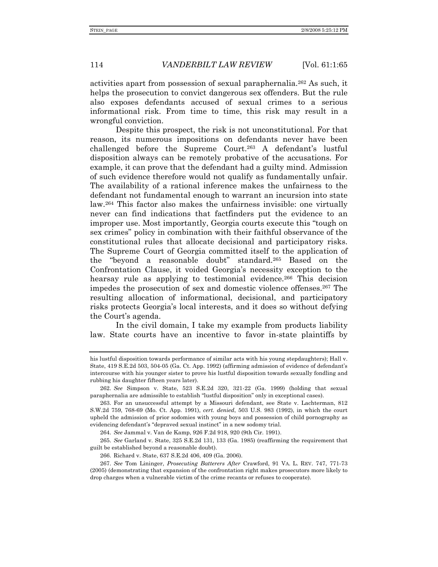activities apart from possession of sexual paraphernalia.262 As such, it helps the prosecution to convict dangerous sex offenders. But the rule also exposes defendants accused of sexual crimes to a serious informational risk. From time to time, this risk may result in a wrongful conviction.

Despite this prospect, the risk is not unconstitutional. For that reason, its numerous impositions on defendants never have been challenged before the Supreme Court.263 A defendant's lustful disposition always can be remotely probative of the accusations. For example, it can prove that the defendant had a guilty mind. Admission of such evidence therefore would not qualify as fundamentally unfair. The availability of a rational inference makes the unfairness to the defendant not fundamental enough to warrant an incursion into state law.264 This factor also makes the unfairness invisible: one virtually never can find indications that factfinders put the evidence to an improper use. Most importantly, Georgia courts execute this "tough on sex crimes" policy in combination with their faithful observance of the constitutional rules that allocate decisional and participatory risks. The Supreme Court of Georgia committed itself to the application of the "beyond a reasonable doubt" standard.265 Based on the Confrontation Clause, it voided Georgia's necessity exception to the hearsay rule as applying to testimonial evidence.266 This decision impedes the prosecution of sex and domestic violence offenses.267 The resulting allocation of informational, decisional, and participatory risks protects Georgia's local interests, and it does so without defying the Court's agenda.

In the civil domain, I take my example from products liability law. State courts have an incentive to favor in-state plaintiffs by

his lustful disposition towards performance of similar acts with his young stepdaughters); Hall v. State, 419 S.E.2d 503, 504-05 (Ga. Ct. App. 1992) (affirming admission of evidence of defendant's intercourse with his younger sister to prove his lustful disposition towards sexually fondling and rubbing his daughter fifteen years later).

<sup>262.</sup> *See* Simpson v. State, 523 S.E.2d 320, 321-22 (Ga. 1999) (holding that sexual paraphernalia are admissible to establish "lustful disposition" only in exceptional cases).

 <sup>263.</sup> For an unsuccessful attempt by a Missouri defendant, see State v. Lachterman, 812 S.W.2d 759, 768-69 (Mo. Ct. App. 1991), *cert. denied*, 503 U.S. 983 (1992), in which the court upheld the admission of prior sodomies with young boys and possession of child pornography as evidencing defendant's "depraved sexual instinct" in a new sodomy trial.

<sup>264.</sup> *See* Jammal v. Van de Kamp, 926 F.2d 918, 920 (9th Cir. 1991).

<sup>265.</sup> *See* Garland v. State, 325 S.E.2d 131, 133 (Ga. 1985) (reaffirming the requirement that guilt be established beyond a reasonable doubt).

 <sup>266.</sup> Richard v. State, 637 S.E.2d 406, 409 (Ga. 2006).

<sup>267.</sup> *See* Tom Lininger, *Prosecuting Batterers After* Crawford, 91 VA. L. REV. 747, 771-73 (2005) (demonstrating that expansion of the confrontation right makes prosecutors more likely to drop charges when a vulnerable victim of the crime recants or refuses to cooperate).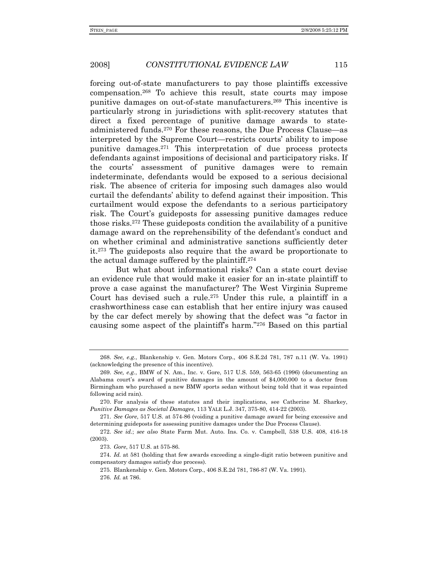forcing out-of-state manufacturers to pay those plaintiffs excessive compensation.268 To achieve this result, state courts may impose punitive damages on out-of-state manufacturers.269 This incentive is particularly strong in jurisdictions with split-recovery statutes that direct a fixed percentage of punitive damage awards to stateadministered funds.270 For these reasons, the Due Process Clause—as interpreted by the Supreme Court—restricts courts' ability to impose punitive damages.271 This interpretation of due process protects defendants against impositions of decisional and participatory risks. If the courts' assessment of punitive damages were to remain indeterminate, defendants would be exposed to a serious decisional risk. The absence of criteria for imposing such damages also would curtail the defendants' ability to defend against their imposition. This curtailment would expose the defendants to a serious participatory risk. The Court's guideposts for assessing punitive damages reduce those risks.272 These guideposts condition the availability of a punitive damage award on the reprehensibility of the defendant's conduct and on whether criminal and administrative sanctions sufficiently deter it.273 The guideposts also require that the award be proportionate to the actual damage suffered by the plaintiff.274

But what about informational risks? Can a state court devise an evidence rule that would make it easier for an in-state plaintiff to prove a case against the manufacturer? The West Virginia Supreme Court has devised such a rule.275 Under this rule, a plaintiff in a crashworthiness case can establish that her entire injury was caused by the car defect merely by showing that the defect was "*a* factor in causing some aspect of the plaintiff's harm."276 Based on this partial

 275. Blankenship v. Gen. Motors Corp., 406 S.E.2d 781, 786-87 (W. Va. 1991). 276. *Id.* at 786.

<sup>268.</sup> *See, e.g.*, Blankenship v. Gen. Motors Corp., 406 S.E.2d 781, 787 n.11 (W. Va. 1991) (acknowledging the presence of this incentive).

<sup>269.</sup> *See, e.g.*, BMW of N. Am., Inc. v. Gore, 517 U.S. 559, 563-65 (1996) (documenting an Alabama court's award of punitive damages in the amount of \$4,000,000 to a doctor from Birmingham who purchased a new BMW sports sedan without being told that it was repainted following acid rain).

 <sup>270.</sup> For analysis of these statutes and their implications, see Catherine M. Sharkey, *Punitive Damages as Societal Damages*, 113 YALE L.J. 347, 375-80, 414-22 (2003).

<sup>271.</sup> *See Gore*, 517 U.S. at 574-86 (voiding a punitive damage award for being excessive and determining guideposts for assessing punitive damages under the Due Process Clause).

<sup>272.</sup> *See id.*; *see also* State Farm Mut. Auto. Ins. Co. v. Campbell, 538 U.S. 408, 416-18 (2003).

<sup>273.</sup> *Gore*, 517 U.S. at 575-86.

<sup>274.</sup> *Id.* at 581 (holding that few awards exceeding a single-digit ratio between punitive and compensatory damages satisfy due process).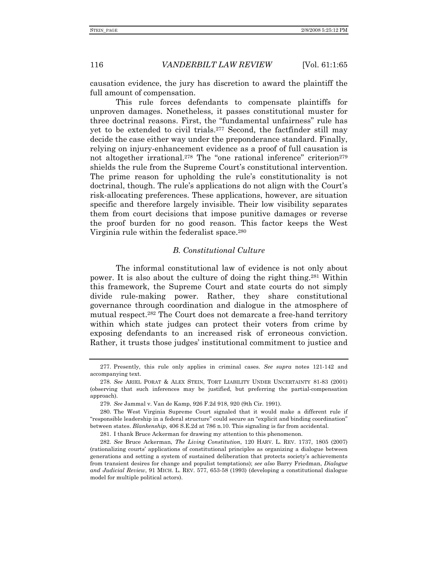causation evidence, the jury has discretion to award the plaintiff the full amount of compensation.

This rule forces defendants to compensate plaintiffs for unproven damages. Nonetheless, it passes constitutional muster for three doctrinal reasons. First, the "fundamental unfairness" rule has yet to be extended to civil trials.277 Second, the factfinder still may decide the case either way under the preponderance standard. Finally, relying on injury-enhancement evidence as a proof of full causation is not altogether irrational.<sup>278</sup> The "one rational inference" criterion<sup>279</sup> shields the rule from the Supreme Court's constitutional intervention. The prime reason for upholding the rule's constitutionality is not doctrinal, though. The rule's applications do not align with the Court's risk-allocating preferences. These applications, however, are situation specific and therefore largely invisible. Their low visibility separates them from court decisions that impose punitive damages or reverse the proof burden for no good reason. This factor keeps the West Virginia rule within the federalist space.<sup>280</sup>

## *B. Constitutional Culture*

The informal constitutional law of evidence is not only about power. It is also about the culture of doing the right thing.281 Within this framework, the Supreme Court and state courts do not simply divide rule-making power. Rather, they share constitutional governance through coordination and dialogue in the atmosphere of mutual respect.282 The Court does not demarcate a free-hand territory within which state judges can protect their voters from crime by exposing defendants to an increased risk of erroneous conviction. Rather, it trusts those judges' institutional commitment to justice and

 <sup>277.</sup> Presently, this rule only applies in criminal cases. *See supra* notes 121-142 and accompanying text.

<sup>278.</sup> *See* ARIEL PORAT & ALEX STEIN, TORT LIABILITY UNDER UNCERTAINTY 81-83 (2001) (observing that such inferences may be justified, but preferring the partial-compensation approach).

<sup>279.</sup> *See* Jammal v. Van de Kamp, 926 F.2d 918, 920 (9th Cir. 1991).

 <sup>280.</sup> The West Virginia Supreme Court signaled that it would make a different rule if "responsible leadership in a federal structure" could secure an "explicit and binding coordination" between states. *Blankenship*, 406 S.E.2d at 786 n.10. This signaling is far from accidental.

 <sup>281.</sup> I thank Bruce Ackerman for drawing my attention to this phenomenon.

<sup>282.</sup> *See* Bruce Ackerman, *The Living Constitution*, 120 HARV. L. REV. 1737, 1805 (2007) (rationalizing courts' applications of constitutional principles as organizing a dialogue between generations and setting a system of sustained deliberation that protects society's achievements from transient desires for change and populist temptations); *see also* Barry Friedman, *Dialogue and Judicial Review*, 91 MICH. L. REV. 577, 653-58 (1993) (developing a constitutional dialogue model for multiple political actors).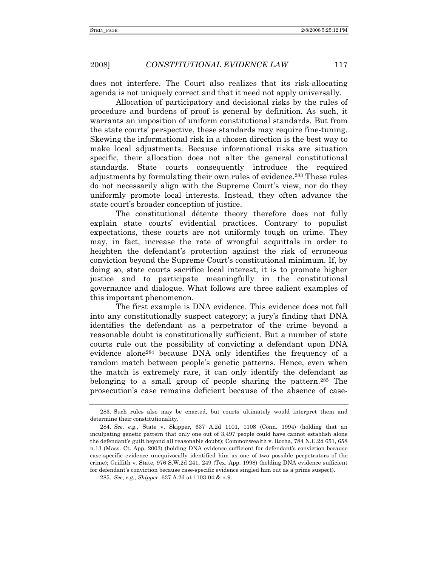does not interfere. The Court also realizes that its risk-allocating agenda is not uniquely correct and that it need not apply universally.

Allocation of participatory and decisional risks by the rules of procedure and burdens of proof is general by definition. As such, it warrants an imposition of uniform constitutional standards. But from the state courts' perspective, these standards may require fine-tuning. Skewing the informational risk in a chosen direction is the best way to make local adjustments. Because informational risks are situation specific, their allocation does not alter the general constitutional standards. State courts consequently introduce the required adjustments by formulating their own rules of evidence.283 These rules do not necessarily align with the Supreme Court's view, nor do they uniformly promote local interests. Instead, they often advance the state court's broader conception of justice.

The constitutional détente theory therefore does not fully explain state courts' evidential practices. Contrary to populist expectations, these courts are not uniformly tough on crime. They may, in fact, increase the rate of wrongful acquittals in order to heighten the defendant's protection against the risk of erroneous conviction beyond the Supreme Court's constitutional minimum. If, by doing so, state courts sacrifice local interest, it is to promote higher justice and to participate meaningfully in the constitutional governance and dialogue. What follows are three salient examples of this important phenomenon.

The first example is DNA evidence. This evidence does not fall into any constitutionally suspect category; a jury's finding that DNA identifies the defendant as a perpetrator of the crime beyond a reasonable doubt is constitutionally sufficient. But a number of state courts rule out the possibility of convicting a defendant upon DNA evidence alone284 because DNA only identifies the frequency of a random match between people's genetic patterns. Hence, even when the match is extremely rare, it can only identify the defendant as belonging to a small group of people sharing the pattern.285 The prosecution's case remains deficient because of the absence of case-

 <sup>283.</sup> Such rules also may be enacted, but courts ultimately would interpret them and determine their constitutionality.

<sup>284.</sup> *See, e.g.*, State v. Skipper, 637 A.2d 1101, 1108 (Conn. 1994) (holding that an inculpating genetic pattern that only one out of 3,497 people could have cannot establish alone the defendant's guilt beyond all reasonable doubt); Commonwealth v. Rocha, 784 N.E.2d 651, 658 n.13 (Mass. Ct. App. 2003) (holding DNA evidence sufficient for defendant's conviction because case-specific evidence unequivocally identified him as one of two possible perpetrators of the crime); Griffith v. State, 976 S.W.2d 241, 249 (Tex. App. 1998) (holding DNA evidence sufficient for defendant's conviction because case-specific evidence singled him out as a prime suspect).

<sup>285.</sup> *See, e.g.*, *Skipper*, 637 A.2d at 1103-04 & n.9.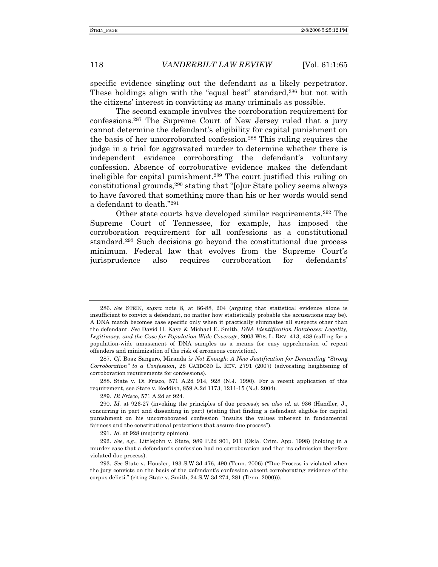specific evidence singling out the defendant as a likely perpetrator. These holdings align with the "equal best" standard,<sup>286</sup> but not with the citizens' interest in convicting as many criminals as possible.

The second example involves the corroboration requirement for confessions.287 The Supreme Court of New Jersey ruled that a jury cannot determine the defendant's eligibility for capital punishment on the basis of her uncorroborated confession.288 This ruling requires the judge in a trial for aggravated murder to determine whether there is independent evidence corroborating the defendant's voluntary confession. Absence of corroborative evidence makes the defendant ineligible for capital punishment.289 The court justified this ruling on constitutional grounds,<sup>290</sup> stating that "[o]ur State policy seems always to have favored that something more than his or her words would send a defendant to death."291

Other state courts have developed similar requirements.292 The Supreme Court of Tennessee, for example, has imposed the corroboration requirement for all confessions as a constitutional standard.293 Such decisions go beyond the constitutional due process minimum. Federal law that evolves from the Supreme Court's jurisprudence also requires corroboration for defendants'

 288. State v. Di Frisco, 571 A.2d 914, 928 (N.J. 1990). For a recent application of this requirement, see State v. Reddish, 859 A.2d 1173, 1211-15 (N.J. 2004).

289. *Di Frisco*, 571 A.2d at 924.

291. *Id.* at 928 (majority opinion).

<sup>286.</sup> *See* STEIN, *supra* note 8, at 86-88, 204 (arguing that statistical evidence alone is insufficient to convict a defendant, no matter how statistically probable the accusations may be). A DNA match becomes case specific only when it practically eliminates all suspects other than the defendant. *See* David H. Kaye & Michael E. Smith, *DNA Identification Databases: Legality, Legitimacy, and the Case for Population-Wide Coverage*, 2003 WIS. L. REV. 413, 438 (calling for a population-wide amassment of DNA samples as a means for easy apprehension of repeat offenders and minimization of the risk of erroneous conviction).

<sup>287.</sup> *Cf.* Boaz Sangero, Miranda *is Not Enough: A New Justification for Demanding "Strong Corroboration" to a Confession*, 28 CARDOZO L. REV. 2791 (2007) (advocating heightening of corroboration requirements for confessions).

<sup>290.</sup> *Id.* at 926-27 (invoking the principles of due process); *see also id.* at 936 (Handler, J., concurring in part and dissenting in part) (stating that finding a defendant eligible for capital punishment on his uncorroborated confession "insults the values inherent in fundamental fairness and the constitutional protections that assure due process").

<sup>292.</sup> *See, e.g.*, Littlejohn v. State, 989 P.2d 901, 911 (Okla. Crim. App. 1998) (holding in a murder case that a defendant's confession had no corroboration and that its admission therefore violated due process).

<sup>293.</sup> *See* State v. Housler, 193 S.W.3d 476, 490 (Tenn. 2006) ("Due Process is violated when the jury convicts on the basis of the defendant's confession absent corroborating evidence of the corpus delicti." (citing State v. Smith, 24 S.W.3d 274, 281 (Tenn. 2000))).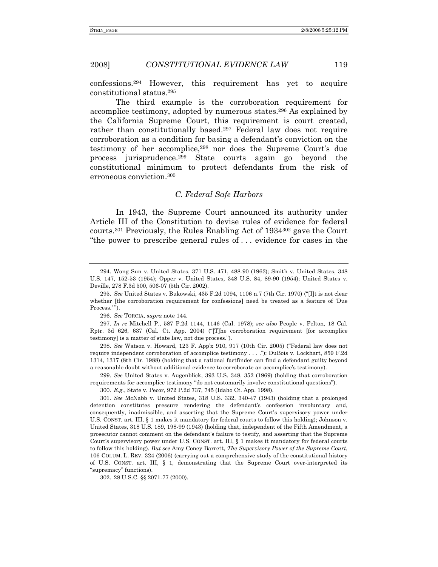confessions.294 However, this requirement has yet to acquire constitutional status.295

The third example is the corroboration requirement for accomplice testimony, adopted by numerous states.296 As explained by the California Supreme Court, this requirement is court created, rather than constitutionally based.<sup>297</sup> Federal law does not require corroboration as a condition for basing a defendant's conviction on the testimony of her accomplice,298 nor does the Supreme Court's due process jurisprudence.299 State courts again go beyond the constitutional minimum to protect defendants from the risk of erroneous conviction.300

## *C. Federal Safe Harbors*

In 1943, the Supreme Court announced its authority under Article III of the Constitution to devise rules of evidence for federal courts.<sup>301</sup> Previously, the Rules Enabling Act of  $1934^{302}$  gave the Court "the power to prescribe general rules of . . . evidence for cases in the

298. *See* Watson v. Howard, 123 F. App'x 910, 917 (10th Cir. 2005) ("Federal law does not require independent corroboration of accomplice testimony . . . ."); DuBois v. Lockhart, 859 F.2d 1314, 1317 (8th Cir. 1988) (holding that a rational factfinder can find a defendant guilty beyond a reasonable doubt without additional evidence to corroborate an accomplice's testimony).

299. *See* United States v. Augenblick, 393 U.S. 348, 352 (1969) (holding that corroboration requirements for accomplice testimony "do not customarily involve constitutional questions").

300. *E.g.*, State v. Pecor, 972 P.2d 737, 745 (Idaho Ct. App. 1998).

301. *See* McNabb v. United States, 318 U.S. 332, 340-47 (1943) (holding that a prolonged detention constitutes pressure rendering the defendant's confession involuntary and, consequently, inadmissible, and asserting that the Supreme Court's supervisory power under U.S. CONST. art. III, § 1 makes it mandatory for federal courts to follow this holding); Johnson v. United States, 318 U.S. 189, 198-99 (1943) (holding that, independent of the Fifth Amendment, a prosecutor cannot comment on the defendant's failure to testify, and asserting that the Supreme Court's supervisory power under U.S. CONST. art. III, § 1 makes it mandatory for federal courts to follow this holding). *But see* Amy Coney Barrett, *The Supervisory Power of the Supreme Court*, 106 COLUM. L. REV. 324 (2006) (carrying out a comprehensive study of the constitutional history of U.S. CONST. art. III, § 1, demonstrating that the Supreme Court over-interpreted its "supremacy" functions).

302. 28 U.S.C. §§ 2071-77 (2000).

 <sup>294.</sup> Wong Sun v. United States, 371 U.S. 471, 488-90 (1963); Smith v. United States, 348 U.S. 147, 152-53 (1954); Opper v. United States, 348 U.S. 84, 89-90 (1954); United States v. Deville, 278 F.3d 500, 506-07 (5th Cir. 2002).

<sup>295.</sup> *See* United States v. Bukowski, 435 F.2d 1094, 1106 n.7 (7th Cir. 1970) ("[I]t is not clear whether [the corroboration requirement for confessions] need be treated as a feature of 'Due Process.'").

<sup>296.</sup> *See* TORCIA, *supra* note 144.

<sup>297.</sup> *In re* Mitchell P., 587 P.2d 1144, 1146 (Cal. 1978); *see also* People v. Felton, 18 Cal. Rptr. 3d 626, 637 (Cal. Ct. App. 2004) ("[T]he corroboration requirement [for accomplice testimony] is a matter of state law, not due process.").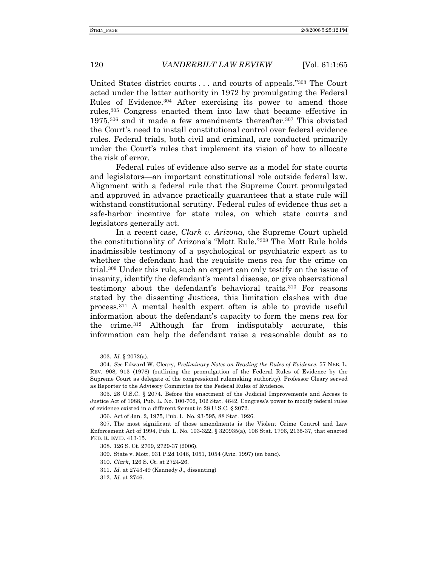United States district courts . . . and courts of appeals."303 The Court acted under the latter authority in 1972 by promulgating the Federal Rules of Evidence.304 After exercising its power to amend those rules,305 Congress enacted them into law that became effective in  $1975$ ,<sup>306</sup> and it made a few amendments thereafter.<sup>307</sup> This obviated the Court's need to install constitutional control over federal evidence rules. Federal trials, both civil and criminal, are conducted primarily under the Court's rules that implement its vision of how to allocate the risk of error.

Federal rules of evidence also serve as a model for state courts and legislators—an important constitutional role outside federal law. Alignment with a federal rule that the Supreme Court promulgated and approved in advance practically guarantees that a state rule will withstand constitutional scrutiny. Federal rules of evidence thus set a safe-harbor incentive for state rules, on which state courts and legislators generally act.

In a recent case, *Clark v. Arizona*, the Supreme Court upheld the constitutionality of Arizona's "Mott Rule."308 The Mott Rule holds inadmissible testimony of a psychological or psychiatric expert as to whether the defendant had the requisite mens rea for the crime on trial.309 Under this rule, such an expert can only testify on the issue of insanity, identify the defendant's mental disease, or give observational testimony about the defendant's behavioral traits.310 For reasons stated by the dissenting Justices, this limitation clashes with due process.311 A mental health expert often is able to provide useful information about the defendant's capacity to form the mens rea for the crime.312 Although far from indisputably accurate, this information can help the defendant raise a reasonable doubt as to

<sup>303.</sup> *Id.* § 2072(a).

<sup>304.</sup> *See* Edward W. Cleary, *Preliminary Notes on Reading the Rules of Evidence*, 57 NEB. L. REV. 908, 913 (1978) (outlining the promulgation of the Federal Rules of Evidence by the Supreme Court as delegate of the congressional rulemaking authority). Professor Cleary served as Reporter to the Advisory Committee for the Federal Rules of Evidence.

 <sup>305. 28</sup> U.S.C. § 2074. Before the enactment of the Judicial Improvements and Access to Justice Act of 1988, Pub. L. No. 100-702, 102 Stat. 4642, Congress's power to modify federal rules of evidence existed in a different format in 28 U.S.C. § 2072.

 <sup>306.</sup> Act of Jan. 2, 1975, Pub. L. No. 93-595, 88 Stat. 1926.

 <sup>307.</sup> The most significant of those amendments is the Violent Crime Control and Law Enforcement Act of 1994, Pub. L. No. 103-322, § 320935(a), 108 Stat. 1796, 2135-37, that enacted FED. R. EVID. 413-15.

 <sup>308. 126</sup> S. Ct. 2709, 2729-37 (2006).

 <sup>309.</sup> State v. Mott, 931 P.2d 1046, 1051, 1054 (Ariz. 1997) (en banc).

<sup>310.</sup> *Clark*, 126 S. Ct. at 2724-26.

<sup>311.</sup> *Id.* at 2743-49 (Kennedy J., dissenting)

<sup>312.</sup> *Id.* at 2746.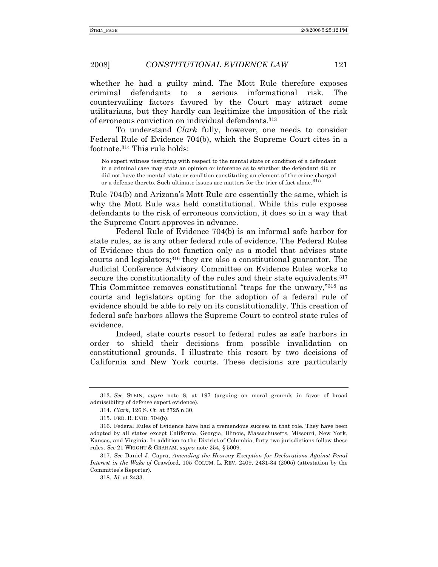whether he had a guilty mind. The Mott Rule therefore exposes criminal defendants to a serious informational risk. The countervailing factors favored by the Court may attract some utilitarians, but they hardly can legitimize the imposition of the risk of erroneous conviction on individual defendants.313

To understand *Clark* fully, however, one needs to consider Federal Rule of Evidence 704(b), which the Supreme Court cites in a footnote.314 This rule holds:

No expert witness testifying with respect to the mental state or condition of a defendant in a criminal case may state an opinion or inference as to whether the defendant did or did not have the mental state or condition constituting an element of the crime charged or a defense thereto. Such ultimate issues are matters for the trier of fact alone.<sup>315</sup>

Rule 704(b) and Arizona's Mott Rule are essentially the same, which is why the Mott Rule was held constitutional. While this rule exposes defendants to the risk of erroneous conviction, it does so in a way that the Supreme Court approves in advance.

Federal Rule of Evidence 704(b) is an informal safe harbor for state rules, as is any other federal rule of evidence. The Federal Rules of Evidence thus do not function only as a model that advises state courts and legislators;316 they are also a constitutional guarantor. The Judicial Conference Advisory Committee on Evidence Rules works to secure the constitutionality of the rules and their state equivalents.<sup>317</sup> This Committee removes constitutional "traps for the unwary,"318 as courts and legislators opting for the adoption of a federal rule of evidence should be able to rely on its constitutionality. This creation of federal safe harbors allows the Supreme Court to control state rules of evidence.

Indeed, state courts resort to federal rules as safe harbors in order to shield their decisions from possible invalidation on constitutional grounds. I illustrate this resort by two decisions of California and New York courts. These decisions are particularly

<sup>313.</sup> *See* STEIN, *supra* note 8, at 197 (arguing on moral grounds in favor of broad admissibility of defense expert evidence).

<sup>314.</sup> *Clark*, 126 S. Ct. at 2725 n.30.

 <sup>315.</sup> FED. R. EVID. 704(b).

 <sup>316.</sup> Federal Rules of Evidence have had a tremendous success in that role. They have been adopted by all states except California, Georgia, Illinois, Massachusetts, Missouri, New York, Kansas, and Virginia. In addition to the District of Columbia, forty-two jurisdictions follow these rules. *See* 21 WRIGHT & GRAHAM, *supra* note 254, § 5009.

<sup>317.</sup> *See* Daniel J. Capra, *Amending the Hearsay Exception for Declarations Against Penal Interest in the Wake of* Crawford, 105 COLUM. L. REV. 2409, 2431-34 (2005) (attestation by the Committee's Reporter).

<sup>318.</sup> *Id.* at 2433.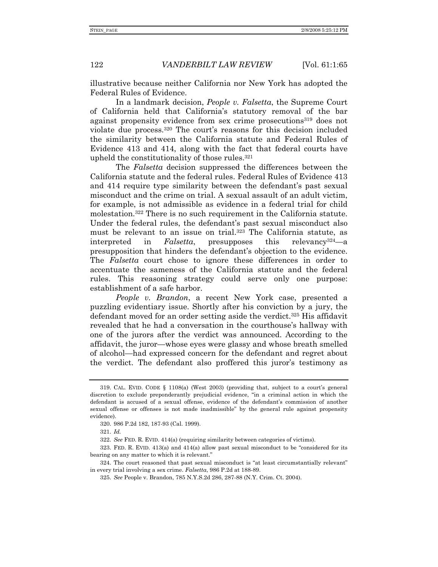illustrative because neither California nor New York has adopted the Federal Rules of Evidence.

In a landmark decision, *People v. Falsetta*, the Supreme Court of California held that California's statutory removal of the bar against propensity evidence from sex crime prosecutions<sup>319</sup> does not violate due process.320 The court's reasons for this decision included the similarity between the California statute and Federal Rules of Evidence 413 and 414, along with the fact that federal courts have upheld the constitutionality of those rules.321

The *Falsetta* decision suppressed the differences between the California statute and the federal rules. Federal Rules of Evidence 413 and 414 require type similarity between the defendant's past sexual misconduct and the crime on trial. A sexual assault of an adult victim, for example, is not admissible as evidence in a federal trial for child molestation.322 There is no such requirement in the California statute. Under the federal rules, the defendant's past sexual misconduct also must be relevant to an issue on trial.323 The California statute, as interpreted in *Falsetta*, presupposes this relevancy324—a presupposition that hinders the defendant's objection to the evidence. The *Falsetta* court chose to ignore these differences in order to accentuate the sameness of the California statute and the federal rules. This reasoning strategy could serve only one purpose: establishment of a safe harbor.

*People v. Brandon*, a recent New York case, presented a puzzling evidentiary issue. Shortly after his conviction by a jury, the defendant moved for an order setting aside the verdict.325 His affidavit revealed that he had a conversation in the courthouse's hallway with one of the jurors after the verdict was announced. According to the affidavit, the juror—whose eyes were glassy and whose breath smelled of alcohol—had expressed concern for the defendant and regret about the verdict. The defendant also proffered this juror's testimony as

 <sup>319.</sup> CAL. EVID. CODE § 1108(a) (West 2003) (providing that, subject to a court's general discretion to exclude preponderantly prejudicial evidence, "in a criminal action in which the defendant is accused of a sexual offense, evidence of the defendant's commission of another sexual offense or offenses is not made inadmissible" by the general rule against propensity evidence).

 <sup>320. 986</sup> P.2d 182, 187-93 (Cal. 1999).

<sup>321.</sup> *Id.*

<sup>322.</sup> *See* FED. R. EVID. 414(a) (requiring similarity between categories of victims).

 <sup>323.</sup> FED. R. EVID. 413(a) and 414(a) allow past sexual misconduct to be "considered for its bearing on any matter to which it is relevant."

 <sup>324.</sup> The court reasoned that past sexual misconduct is "at least circumstantially relevant" in every trial involving a sex crime. *Falsetta*, 986 P.2d at 188-89.

 <sup>325.</sup> *See* People v. Brandon, 785 N.Y.S.2d 286, 287-88 (N.Y. Crim. Ct. 2004).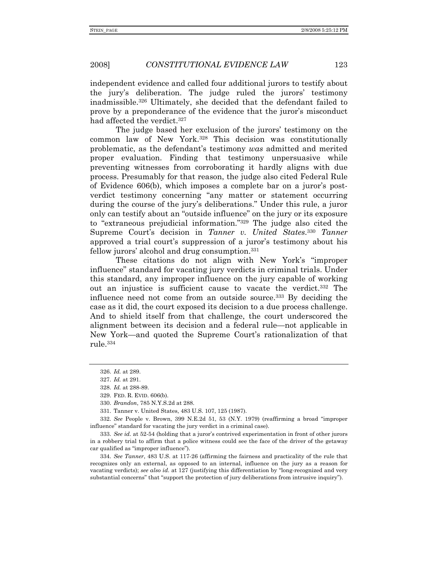independent evidence and called four additional jurors to testify about the jury's deliberation. The judge ruled the jurors' testimony inadmissible.326 Ultimately, she decided that the defendant failed to prove by a preponderance of the evidence that the juror's misconduct had affected the verdict.<sup>327</sup>

The judge based her exclusion of the jurors' testimony on the common law of New York.328 This decision was constitutionally problematic, as the defendant's testimony *was* admitted and merited proper evaluation. Finding that testimony unpersuasive while preventing witnesses from corroborating it hardly aligns with due process. Presumably for that reason, the judge also cited Federal Rule of Evidence 606(b), which imposes a complete bar on a juror's postverdict testimony concerning "any matter or statement occurring during the course of the jury's deliberations." Under this rule, a juror only can testify about an "outside influence" on the jury or its exposure to "extraneous prejudicial information."329 The judge also cited the Supreme Court's decision in *Tanner v. United States*.330 *Tanner* approved a trial court's suppression of a juror's testimony about his fellow jurors' alcohol and drug consumption.331

These citations do not align with New York's "improper influence" standard for vacating jury verdicts in criminal trials. Under this standard, any improper influence on the jury capable of working out an injustice is sufficient cause to vacate the verdict.332 The influence need not come from an outside source.333 By deciding the case as it did, the court exposed its decision to a due process challenge. And to shield itself from that challenge, the court underscored the alignment between its decision and a federal rule—not applicable in New York—and quoted the Supreme Court's rationalization of that rule.334

332. *See* People v. Brown, 399 N.E.2d 51, 53 (N.Y. 1979) (reaffirming a broad "improper influence" standard for vacating the jury verdict in a criminal case).

333. *See id.* at 52-54 (holding that a juror's contrived experimentation in front of other jurors in a robbery trial to affirm that a police witness could see the face of the driver of the getaway car qualified as "improper influence").

334. *See Tanner*, 483 U.S. at 117-26 (affirming the fairness and practicality of the rule that recognizes only an external, as opposed to an internal, influence on the jury as a reason for vacating verdicts); *see also id.* at 127 (justifying this differentiation by "long-recognized and very substantial concerns" that "support the protection of jury deliberations from intrusive inquiry").

<sup>326.</sup> *Id.* at 289.

<sup>327.</sup> *Id.* at 291.

<sup>328.</sup> *Id.* at 288-89.

 <sup>329.</sup> FED. R. EVID. 606(b).

<sup>330.</sup> *Brandon*, 785 N.Y.S.2d at 288.

 <sup>331.</sup> Tanner v. United States, 483 U.S. 107, 125 (1987).